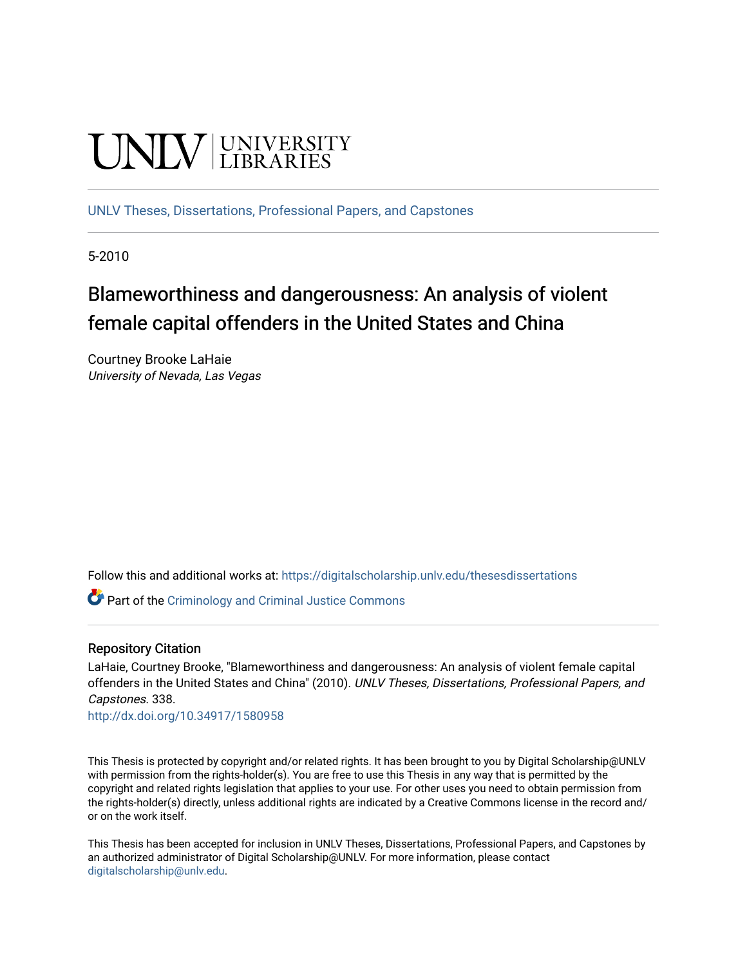# **UNIVERSITY**

[UNLV Theses, Dissertations, Professional Papers, and Capstones](https://digitalscholarship.unlv.edu/thesesdissertations)

5-2010

# Blameworthiness and dangerousness: An analysis of violent female capital offenders in the United States and China

Courtney Brooke LaHaie University of Nevada, Las Vegas

Follow this and additional works at: [https://digitalscholarship.unlv.edu/thesesdissertations](https://digitalscholarship.unlv.edu/thesesdissertations?utm_source=digitalscholarship.unlv.edu%2Fthesesdissertations%2F338&utm_medium=PDF&utm_campaign=PDFCoverPages)

**Part of the [Criminology and Criminal Justice Commons](http://network.bepress.com/hgg/discipline/367?utm_source=digitalscholarship.unlv.edu%2Fthesesdissertations%2F338&utm_medium=PDF&utm_campaign=PDFCoverPages)** 

# Repository Citation

LaHaie, Courtney Brooke, "Blameworthiness and dangerousness: An analysis of violent female capital offenders in the United States and China" (2010). UNLV Theses, Dissertations, Professional Papers, and Capstones. 338.

<http://dx.doi.org/10.34917/1580958>

This Thesis is protected by copyright and/or related rights. It has been brought to you by Digital Scholarship@UNLV with permission from the rights-holder(s). You are free to use this Thesis in any way that is permitted by the copyright and related rights legislation that applies to your use. For other uses you need to obtain permission from the rights-holder(s) directly, unless additional rights are indicated by a Creative Commons license in the record and/ or on the work itself.

This Thesis has been accepted for inclusion in UNLV Theses, Dissertations, Professional Papers, and Capstones by an authorized administrator of Digital Scholarship@UNLV. For more information, please contact [digitalscholarship@unlv.edu](mailto:digitalscholarship@unlv.edu).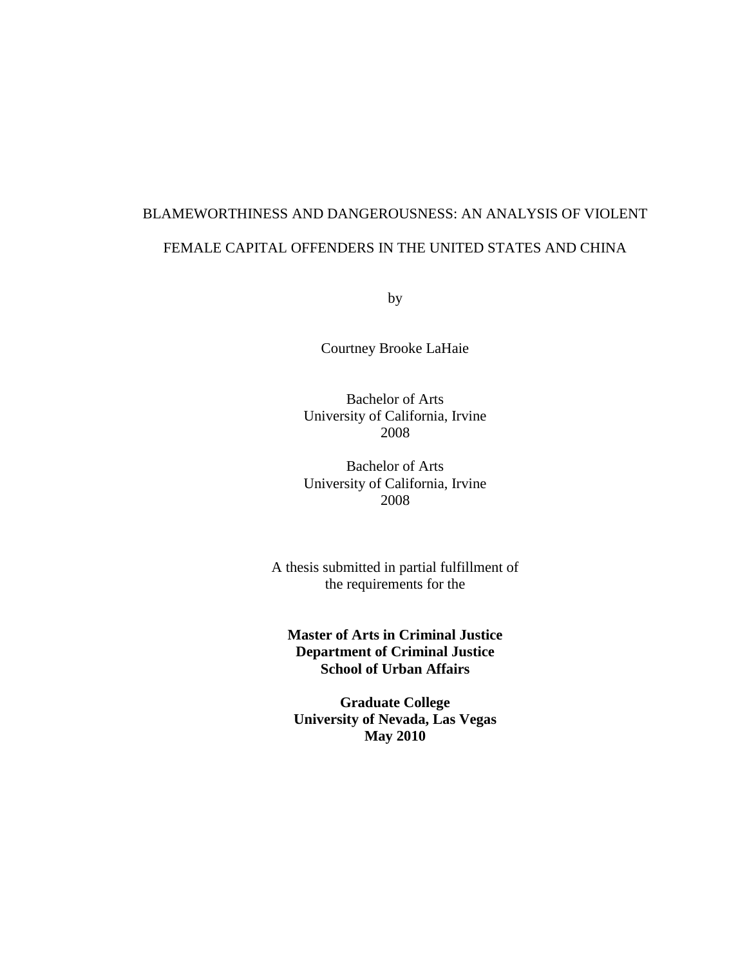# BLAMEWORTHINESS AND DANGEROUSNESS: AN ANALYSIS OF VIOLENT FEMALE CAPITAL OFFENDERS IN THE UNITED STATES AND CHINA

by

Courtney Brooke LaHaie

Bachelor of Arts University of California, Irvine 2008

Bachelor of Arts University of California, Irvine 2008

A thesis submitted in partial fulfillment of the requirements for the

**Master of Arts in Criminal Justice Department of Criminal Justice School of Urban Affairs**

**Graduate College University of Nevada, Las Vegas May 2010**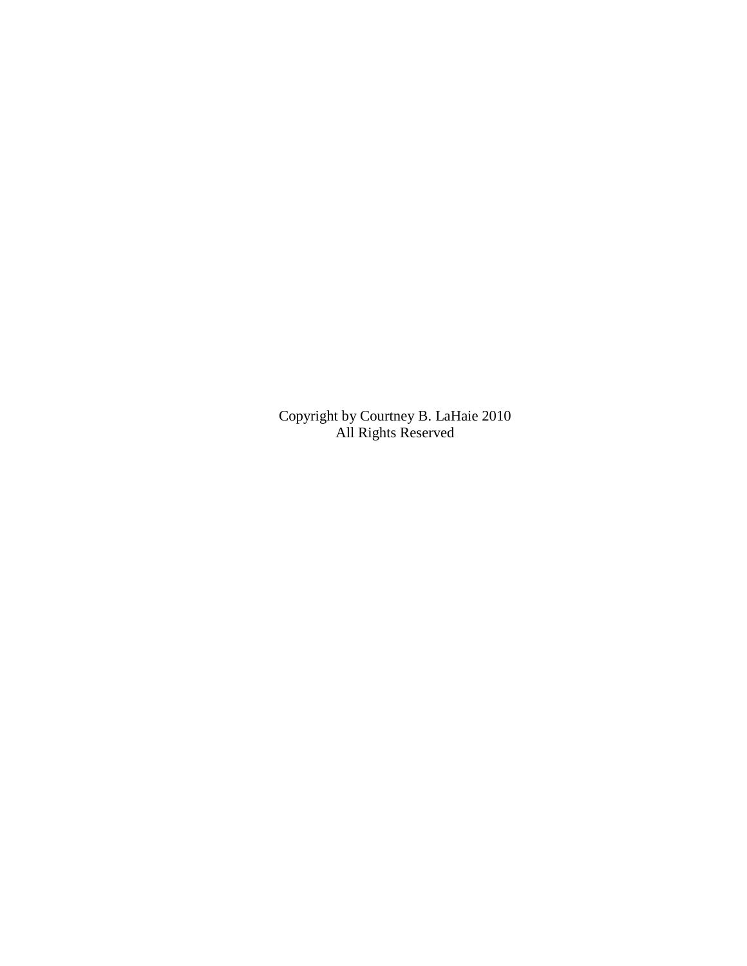Copyright by Courtney B. LaHaie 2010 All Rights Reserved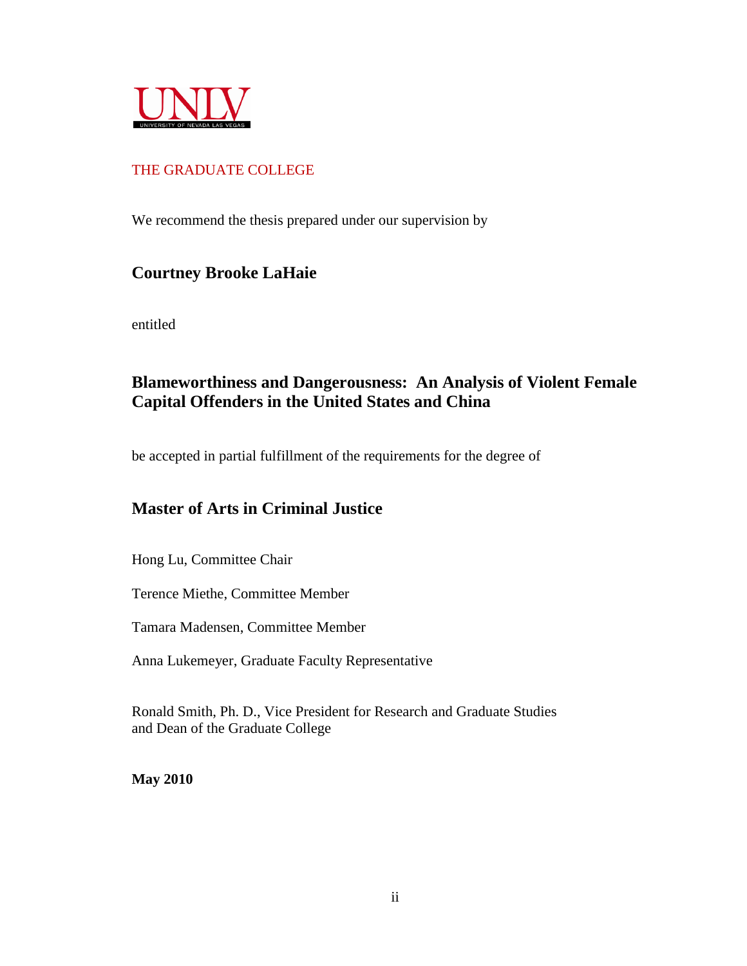

# THE GRADUATE COLLEGE

We recommend the thesis prepared under our supervision by

# **Courtney Brooke LaHaie**

entitled

# **Blameworthiness and Dangerousness: An Analysis of Violent Female Capital Offenders in the United States and China**

be accepted in partial fulfillment of the requirements for the degree of

# **Master of Arts in Criminal Justice**

Hong Lu, Committee Chair

Terence Miethe, Committee Member

Tamara Madensen, Committee Member

Anna Lukemeyer, Graduate Faculty Representative

Ronald Smith, Ph. D., Vice President for Research and Graduate Studies and Dean of the Graduate College

**May 2010**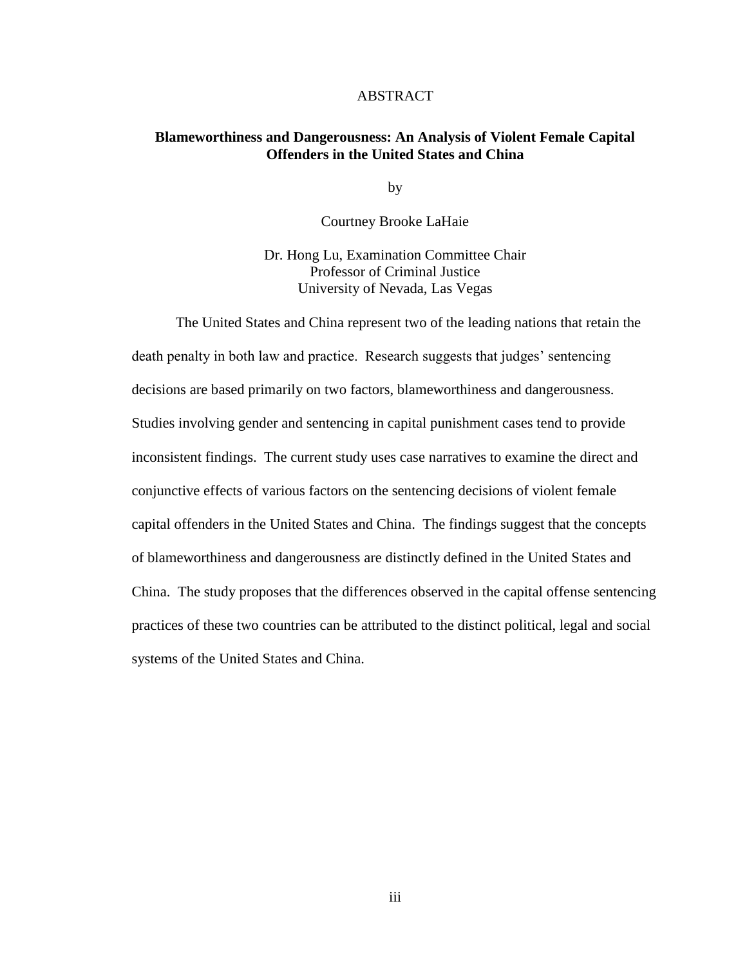#### ABSTRACT

## **Blameworthiness and Dangerousness: An Analysis of Violent Female Capital Offenders in the United States and China**

by

Courtney Brooke LaHaie

Dr. Hong Lu, Examination Committee Chair Professor of Criminal Justice University of Nevada, Las Vegas

The United States and China represent two of the leading nations that retain the death penalty in both law and practice. Research suggests that judges' sentencing decisions are based primarily on two factors, blameworthiness and dangerousness. Studies involving gender and sentencing in capital punishment cases tend to provide inconsistent findings. The current study uses case narratives to examine the direct and conjunctive effects of various factors on the sentencing decisions of violent female capital offenders in the United States and China. The findings suggest that the concepts of blameworthiness and dangerousness are distinctly defined in the United States and China. The study proposes that the differences observed in the capital offense sentencing practices of these two countries can be attributed to the distinct political, legal and social systems of the United States and China.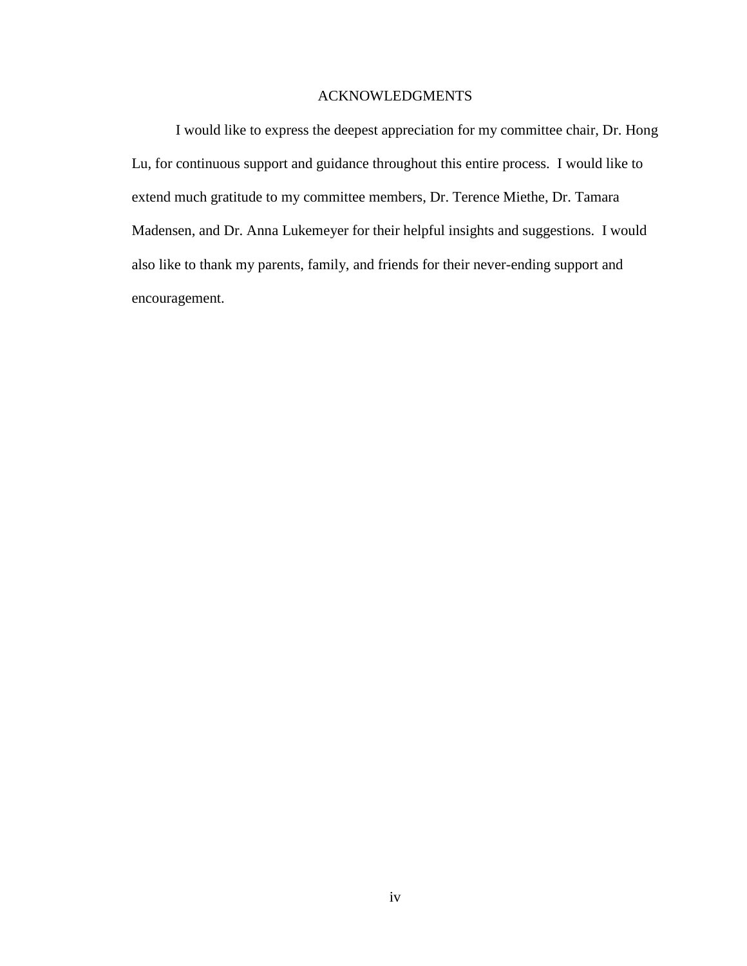# ACKNOWLEDGMENTS

I would like to express the deepest appreciation for my committee chair, Dr. Hong Lu, for continuous support and guidance throughout this entire process. I would like to extend much gratitude to my committee members, Dr. Terence Miethe, Dr. Tamara Madensen, and Dr. Anna Lukemeyer for their helpful insights and suggestions. I would also like to thank my parents, family, and friends for their never-ending support and encouragement.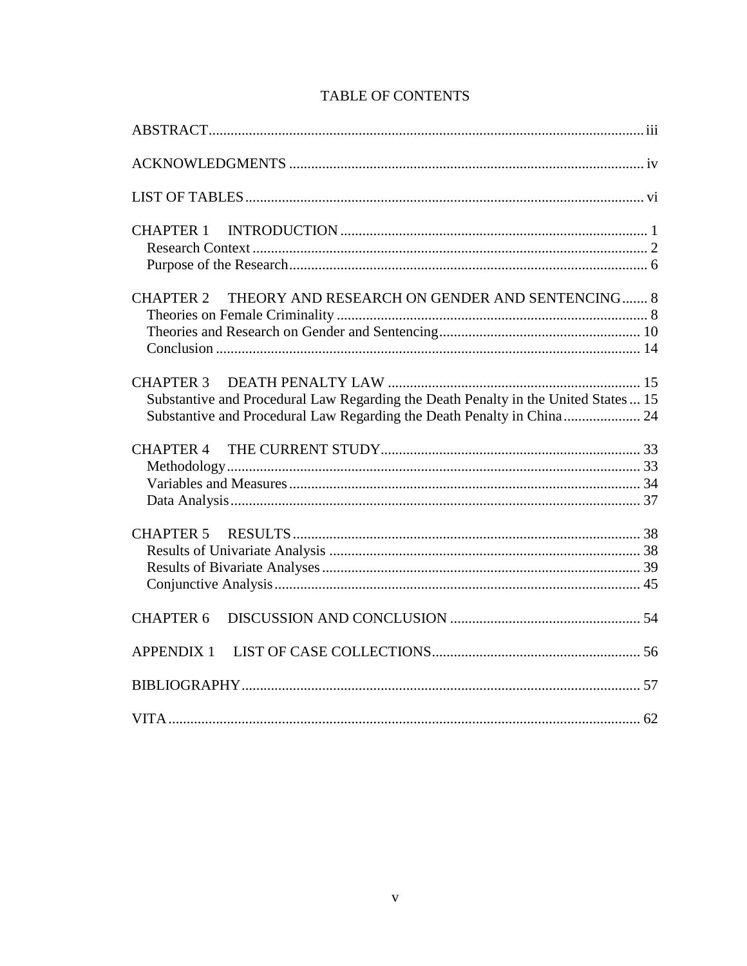| THEORY AND RESEARCH ON GENDER AND SENTENCING 8<br><b>CHAPTER 2</b>                                                                                            |  |
|---------------------------------------------------------------------------------------------------------------------------------------------------------------|--|
| Substantive and Procedural Law Regarding the Death Penalty in the United States  15<br>Substantive and Procedural Law Regarding the Death Penalty in China 24 |  |
| <b>CHAPTER 4</b>                                                                                                                                              |  |
|                                                                                                                                                               |  |
| <b>CHAPTER 6</b>                                                                                                                                              |  |
|                                                                                                                                                               |  |
|                                                                                                                                                               |  |
|                                                                                                                                                               |  |

# **TABLE OF CONTENTS**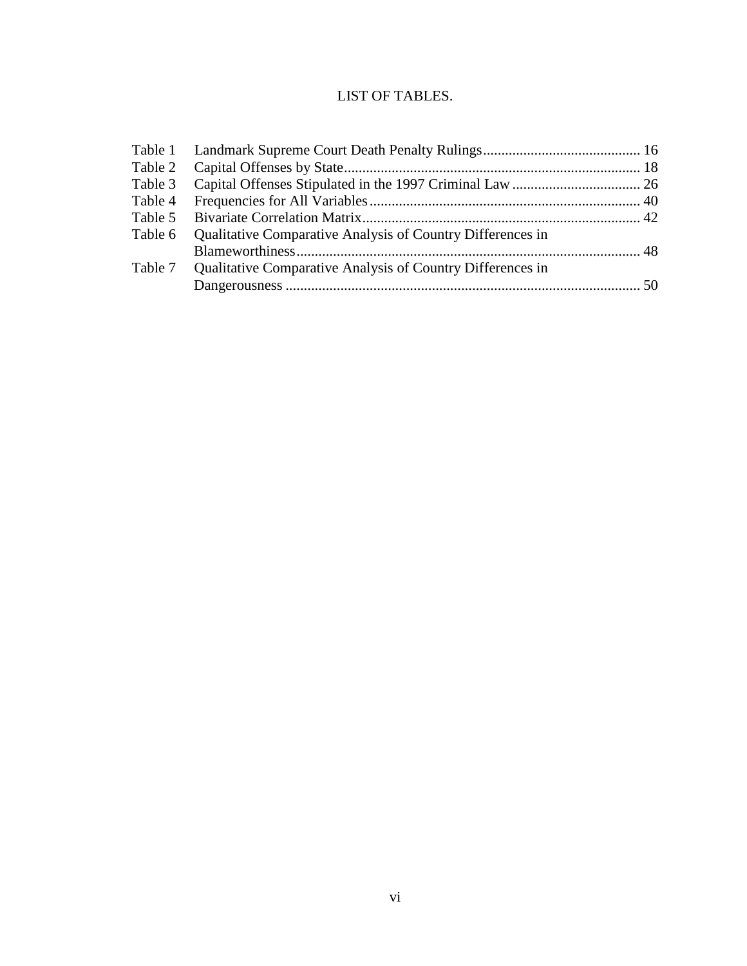# LIST OF TABLES.

| Table 4 |                                                                    |  |
|---------|--------------------------------------------------------------------|--|
| Table 5 |                                                                    |  |
| Table 6 | Qualitative Comparative Analysis of Country Differences in         |  |
|         |                                                                    |  |
|         | Table 7 Qualitative Comparative Analysis of Country Differences in |  |
|         |                                                                    |  |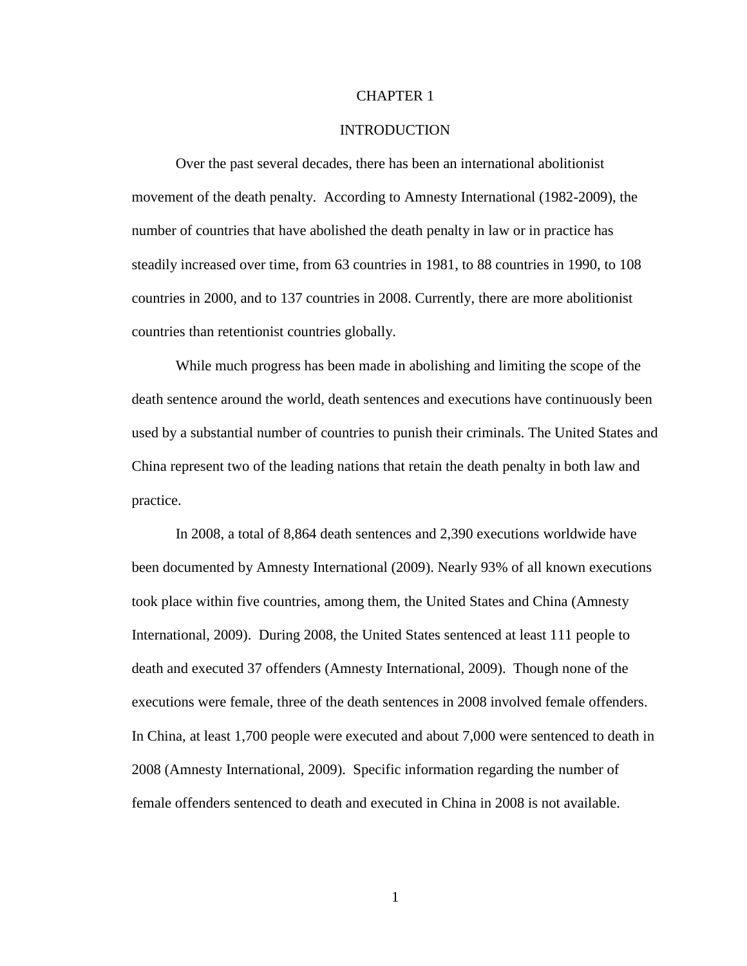## CHAPTER 1

#### INTRODUCTION

Over the past several decades, there has been an international abolitionist movement of the death penalty. According to Amnesty International (1982-2009), the number of countries that have abolished the death penalty in law or in practice has steadily increased over time, from 63 countries in 1981, to 88 countries in 1990, to 108 countries in 2000, and to 137 countries in 2008. Currently, there are more abolitionist countries than retentionist countries globally.

While much progress has been made in abolishing and limiting the scope of the death sentence around the world, death sentences and executions have continuously been used by a substantial number of countries to punish their criminals. The United States and China represent two of the leading nations that retain the death penalty in both law and practice.

In 2008, a total of 8,864 death sentences and 2,390 executions worldwide have been documented by Amnesty International (2009). Nearly 93% of all known executions took place within five countries, among them, the United States and China (Amnesty International, 2009). During 2008, the United States sentenced at least 111 people to death and executed 37 offenders (Amnesty International, 2009). Though none of the executions were female, three of the death sentences in 2008 involved female offenders. In China, at least 1,700 people were executed and about 7,000 were sentenced to death in 2008 (Amnesty International, 2009). Specific information regarding the number of female offenders sentenced to death and executed in China in 2008 is not available.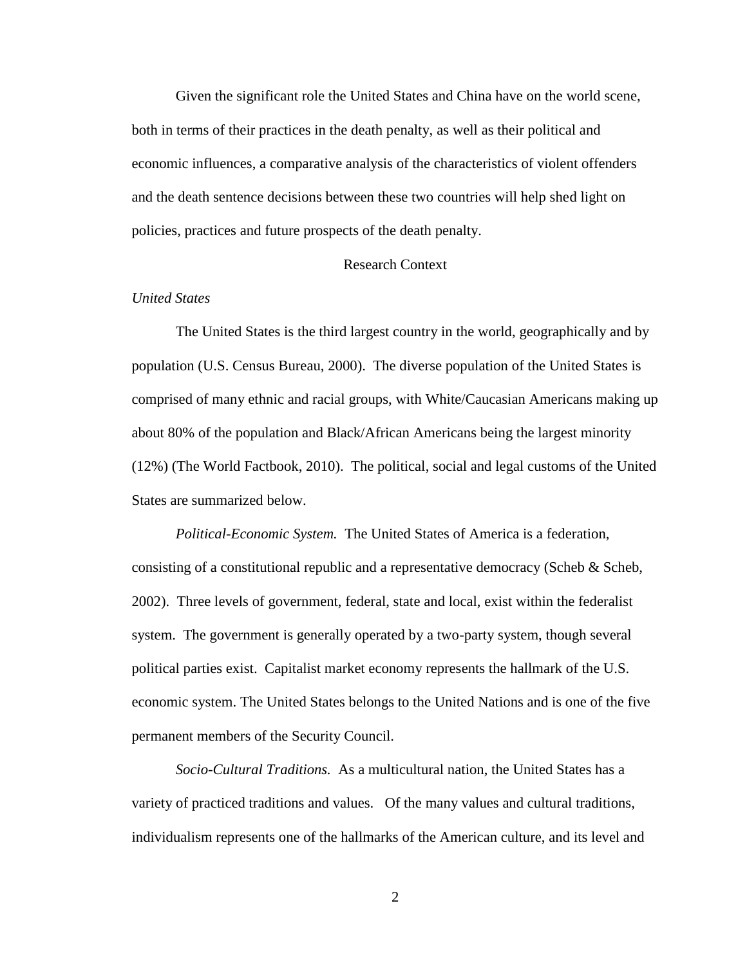Given the significant role the United States and China have on the world scene, both in terms of their practices in the death penalty, as well as their political and economic influences, a comparative analysis of the characteristics of violent offenders and the death sentence decisions between these two countries will help shed light on policies, practices and future prospects of the death penalty.

#### Research Context

#### *United States*

The United States is the third largest country in the world, geographically and by population (U.S. Census Bureau, 2000). The diverse population of the United States is comprised of many ethnic and racial groups, with White/Caucasian Americans making up about 80% of the population and Black/African Americans being the largest minority (12%) (The World Factbook, 2010). The political, social and legal customs of the United States are summarized below.

*Political-Economic System.* The United States of America is a federation, consisting of a constitutional republic and a representative democracy (Scheb  $\&$  Scheb, 2002). Three levels of government, federal, state and local, exist within the federalist system. The government is generally operated by a two-party system, though several political parties exist. Capitalist market economy represents the hallmark of the U.S. economic system. The United States belongs to the United Nations and is one of the five permanent members of the Security Council.

*Socio-Cultural Traditions.* As a multicultural nation, the United States has a variety of practiced traditions and values. Of the many values and cultural traditions, individualism represents one of the hallmarks of the American culture, and its level and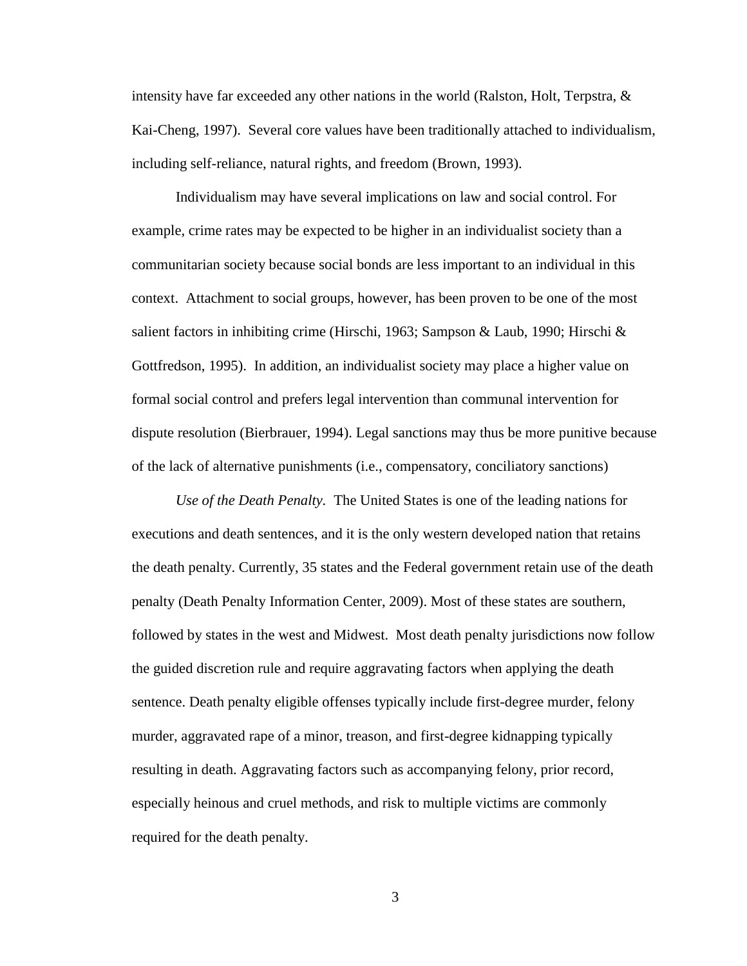intensity have far exceeded any other nations in the world (Ralston, Holt, Terpstra,  $\&$ Kai-Cheng, 1997). Several core values have been traditionally attached to individualism, including self-reliance, natural rights, and freedom (Brown, 1993).

Individualism may have several implications on law and social control. For example, crime rates may be expected to be higher in an individualist society than a communitarian society because social bonds are less important to an individual in this context. Attachment to social groups, however, has been proven to be one of the most salient factors in inhibiting crime (Hirschi, 1963; Sampson & Laub, 1990; Hirschi & Gottfredson, 1995). In addition, an individualist society may place a higher value on formal social control and prefers legal intervention than communal intervention for dispute resolution (Bierbrauer, 1994). Legal sanctions may thus be more punitive because of the lack of alternative punishments (i.e., compensatory, conciliatory sanctions)

*Use of the Death Penalty.* The United States is one of the leading nations for executions and death sentences, and it is the only western developed nation that retains the death penalty. Currently, 35 states and the Federal government retain use of the death penalty (Death Penalty Information Center, 2009). Most of these states are southern, followed by states in the west and Midwest. Most death penalty jurisdictions now follow the guided discretion rule and require aggravating factors when applying the death sentence. Death penalty eligible offenses typically include first-degree murder, felony murder, aggravated rape of a minor, treason, and first-degree kidnapping typically resulting in death. Aggravating factors such as accompanying felony, prior record, especially heinous and cruel methods, and risk to multiple victims are commonly required for the death penalty.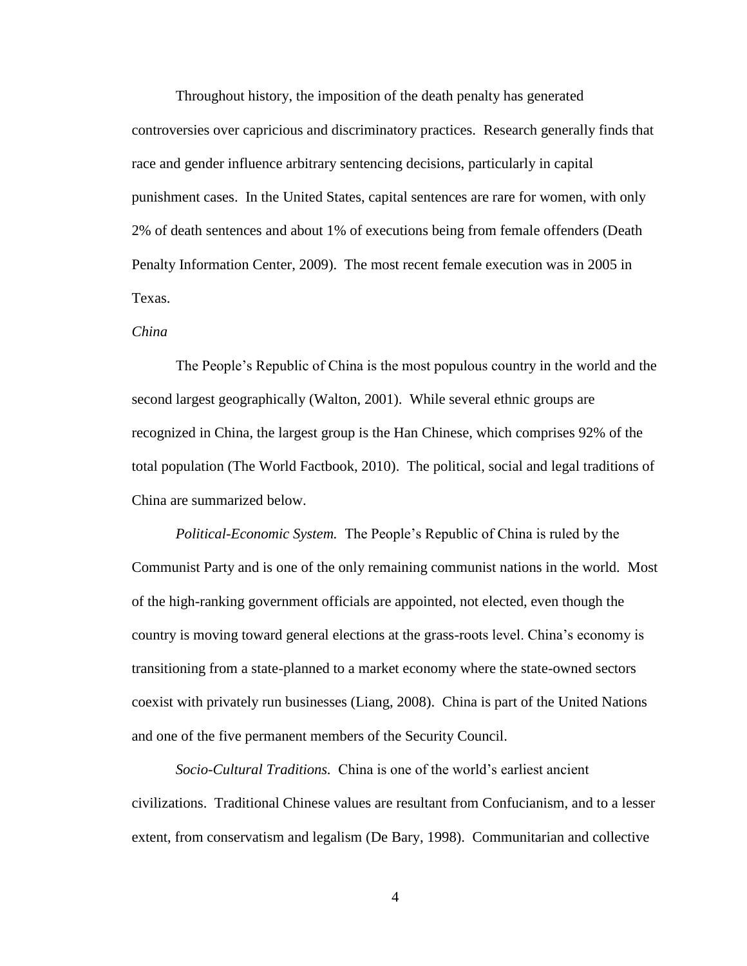Throughout history, the imposition of the death penalty has generated controversies over capricious and discriminatory practices. Research generally finds that race and gender influence arbitrary sentencing decisions, particularly in capital punishment cases. In the United States, capital sentences are rare for women, with only 2% of death sentences and about 1% of executions being from female offenders (Death Penalty Information Center, 2009). The most recent female execution was in 2005 in Texas.

#### *China*

The People's Republic of China is the most populous country in the world and the second largest geographically (Walton, 2001). While several ethnic groups are recognized in China, the largest group is the Han Chinese, which comprises 92% of the total population (The World Factbook, 2010). The political, social and legal traditions of China are summarized below.

*Political-Economic System.* The People's Republic of China is ruled by the Communist Party and is one of the only remaining communist nations in the world. Most of the high-ranking government officials are appointed, not elected, even though the country is moving toward general elections at the grass-roots level. China's economy is transitioning from a state-planned to a market economy where the state-owned sectors coexist with privately run businesses (Liang, 2008). China is part of the United Nations and one of the five permanent members of the Security Council.

*Socio-Cultural Traditions.* China is one of the world's earliest ancient civilizations. Traditional Chinese values are resultant from Confucianism, and to a lesser extent, from conservatism and legalism (De Bary, 1998). Communitarian and collective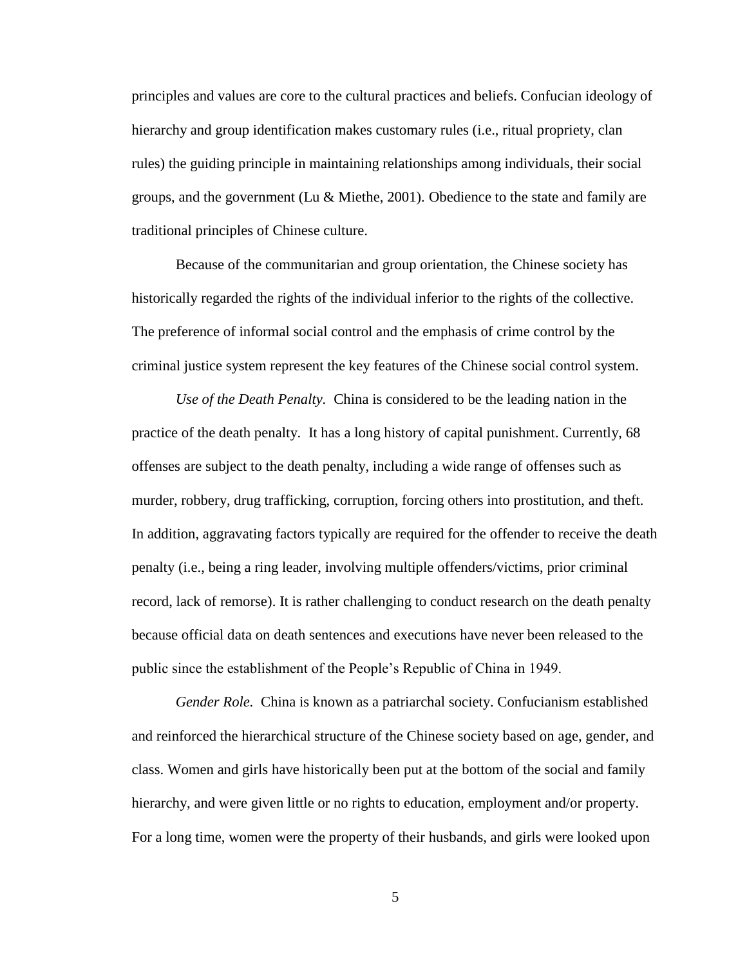principles and values are core to the cultural practices and beliefs. Confucian ideology of hierarchy and group identification makes customary rules (i.e., ritual propriety, clan rules) the guiding principle in maintaining relationships among individuals, their social groups, and the government (Lu & Miethe, 2001). Obedience to the state and family are traditional principles of Chinese culture.

Because of the communitarian and group orientation, the Chinese society has historically regarded the rights of the individual inferior to the rights of the collective. The preference of informal social control and the emphasis of crime control by the criminal justice system represent the key features of the Chinese social control system.

*Use of the Death Penalty.* China is considered to be the leading nation in the practice of the death penalty. It has a long history of capital punishment. Currently, 68 offenses are subject to the death penalty, including a wide range of offenses such as murder, robbery, drug trafficking, corruption, forcing others into prostitution, and theft. In addition, aggravating factors typically are required for the offender to receive the death penalty (i.e., being a ring leader, involving multiple offenders/victims, prior criminal record, lack of remorse). It is rather challenging to conduct research on the death penalty because official data on death sentences and executions have never been released to the public since the establishment of the People's Republic of China in 1949.

*Gender Role.* China is known as a patriarchal society. Confucianism established and reinforced the hierarchical structure of the Chinese society based on age, gender, and class. Women and girls have historically been put at the bottom of the social and family hierarchy, and were given little or no rights to education, employment and/or property. For a long time, women were the property of their husbands, and girls were looked upon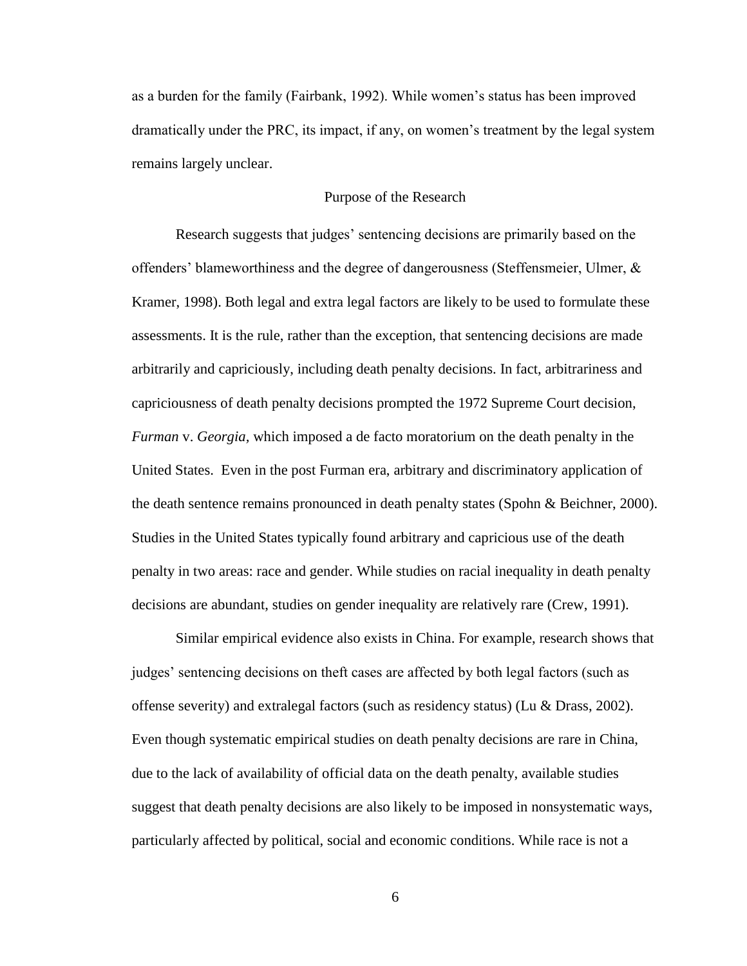as a burden for the family (Fairbank, 1992). While women's status has been improved dramatically under the PRC, its impact, if any, on women's treatment by the legal system remains largely unclear.

## Purpose of the Research

Research suggests that judges' sentencing decisions are primarily based on the offenders' blameworthiness and the degree of dangerousness (Steffensmeier, Ulmer, & Kramer, 1998). Both legal and extra legal factors are likely to be used to formulate these assessments. It is the rule, rather than the exception, that sentencing decisions are made arbitrarily and capriciously, including death penalty decisions. In fact, arbitrariness and capriciousness of death penalty decisions prompted the 1972 Supreme Court decision, *Furman* v. *Georgia,* which imposed a de facto moratorium on the death penalty in the United States. Even in the post Furman era, arbitrary and discriminatory application of the death sentence remains pronounced in death penalty states (Spohn & Beichner, 2000). Studies in the United States typically found arbitrary and capricious use of the death penalty in two areas: race and gender. While studies on racial inequality in death penalty decisions are abundant, studies on gender inequality are relatively rare (Crew, 1991).

Similar empirical evidence also exists in China. For example, research shows that judges' sentencing decisions on theft cases are affected by both legal factors (such as offense severity) and extralegal factors (such as residency status) (Lu & Drass, 2002). Even though systematic empirical studies on death penalty decisions are rare in China, due to the lack of availability of official data on the death penalty, available studies suggest that death penalty decisions are also likely to be imposed in nonsystematic ways, particularly affected by political, social and economic conditions. While race is not a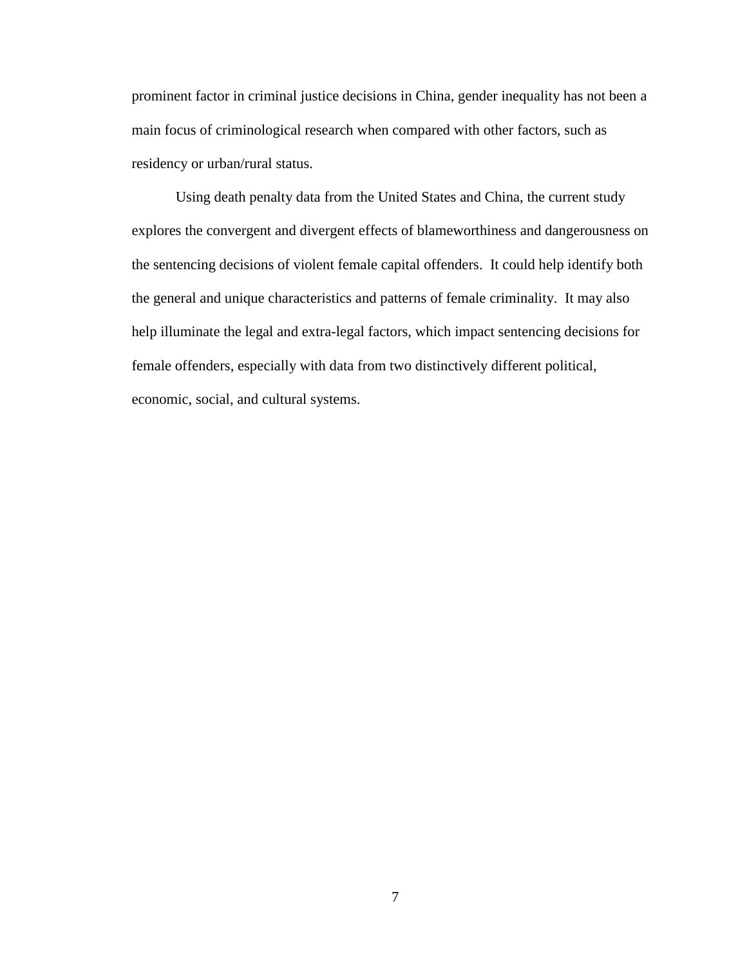prominent factor in criminal justice decisions in China, gender inequality has not been a main focus of criminological research when compared with other factors, such as residency or urban/rural status.

Using death penalty data from the United States and China, the current study explores the convergent and divergent effects of blameworthiness and dangerousness on the sentencing decisions of violent female capital offenders. It could help identify both the general and unique characteristics and patterns of female criminality. It may also help illuminate the legal and extra-legal factors, which impact sentencing decisions for female offenders, especially with data from two distinctively different political, economic, social, and cultural systems.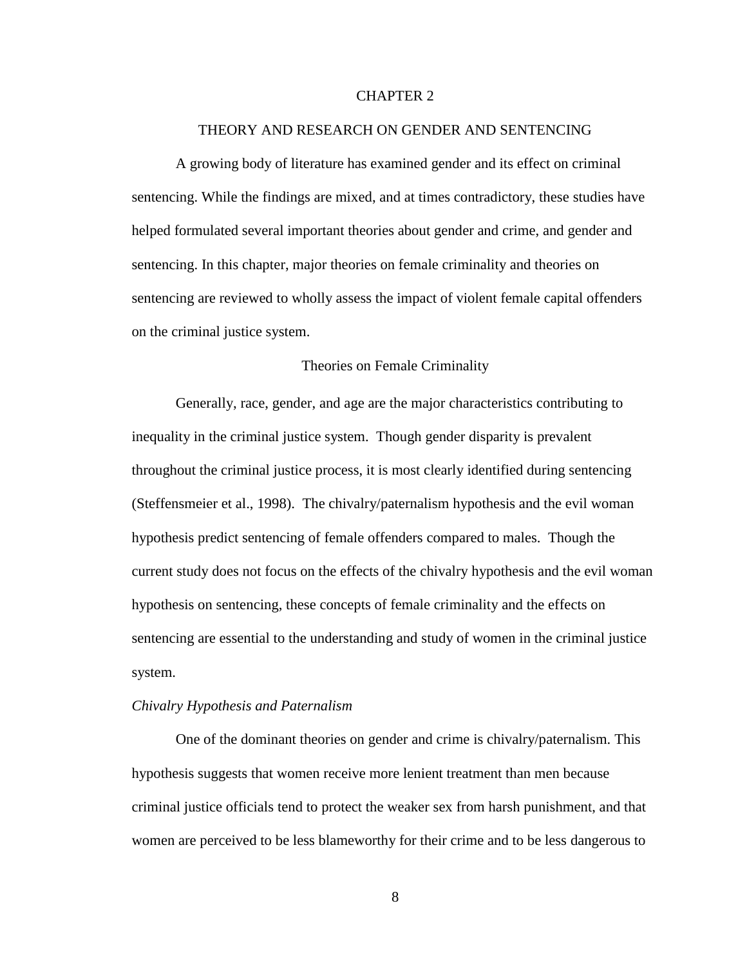## CHAPTER 2

#### THEORY AND RESEARCH ON GENDER AND SENTENCING

A growing body of literature has examined gender and its effect on criminal sentencing. While the findings are mixed, and at times contradictory, these studies have helped formulated several important theories about gender and crime, and gender and sentencing. In this chapter, major theories on female criminality and theories on sentencing are reviewed to wholly assess the impact of violent female capital offenders on the criminal justice system.

#### Theories on Female Criminality

Generally, race, gender, and age are the major characteristics contributing to inequality in the criminal justice system. Though gender disparity is prevalent throughout the criminal justice process, it is most clearly identified during sentencing (Steffensmeier et al., 1998). The chivalry/paternalism hypothesis and the evil woman hypothesis predict sentencing of female offenders compared to males. Though the current study does not focus on the effects of the chivalry hypothesis and the evil woman hypothesis on sentencing, these concepts of female criminality and the effects on sentencing are essential to the understanding and study of women in the criminal justice system.

#### *Chivalry Hypothesis and Paternalism*

One of the dominant theories on gender and crime is chivalry/paternalism. This hypothesis suggests that women receive more lenient treatment than men because criminal justice officials tend to protect the weaker sex from harsh punishment, and that women are perceived to be less blameworthy for their crime and to be less dangerous to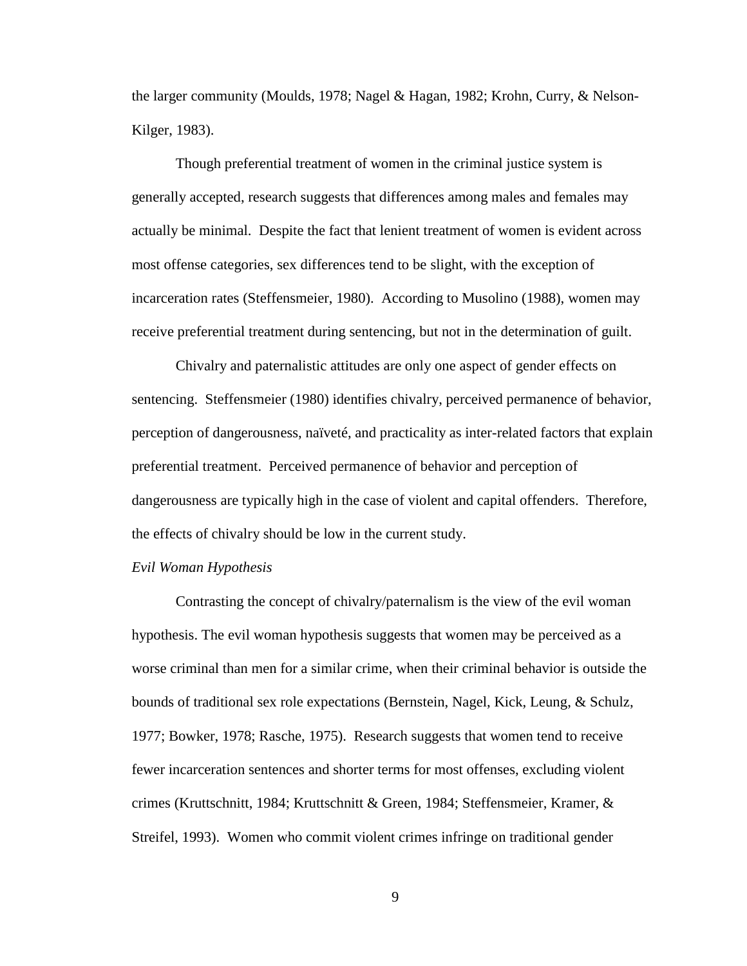the larger community (Moulds, 1978; Nagel & Hagan, 1982; Krohn, Curry, & Nelson-Kilger, 1983).

Though preferential treatment of women in the criminal justice system is generally accepted, research suggests that differences among males and females may actually be minimal. Despite the fact that lenient treatment of women is evident across most offense categories, sex differences tend to be slight, with the exception of incarceration rates (Steffensmeier, 1980). According to Musolino (1988), women may receive preferential treatment during sentencing, but not in the determination of guilt.

Chivalry and paternalistic attitudes are only one aspect of gender effects on sentencing. Steffensmeier (1980) identifies chivalry, perceived permanence of behavior, perception of dangerousness, naïveté, and practicality as inter-related factors that explain preferential treatment. Perceived permanence of behavior and perception of dangerousness are typically high in the case of violent and capital offenders. Therefore, the effects of chivalry should be low in the current study.

#### *Evil Woman Hypothesis*

Contrasting the concept of chivalry/paternalism is the view of the evil woman hypothesis. The evil woman hypothesis suggests that women may be perceived as a worse criminal than men for a similar crime, when their criminal behavior is outside the bounds of traditional sex role expectations (Bernstein, Nagel, Kick, Leung, & Schulz, 1977; Bowker, 1978; Rasche, 1975). Research suggests that women tend to receive fewer incarceration sentences and shorter terms for most offenses, excluding violent crimes (Kruttschnitt, 1984; Kruttschnitt & Green, 1984; Steffensmeier, Kramer, & Streifel, 1993). Women who commit violent crimes infringe on traditional gender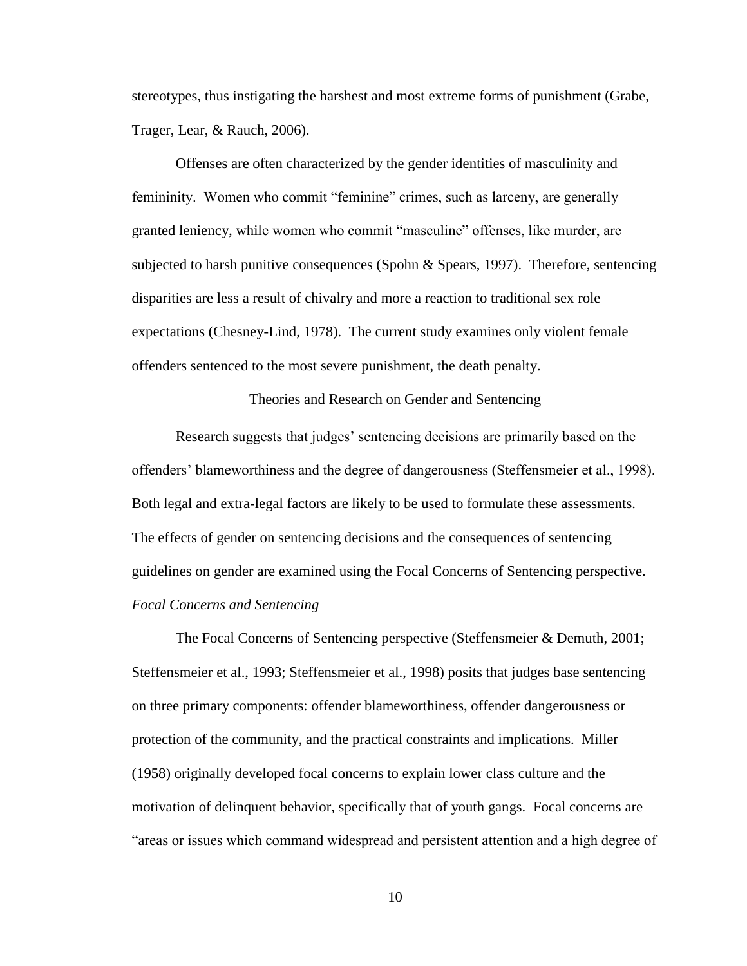stereotypes, thus instigating the harshest and most extreme forms of punishment (Grabe, Trager, Lear, & Rauch, 2006).

Offenses are often characterized by the gender identities of masculinity and femininity. Women who commit "feminine" crimes, such as larceny, are generally granted leniency, while women who commit "masculine" offenses, like murder, are subjected to harsh punitive consequences (Spohn & Spears, 1997). Therefore, sentencing disparities are less a result of chivalry and more a reaction to traditional sex role expectations (Chesney-Lind, 1978). The current study examines only violent female offenders sentenced to the most severe punishment, the death penalty.

Theories and Research on Gender and Sentencing

Research suggests that judges' sentencing decisions are primarily based on the offenders' blameworthiness and the degree of dangerousness (Steffensmeier et al., 1998). Both legal and extra-legal factors are likely to be used to formulate these assessments. The effects of gender on sentencing decisions and the consequences of sentencing guidelines on gender are examined using the Focal Concerns of Sentencing perspective. *Focal Concerns and Sentencing*

The Focal Concerns of Sentencing perspective (Steffensmeier & Demuth, 2001; Steffensmeier et al., 1993; Steffensmeier et al., 1998) posits that judges base sentencing on three primary components: offender blameworthiness, offender dangerousness or protection of the community, and the practical constraints and implications. Miller (1958) originally developed focal concerns to explain lower class culture and the motivation of delinquent behavior, specifically that of youth gangs. Focal concerns are "areas or issues which command widespread and persistent attention and a high degree of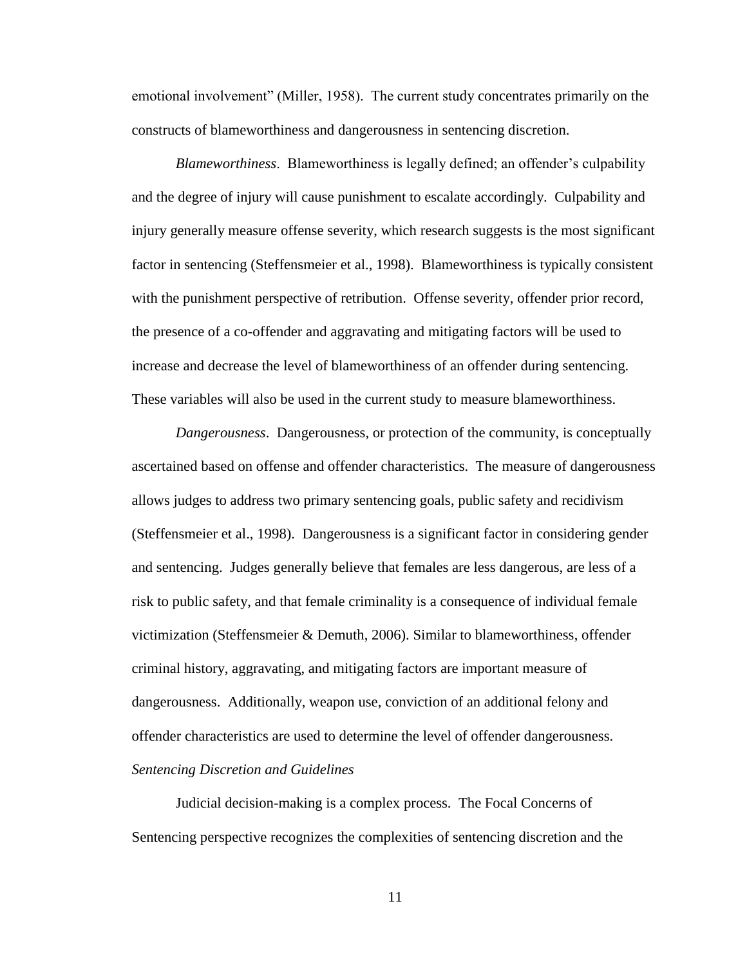emotional involvement" (Miller, 1958). The current study concentrates primarily on the constructs of blameworthiness and dangerousness in sentencing discretion.

*Blameworthiness*. Blameworthiness is legally defined; an offender's culpability and the degree of injury will cause punishment to escalate accordingly. Culpability and injury generally measure offense severity, which research suggests is the most significant factor in sentencing (Steffensmeier et al., 1998). Blameworthiness is typically consistent with the punishment perspective of retribution. Offense severity, offender prior record, the presence of a co-offender and aggravating and mitigating factors will be used to increase and decrease the level of blameworthiness of an offender during sentencing. These variables will also be used in the current study to measure blameworthiness.

*Dangerousness*. Dangerousness, or protection of the community, is conceptually ascertained based on offense and offender characteristics. The measure of dangerousness allows judges to address two primary sentencing goals, public safety and recidivism (Steffensmeier et al., 1998). Dangerousness is a significant factor in considering gender and sentencing. Judges generally believe that females are less dangerous, are less of a risk to public safety, and that female criminality is a consequence of individual female victimization (Steffensmeier & Demuth, 2006). Similar to blameworthiness, offender criminal history, aggravating, and mitigating factors are important measure of dangerousness. Additionally, weapon use, conviction of an additional felony and offender characteristics are used to determine the level of offender dangerousness. *Sentencing Discretion and Guidelines*

Judicial decision-making is a complex process. The Focal Concerns of Sentencing perspective recognizes the complexities of sentencing discretion and the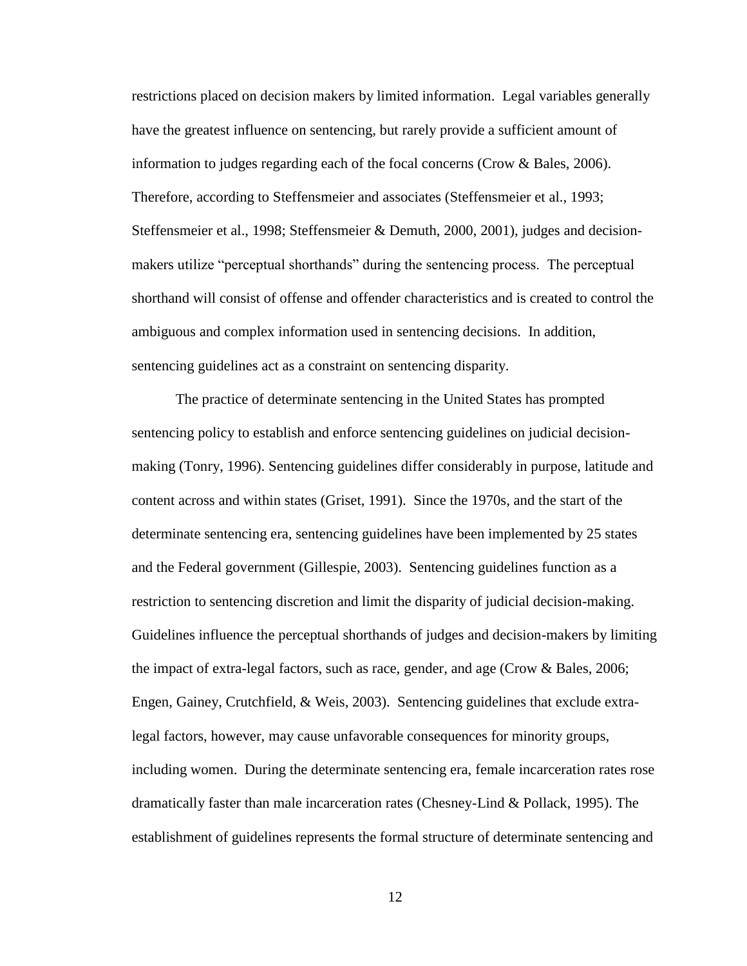restrictions placed on decision makers by limited information. Legal variables generally have the greatest influence on sentencing, but rarely provide a sufficient amount of information to judges regarding each of the focal concerns (Crow  $\&$  Bales, 2006). Therefore, according to Steffensmeier and associates (Steffensmeier et al., 1993; Steffensmeier et al., 1998; Steffensmeier & Demuth, 2000, 2001), judges and decisionmakers utilize "perceptual shorthands" during the sentencing process. The perceptual shorthand will consist of offense and offender characteristics and is created to control the ambiguous and complex information used in sentencing decisions. In addition, sentencing guidelines act as a constraint on sentencing disparity.

The practice of determinate sentencing in the United States has prompted sentencing policy to establish and enforce sentencing guidelines on judicial decisionmaking (Tonry, 1996). Sentencing guidelines differ considerably in purpose, latitude and content across and within states (Griset, 1991). Since the 1970s, and the start of the determinate sentencing era, sentencing guidelines have been implemented by 25 states and the Federal government (Gillespie, 2003). Sentencing guidelines function as a restriction to sentencing discretion and limit the disparity of judicial decision-making. Guidelines influence the perceptual shorthands of judges and decision-makers by limiting the impact of extra-legal factors, such as race, gender, and age (Crow & Bales, 2006; Engen, Gainey, Crutchfield, & Weis, 2003). Sentencing guidelines that exclude extralegal factors, however, may cause unfavorable consequences for minority groups, including women. During the determinate sentencing era, female incarceration rates rose dramatically faster than male incarceration rates (Chesney-Lind & Pollack, 1995). The establishment of guidelines represents the formal structure of determinate sentencing and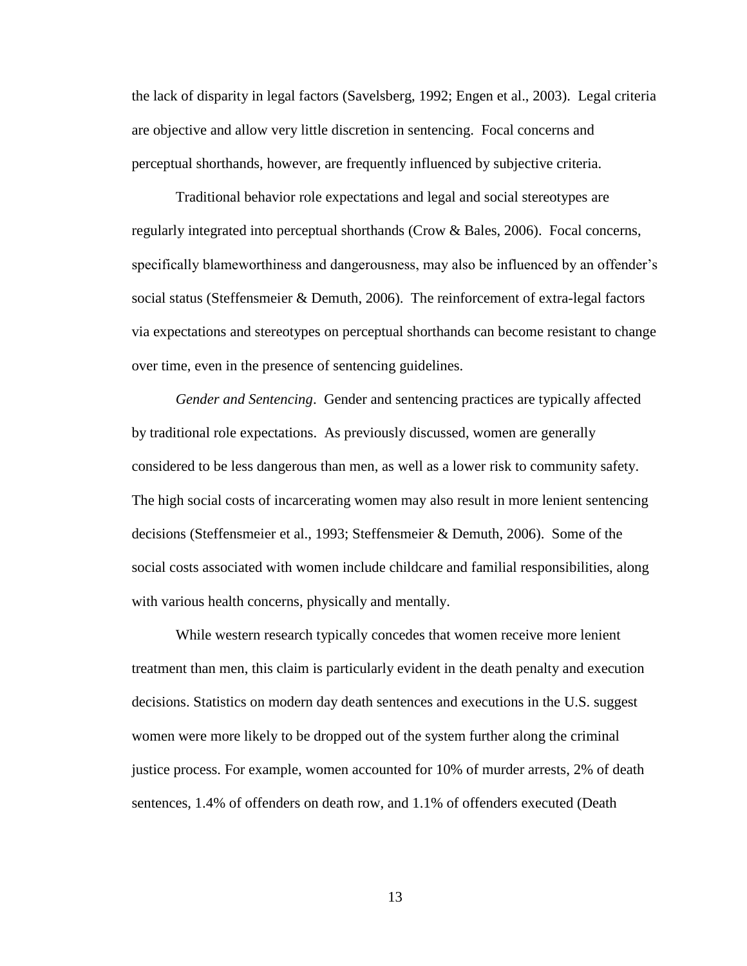the lack of disparity in legal factors (Savelsberg, 1992; Engen et al., 2003). Legal criteria are objective and allow very little discretion in sentencing. Focal concerns and perceptual shorthands, however, are frequently influenced by subjective criteria.

Traditional behavior role expectations and legal and social stereotypes are regularly integrated into perceptual shorthands (Crow & Bales, 2006). Focal concerns, specifically blameworthiness and dangerousness, may also be influenced by an offender's social status (Steffensmeier & Demuth, 2006). The reinforcement of extra-legal factors via expectations and stereotypes on perceptual shorthands can become resistant to change over time, even in the presence of sentencing guidelines.

*Gender and Sentencing*. Gender and sentencing practices are typically affected by traditional role expectations. As previously discussed, women are generally considered to be less dangerous than men, as well as a lower risk to community safety. The high social costs of incarcerating women may also result in more lenient sentencing decisions (Steffensmeier et al., 1993; Steffensmeier & Demuth, 2006). Some of the social costs associated with women include childcare and familial responsibilities, along with various health concerns, physically and mentally.

While western research typically concedes that women receive more lenient treatment than men, this claim is particularly evident in the death penalty and execution decisions. Statistics on modern day death sentences and executions in the U.S. suggest women were more likely to be dropped out of the system further along the criminal justice process. For example, women accounted for 10% of murder arrests, 2% of death sentences, 1.4% of offenders on death row, and 1.1% of offenders executed (Death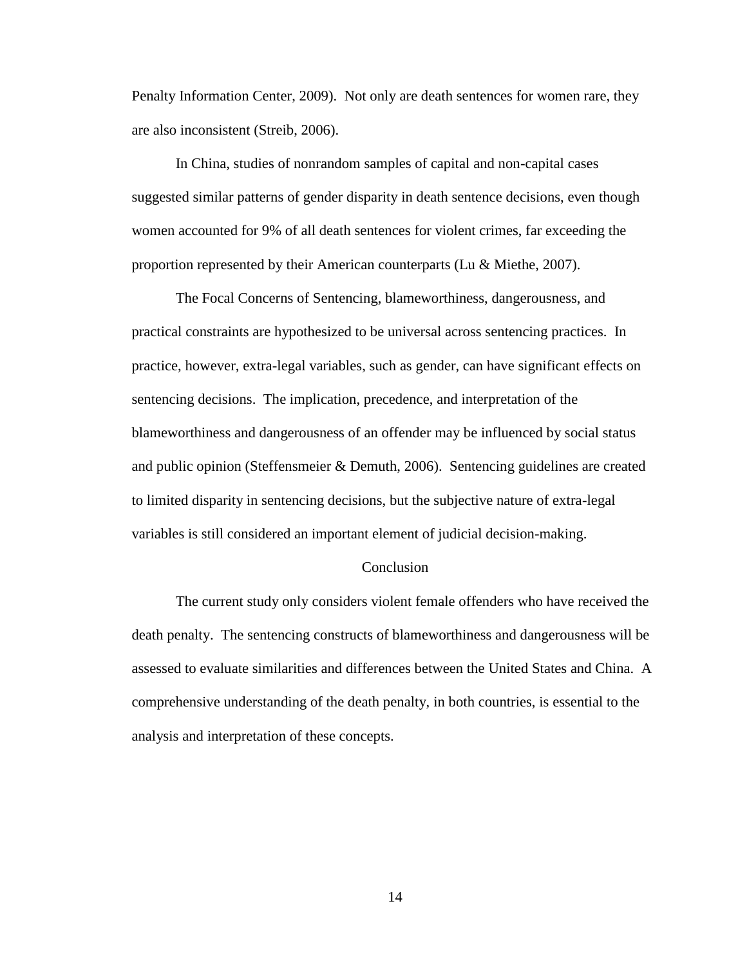Penalty Information Center, 2009). Not only are death sentences for women rare, they are also inconsistent (Streib, 2006).

In China, studies of nonrandom samples of capital and non-capital cases suggested similar patterns of gender disparity in death sentence decisions, even though women accounted for 9% of all death sentences for violent crimes, far exceeding the proportion represented by their American counterparts (Lu & Miethe, 2007).

The Focal Concerns of Sentencing, blameworthiness, dangerousness, and practical constraints are hypothesized to be universal across sentencing practices. In practice, however, extra-legal variables, such as gender, can have significant effects on sentencing decisions. The implication, precedence, and interpretation of the blameworthiness and dangerousness of an offender may be influenced by social status and public opinion (Steffensmeier & Demuth, 2006). Sentencing guidelines are created to limited disparity in sentencing decisions, but the subjective nature of extra-legal variables is still considered an important element of judicial decision-making.

#### Conclusion

The current study only considers violent female offenders who have received the death penalty. The sentencing constructs of blameworthiness and dangerousness will be assessed to evaluate similarities and differences between the United States and China. A comprehensive understanding of the death penalty, in both countries, is essential to the analysis and interpretation of these concepts.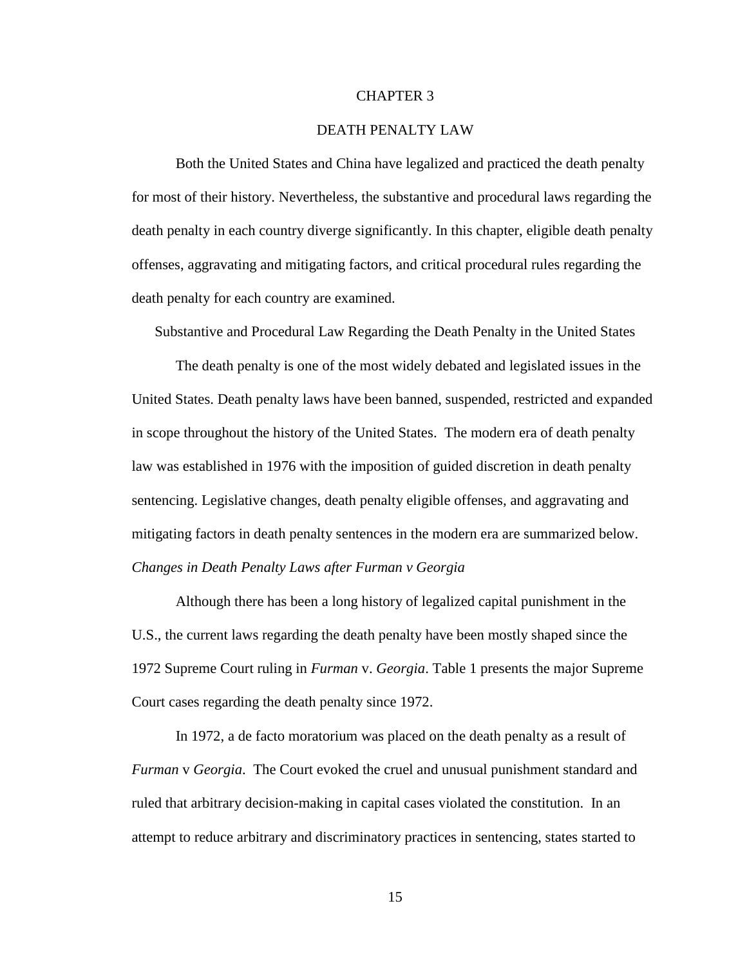#### CHAPTER 3

#### DEATH PENALTY LAW

Both the United States and China have legalized and practiced the death penalty for most of their history. Nevertheless, the substantive and procedural laws regarding the death penalty in each country diverge significantly. In this chapter, eligible death penalty offenses, aggravating and mitigating factors, and critical procedural rules regarding the death penalty for each country are examined.

Substantive and Procedural Law Regarding the Death Penalty in the United States

The death penalty is one of the most widely debated and legislated issues in the United States. Death penalty laws have been banned, suspended, restricted and expanded in scope throughout the history of the United States. The modern era of death penalty law was established in 1976 with the imposition of guided discretion in death penalty sentencing. Legislative changes, death penalty eligible offenses, and aggravating and mitigating factors in death penalty sentences in the modern era are summarized below. *Changes in Death Penalty Laws after Furman v Georgia*

Although there has been a long history of legalized capital punishment in the U.S., the current laws regarding the death penalty have been mostly shaped since the 1972 Supreme Court ruling in *Furman* v. *Georgia*. Table 1 presents the major Supreme Court cases regarding the death penalty since 1972.

In 1972, a de facto moratorium was placed on the death penalty as a result of *Furman* v *Georgia*. The Court evoked the cruel and unusual punishment standard and ruled that arbitrary decision-making in capital cases violated the constitution. In an attempt to reduce arbitrary and discriminatory practices in sentencing, states started to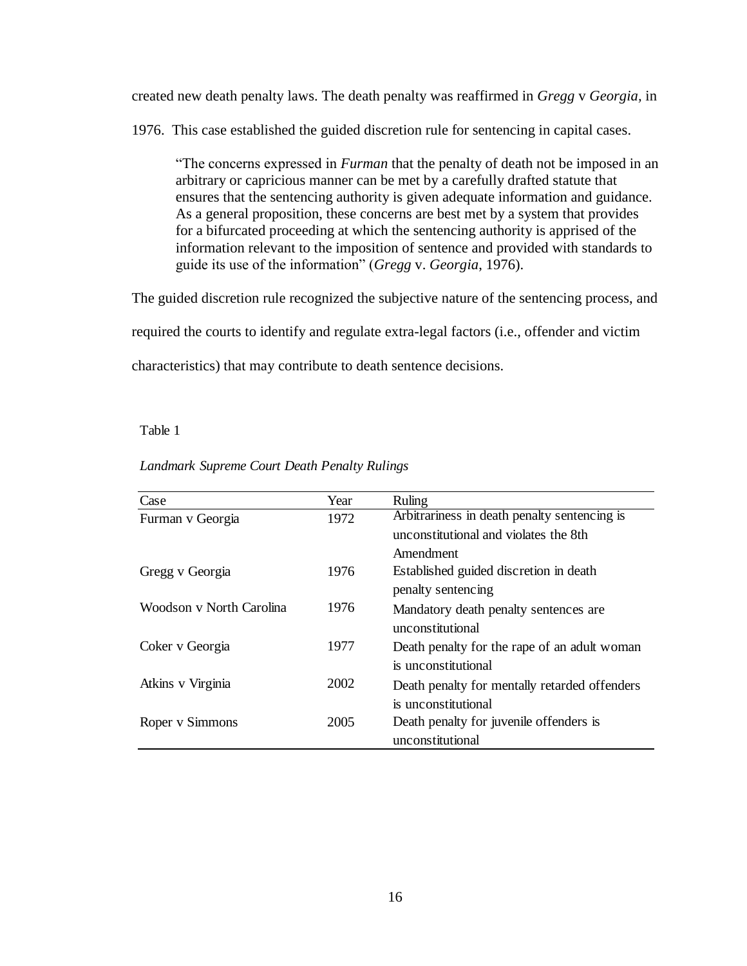created new death penalty laws. The death penalty was reaffirmed in *Gregg* v *Georgia,* in

1976. This case established the guided discretion rule for sentencing in capital cases.

"The concerns expressed in *Furman* that the penalty of death not be imposed in an arbitrary or capricious manner can be met by a carefully drafted statute that ensures that the sentencing authority is given adequate information and guidance. As a general proposition, these concerns are best met by a system that provides for a bifurcated proceeding at which the sentencing authority is apprised of the information relevant to the imposition of sentence and provided with standards to guide its use of the information" (*Gregg* v. *Georgia*, 1976).

The guided discretion rule recognized the subjective nature of the sentencing process, and

required the courts to identify and regulate extra-legal factors (i.e., offender and victim

characteristics) that may contribute to death sentence decisions.

#### Table 1

| Case                     | Year | Ruling                                        |
|--------------------------|------|-----------------------------------------------|
| Furman v Georgia         | 1972 | Arbitrariness in death penalty sentencing is  |
|                          |      | unconstitutional and violates the 8th         |
|                          |      | Amendment                                     |
| Gregg v Georgia          | 1976 | Established guided discretion in death        |
|                          |      | penalty sentencing                            |
| Woodson v North Carolina | 1976 | Mandatory death penalty sentences are         |
|                          |      | unconstitutional                              |
| Coker v Georgia          | 1977 | Death penalty for the rape of an adult woman  |
|                          |      | is unconstitutional                           |
| Atkins v Virginia        | 2002 | Death penalty for mentally retarded offenders |
|                          |      | is unconstitutional                           |
| Roper v Simmons          | 2005 | Death penalty for juvenile offenders is       |
|                          |      | unconstitutional                              |

*Landmark Supreme Court Death Penalty Rulings*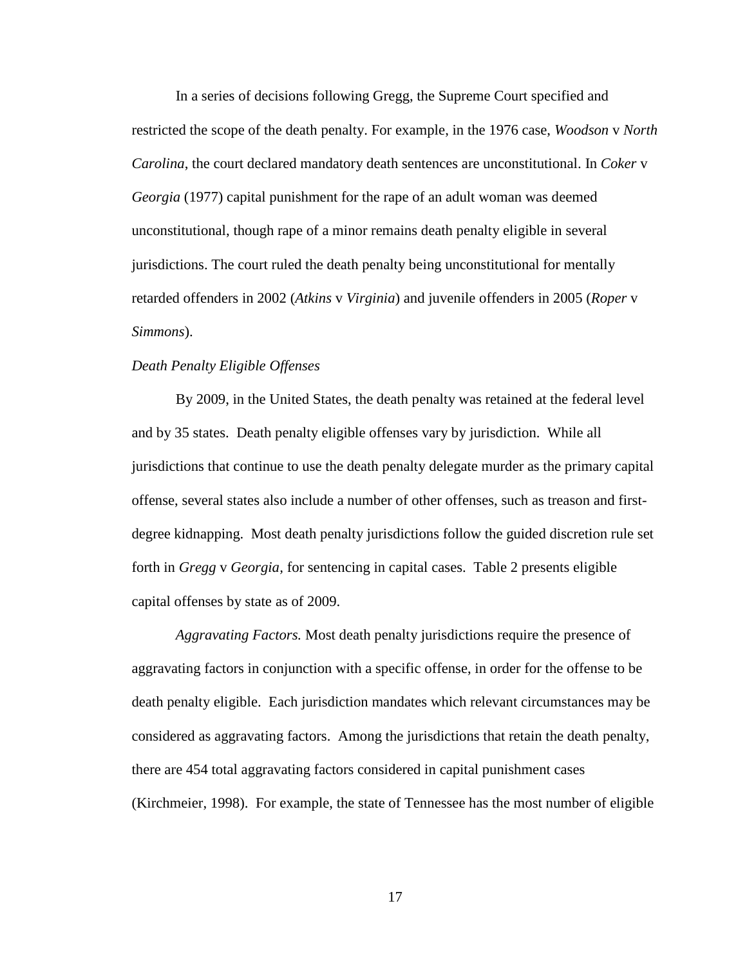In a series of decisions following Gregg, the Supreme Court specified and restricted the scope of the death penalty. For example, in the 1976 case, *Woodson* v *North Carolina*, the court declared mandatory death sentences are unconstitutional. In *Coker* v *Georgia* (1977) capital punishment for the rape of an adult woman was deemed unconstitutional, though rape of a minor remains death penalty eligible in several jurisdictions. The court ruled the death penalty being unconstitutional for mentally retarded offenders in 2002 (*Atkins* v *Virginia*) and juvenile offenders in 2005 (*Roper* v *Simmons*).

## *Death Penalty Eligible Offenses*

By 2009, in the United States, the death penalty was retained at the federal level and by 35 states. Death penalty eligible offenses vary by jurisdiction. While all jurisdictions that continue to use the death penalty delegate murder as the primary capital offense, several states also include a number of other offenses, such as treason and firstdegree kidnapping. Most death penalty jurisdictions follow the guided discretion rule set forth in *Gregg* v *Georgia,* for sentencing in capital cases. Table 2 presents eligible capital offenses by state as of 2009.

*Aggravating Factors.* Most death penalty jurisdictions require the presence of aggravating factors in conjunction with a specific offense, in order for the offense to be death penalty eligible. Each jurisdiction mandates which relevant circumstances may be considered as aggravating factors. Among the jurisdictions that retain the death penalty, there are 454 total aggravating factors considered in capital punishment cases (Kirchmeier, 1998). For example, the state of Tennessee has the most number of eligible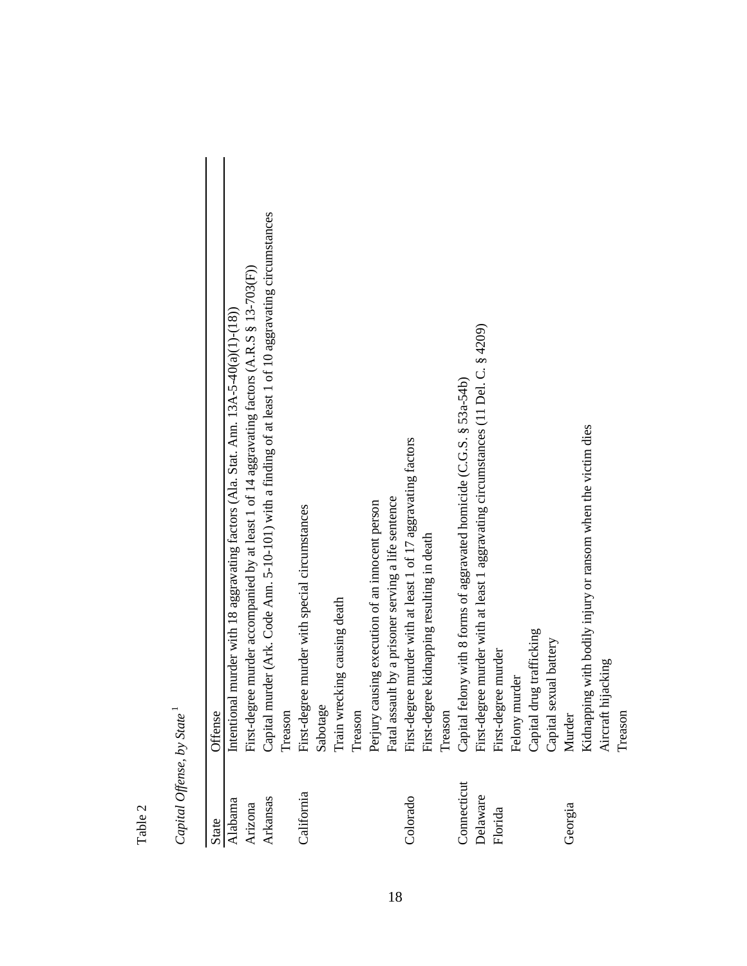| ົ |
|---|
|   |
| ≂ |
| Ë |
|   |

Capital Offense, by State<sup>1</sup> *Capital Offense, by State* 1

| <b>State</b> | Offense                                                                                               |
|--------------|-------------------------------------------------------------------------------------------------------|
|              |                                                                                                       |
| Alabama      | murder with 18 aggravating factors (Ala. Stat. Ann. 13A-5-40(a)(1)-(18)).<br>Intentional              |
| Arizona      | First-degree murder accompanied by at least 1 of 14 aggravating factors (A.R.S § 13-703(F))           |
| Arkansas     | Capital murder (Ark. Code Ann. 5-10-101) with a finding of at least 1 of 10 aggravating circumstances |
|              | Treason                                                                                               |
| California   | First-degree murder with special circumstances                                                        |
|              | Sabotage                                                                                              |
|              | Train wrecking causing death                                                                          |
|              | Treason                                                                                               |
|              | Perjury causing execution of an innocent person                                                       |
|              | Fatal assault by a prisoner serving a life sentence                                                   |
| Colorado     | First-degree murder with at least 1 of 17 aggravating factors                                         |
|              | First-degree kidnapping resulting in death                                                            |
|              | Treason                                                                                               |
| Connecticut  | Capital felony with 8 forms of aggravated homicide (C.G.S. § 53a-54b)                                 |
| Delaware     | First-degree murder with at least 1 aggravating circumstances (11 Del. C. § 4209)                     |
| Florida      | First-degree murder                                                                                   |
|              | Felony murder                                                                                         |
|              | Capital drug trafficking                                                                              |
|              | Capital sexual battery                                                                                |
| Georgia      | Murder                                                                                                |
|              | g with bodily injury or ransom when the victim dies<br>Kidnappin                                      |
|              | jacking<br>Aircraft hi                                                                                |
|              | Treason                                                                                               |
|              |                                                                                                       |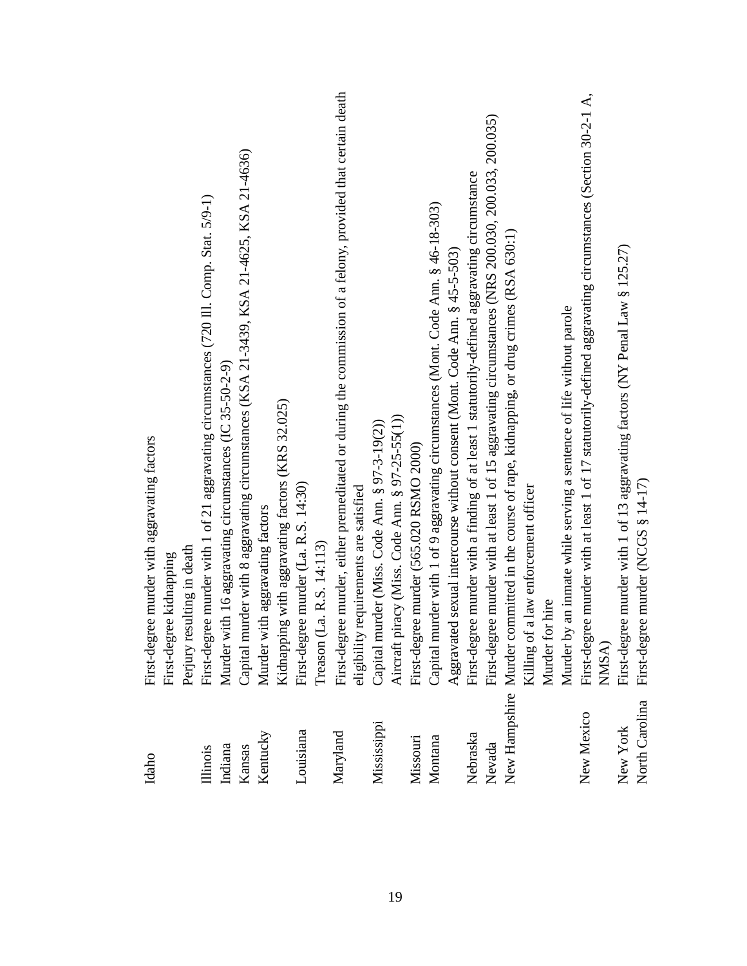| Idaho          | First-degree murder with aggravating factors<br>First-degree kidnapping                                        |
|----------------|----------------------------------------------------------------------------------------------------------------|
|                | Perjury resulting in death                                                                                     |
| Illinois       | First-degree murder with 1 of 21 aggravating circumstances (720 Ill. Comp. Stat. 5/9-1)                        |
| Indiana        | Murder with 16 aggravating circumstances (IC 35-50-2-9)                                                        |
| Kansas         | Capital murder with 8 aggravating circumstances (KSA 21-3439, KSA 21-4625, KSA 21-4636)                        |
| Kentucky       | Murder with aggravating factors                                                                                |
|                | Kidnapping with aggravating factors (KRS 32.025)                                                               |
| Louisiana      | First-degree murder (La. R.S. 14:30)                                                                           |
|                | Treason (La. R.S. 14:113)                                                                                      |
| Maryland       | First-degree murder, either premeditated or during the commission of a felony, provided that certain death     |
|                | eligibility requirements are satisfied                                                                         |
| Mississippi    | Capital murder (Miss. Code Ann. § 97-3-19(2))                                                                  |
|                | Aircraft piracy (Miss. Code Ann. § 97-25-55(1))                                                                |
| Missouri       | First-degree murder (565.020 RSMO 2000)                                                                        |
| Montana        | Capital murder with 1 of 9 aggravating circumstances (Mont. Code Ann. § 46-18-303)                             |
|                | Aggravated sexual intercourse without consent (Mont. Code Ann. § 45-5-503)                                     |
| Nebraska       | First-degree murder with a finding of at least 1 statutorily-defined aggravating circumstance                  |
| Nevada         | First-degree murder with at least 1 of 15 aggravating circumstances (NRS 200.030, 200.033, 200.035)            |
|                | New Hampshire Murder committed in the course of rape, kidnapping, or drug crimes (RSA 630:1)                   |
|                | Killing of a law enforcement officer                                                                           |
|                | Murder for hire                                                                                                |
|                | Murder by an inmate while serving a sentence of life without parole                                            |
| New Mexico     | ee murder with at least 1 of 17 statutorily-defined aggravating circumstances (Section 30-2-1 A,<br>First-degr |
|                | NMSA)                                                                                                          |
| New York       | First-degree murder with 1 of 13 aggravating factors (NY Penal Law § 125.27)                                   |
| North Carolina | First-degree murder (NCGS § 14-17)                                                                             |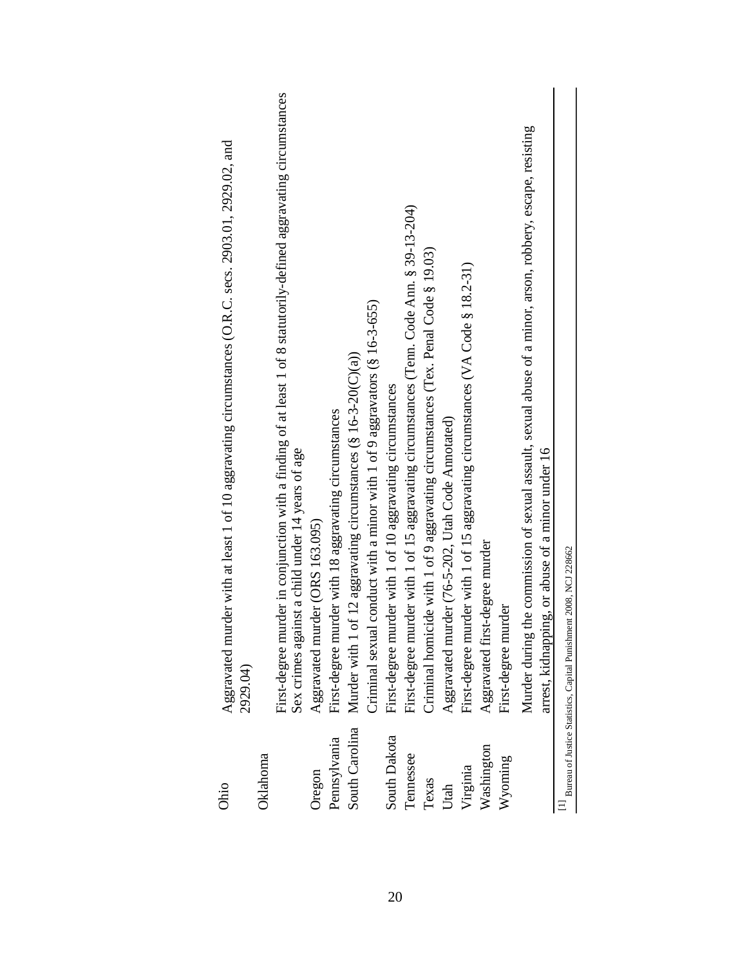| Ohio           | Aggravated murder with at least 1 of 10 aggravating circumstances (O.R.C. secs. 2903.01, 2929.02, and<br>2929.04)                                                      |
|----------------|------------------------------------------------------------------------------------------------------------------------------------------------------------------------|
| Oklahoma       |                                                                                                                                                                        |
|                | First-degree murder in conjunction with a finding of at least 1 of 8 statutorily-defined aggravating circumstances<br>Sex crimes against a child under 14 years of age |
| Oregon         | Aggravated murder (ORS 163.095)                                                                                                                                        |
| Pennsylvania   | First-degree murder with 18 aggravating circumstances                                                                                                                  |
| South Carolina | Murder with 1 of 12 aggravating circumstances (§ 16-3-20(C)(a))                                                                                                        |
|                | Criminal sexual conduct with a minor with 1 of 9 aggravators (§ 16-3-655)                                                                                              |
| South Dakota   | First-degree murder with 1 of 10 aggravating circumstances                                                                                                             |
| Tennessee      | First-degree murder with 1 of 15 aggravating circumstances (Tenn. Code Ann. § 39-13-204)                                                                               |
| Texas          | Criminal homicide with 1 of 9 aggravating circumstances (Tex. Penal Code § 19.03)                                                                                      |
| Utah           | Aggravated murder (76-5-202, Utah Code Annotated)                                                                                                                      |
| Virginia       | First-degree murder with 1 of 15 aggravating circumstances (VA Code § 18.2-31)                                                                                         |
| Washington     | Aggravated first-degree murder                                                                                                                                         |
| Wyoming        | First-degree murder                                                                                                                                                    |
|                | Murder during the commission of sexual assault, sexual abuse of a minor, arson, robbery, escape, resisting<br>arrest, kidnapping, or abuse of a minor under 16         |
|                | Bureau of Justice Statistics, Capital Punishment 2008, NCJ 228662                                                                                                      |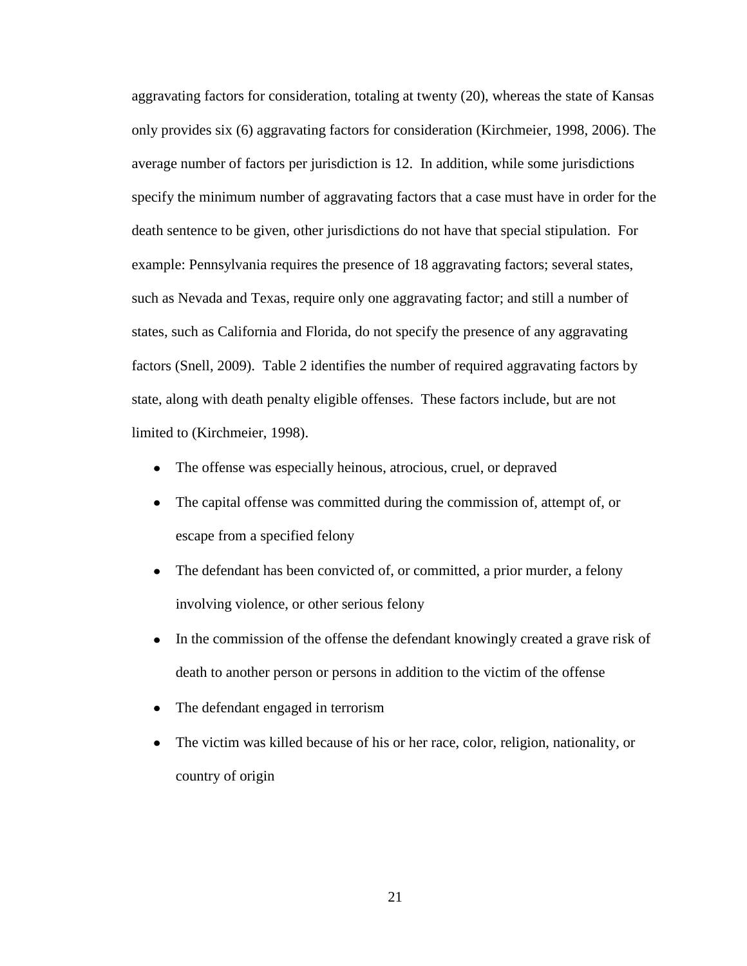aggravating factors for consideration, totaling at twenty (20), whereas the state of Kansas only provides six (6) aggravating factors for consideration (Kirchmeier, 1998, 2006). The average number of factors per jurisdiction is 12. In addition, while some jurisdictions specify the minimum number of aggravating factors that a case must have in order for the death sentence to be given, other jurisdictions do not have that special stipulation. For example: Pennsylvania requires the presence of 18 aggravating factors; several states, such as Nevada and Texas, require only one aggravating factor; and still a number of states, such as California and Florida, do not specify the presence of any aggravating factors (Snell, 2009). Table 2 identifies the number of required aggravating factors by state, along with death penalty eligible offenses. These factors include, but are not limited to (Kirchmeier, 1998).

- $\bullet$ The offense was especially heinous, atrocious, cruel, or depraved
- The capital offense was committed during the commission of, attempt of, or escape from a specified felony
- The defendant has been convicted of, or committed, a prior murder, a felony  $\bullet$ involving violence, or other serious felony
- $\bullet$ In the commission of the offense the defendant knowingly created a grave risk of death to another person or persons in addition to the victim of the offense
- The defendant engaged in terrorism  $\bullet$
- The victim was killed because of his or her race, color, religion, nationality, or  $\bullet$ country of origin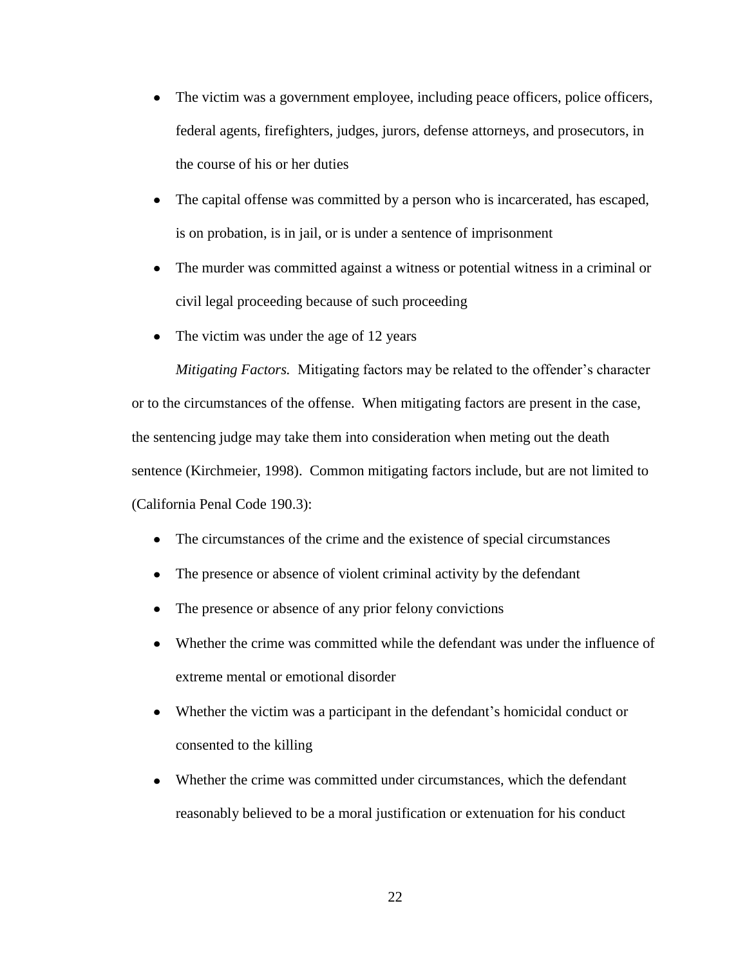- The victim was a government employee, including peace officers, police officers, federal agents, firefighters, judges, jurors, defense attorneys, and prosecutors, in the course of his or her duties
- The capital offense was committed by a person who is incarcerated, has escaped, is on probation, is in jail, or is under a sentence of imprisonment
- The murder was committed against a witness or potential witness in a criminal or  $\bullet$ civil legal proceeding because of such proceeding
- The victim was under the age of 12 years

*Mitigating Factors.* Mitigating factors may be related to the offender's character or to the circumstances of the offense. When mitigating factors are present in the case, the sentencing judge may take them into consideration when meting out the death sentence (Kirchmeier, 1998). Common mitigating factors include, but are not limited to (California Penal Code 190.3):

- The circumstances of the crime and the existence of special circumstances
- The presence or absence of violent criminal activity by the defendant  $\bullet$
- $\bullet$ The presence or absence of any prior felony convictions
- Whether the crime was committed while the defendant was under the influence of extreme mental or emotional disorder
- Whether the victim was a participant in the defendant's homicidal conduct or consented to the killing
- Whether the crime was committed under circumstances, which the defendant  $\bullet$ reasonably believed to be a moral justification or extenuation for his conduct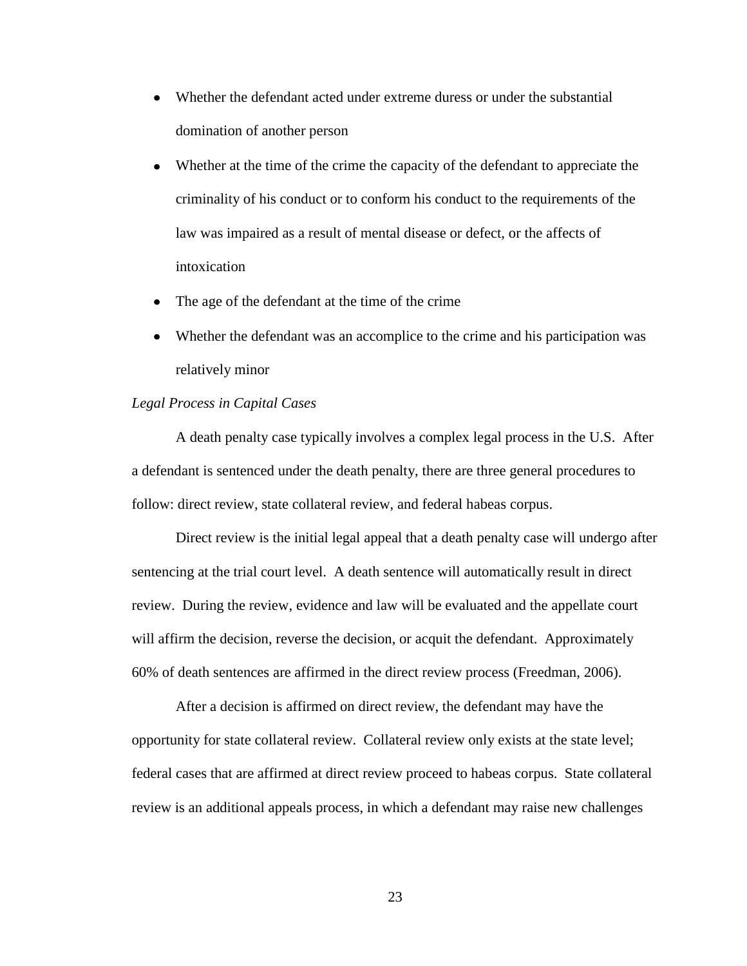- Whether the defendant acted under extreme duress or under the substantial domination of another person
- Whether at the time of the crime the capacity of the defendant to appreciate the criminality of his conduct or to conform his conduct to the requirements of the law was impaired as a result of mental disease or defect, or the affects of intoxication
- The age of the defendant at the time of the crime  $\bullet$
- Whether the defendant was an accomplice to the crime and his participation was relatively minor

#### *Legal Process in Capital Cases*

A death penalty case typically involves a complex legal process in the U.S. After a defendant is sentenced under the death penalty, there are three general procedures to follow: direct review, state collateral review, and federal habeas corpus.

Direct review is the initial legal appeal that a death penalty case will undergo after sentencing at the trial court level. A death sentence will automatically result in direct review. During the review, evidence and law will be evaluated and the appellate court will affirm the decision, reverse the decision, or acquit the defendant. Approximately 60% of death sentences are affirmed in the direct review process (Freedman, 2006).

After a decision is affirmed on direct review, the defendant may have the opportunity for state collateral review. Collateral review only exists at the state level; federal cases that are affirmed at direct review proceed to habeas corpus. State collateral review is an additional appeals process, in which a defendant may raise new challenges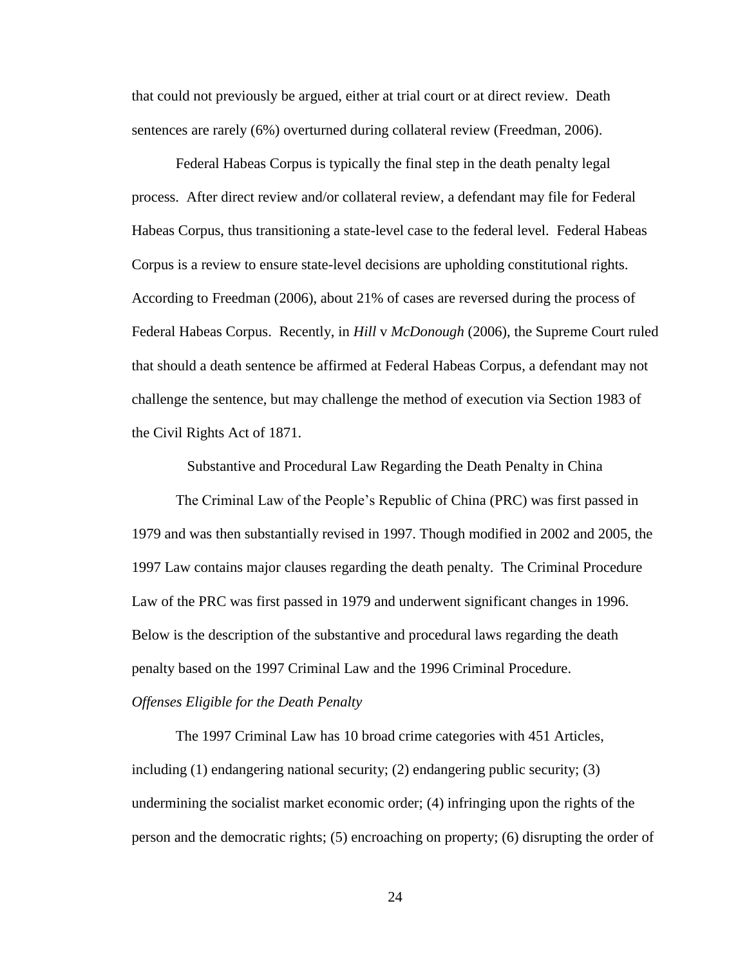that could not previously be argued, either at trial court or at direct review. Death sentences are rarely (6%) overturned during collateral review (Freedman, 2006).

Federal Habeas Corpus is typically the final step in the death penalty legal process. After direct review and/or collateral review, a defendant may file for Federal Habeas Corpus, thus transitioning a state-level case to the federal level. Federal Habeas Corpus is a review to ensure state-level decisions are upholding constitutional rights. According to Freedman (2006), about 21% of cases are reversed during the process of Federal Habeas Corpus. Recently, in *Hill* v *McDonough* (2006), the Supreme Court ruled that should a death sentence be affirmed at Federal Habeas Corpus, a defendant may not challenge the sentence, but may challenge the method of execution via Section 1983 of the Civil Rights Act of 1871.

Substantive and Procedural Law Regarding the Death Penalty in China

The Criminal Law of the People's Republic of China (PRC) was first passed in 1979 and was then substantially revised in 1997. Though modified in 2002 and 2005, the 1997 Law contains major clauses regarding the death penalty. The Criminal Procedure Law of the PRC was first passed in 1979 and underwent significant changes in 1996. Below is the description of the substantive and procedural laws regarding the death penalty based on the 1997 Criminal Law and the 1996 Criminal Procedure.

#### *Offenses Eligible for the Death Penalty*

The 1997 Criminal Law has 10 broad crime categories with 451 Articles, including (1) endangering national security; (2) endangering public security; (3) undermining the socialist market economic order; (4) infringing upon the rights of the person and the democratic rights; (5) encroaching on property; (6) disrupting the order of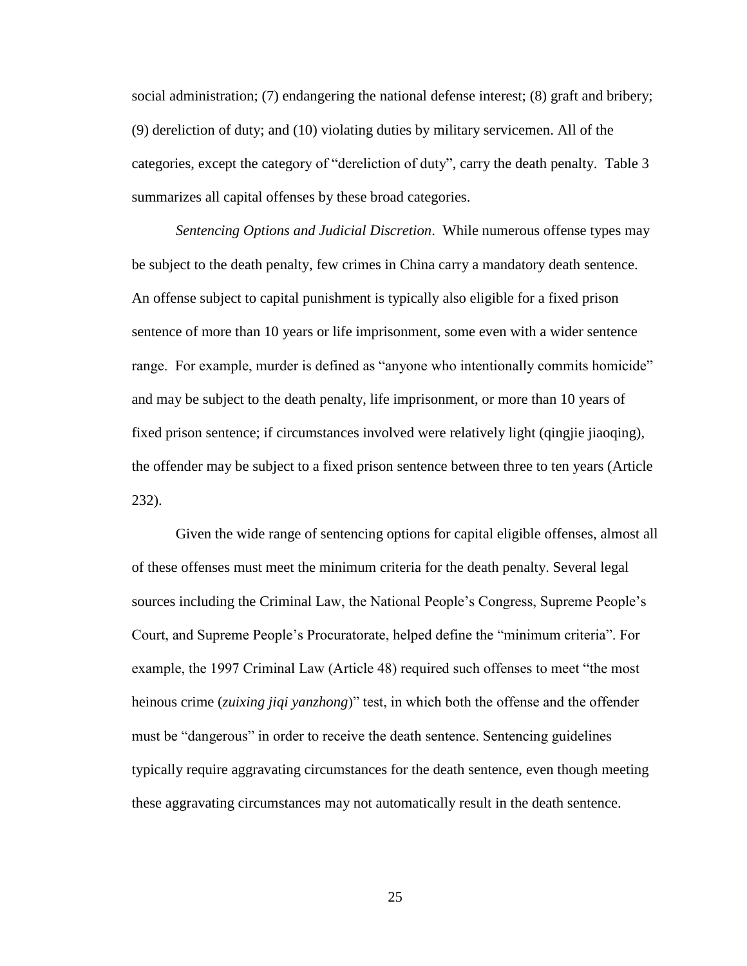social administration; (7) endangering the national defense interest; (8) graft and bribery; (9) dereliction of duty; and (10) violating duties by military servicemen. All of the categories, except the category of "dereliction of duty", carry the death penalty. Table 3 summarizes all capital offenses by these broad categories.

*Sentencing Options and Judicial Discretion*. While numerous offense types may be subject to the death penalty, few crimes in China carry a mandatory death sentence. An offense subject to capital punishment is typically also eligible for a fixed prison sentence of more than 10 years or life imprisonment, some even with a wider sentence range. For example, murder is defined as "anyone who intentionally commits homicide" and may be subject to the death penalty, life imprisonment, or more than 10 years of fixed prison sentence; if circumstances involved were relatively light (qingjie jiaoqing), the offender may be subject to a fixed prison sentence between three to ten years (Article 232).

Given the wide range of sentencing options for capital eligible offenses, almost all of these offenses must meet the minimum criteria for the death penalty. Several legal sources including the Criminal Law, the National People's Congress, Supreme People's Court, and Supreme People's Procuratorate, helped define the "minimum criteria". For example, the 1997 Criminal Law (Article 48) required such offenses to meet "the most heinous crime (*zuixing jiqi yanzhong*)" test, in which both the offense and the offender must be "dangerous" in order to receive the death sentence. Sentencing guidelines typically require aggravating circumstances for the death sentence, even though meeting these aggravating circumstances may not automatically result in the death sentence.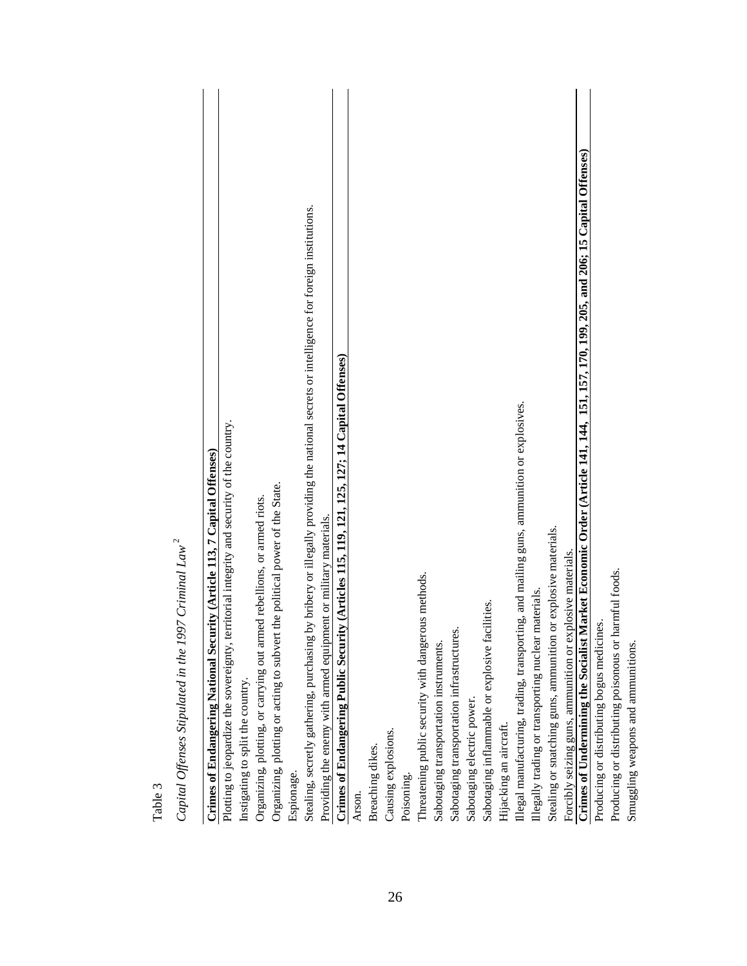| Table 3                                                                                                                                      |
|----------------------------------------------------------------------------------------------------------------------------------------------|
| Capital Offenses Stipulated in the 1997 Criminal Law <sup>2</sup>                                                                            |
| Crimes of Endangering National Security (Article 113, 7 Capital Offenses)                                                                    |
| Plotting to jeopardize the sovereignty, territorial integrity and security of the country.                                                   |
| Instigating to split the country                                                                                                             |
| Organizing, plotting, or carrying out armed rebellions, or armed riots.                                                                      |
| Organizing, plotting or acting to subvert the political power of the State.                                                                  |
| Espionage.                                                                                                                                   |
| by bribery or illegally providing the national secrets or intelligence for foreign institutions.<br>Stealing, secretly gathering, purchasing |
| Providing the enemy with armed equipment or military materials.                                                                              |
| ty (Articles 115, 119, 121, 125, 127; 14 Capital Offenses)<br>Crimes of Endangering Public Securit                                           |
| Arson.                                                                                                                                       |
| Breaching dikes.                                                                                                                             |
| Causing explosions.                                                                                                                          |
| Poisoning.                                                                                                                                   |
| Threatening public security with dangerous methods.                                                                                          |
| Sabotaging transportation instruments.                                                                                                       |
| Sabotaging transportation infrastructures.                                                                                                   |
| Sabotaging electric power.                                                                                                                   |
| Sabotaging inflammable or explosive facilities.                                                                                              |
| Hijacking an aircraft.                                                                                                                       |
| Illegal manufacturing, trading, transporting, and mailing guns, ammunition or explosives.                                                    |
| Illegally trading or transporting nuclear materials.                                                                                         |
| or explosive materials.<br>Stealing or snatching guns, ammunition                                                                            |
| Forcibly seizing guns, ammunition or explosive materials.                                                                                    |
| Crimes of Undermining the Socialist Market Economic Order (Article 141, 144, 151, 157, 170, 199, 205, and 206; 15 Capital Offenses)          |
| Producing or distributing bogus medicines.                                                                                                   |
| Producing or distributing poisonous or harmful foods.                                                                                        |
| Smuggling weapons and ammunitions.                                                                                                           |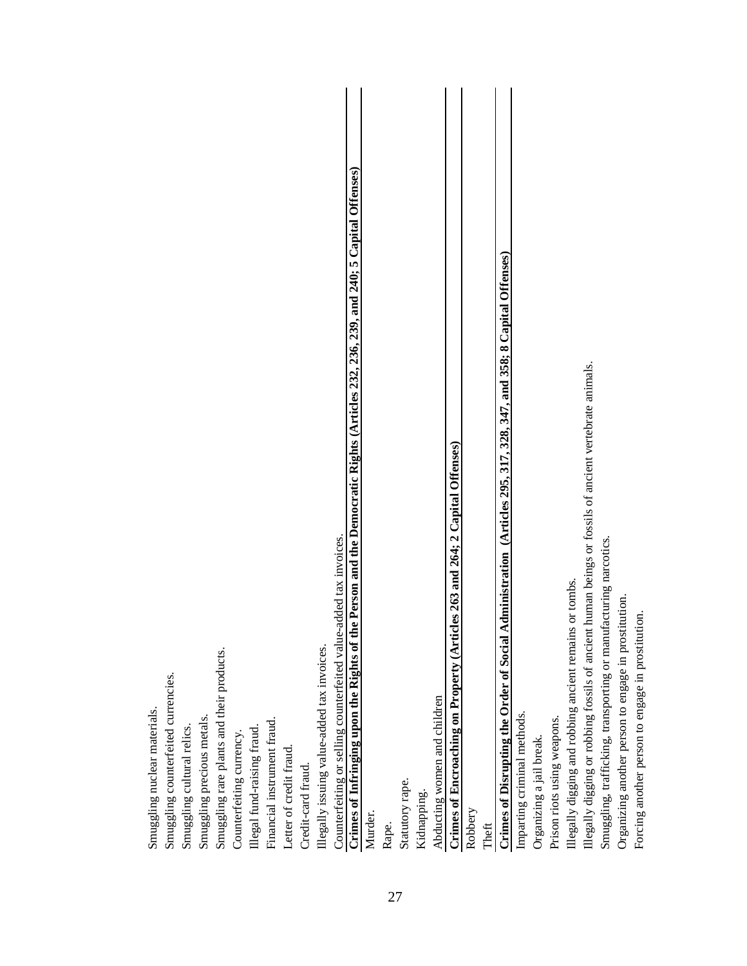| Illegally issuing value-added tax invoices.<br>Smuggling rare plants and their products.<br>Smuggling counterfeited currencies.<br>Smuggling nuclear materials.<br>Smuggling precious metals.<br>Financial instrument fraud.<br>Smuggling cultural relics<br>Illegal fund-raising fraud.<br>Counterfeiting currency.<br>Letter of credit fraud.<br>Credit-card fraud. |
|-----------------------------------------------------------------------------------------------------------------------------------------------------------------------------------------------------------------------------------------------------------------------------------------------------------------------------------------------------------------------|
| Crimes of Infringing upon the Rights of the Person and the Democratic Rights (Articles 232, 236, 239, and 240; 5 Capital Offenses)<br>Counterfeiting or selling counterfeited value-added tax invoices.                                                                                                                                                               |
| Statutory rape.<br>Murder.<br>Rape.                                                                                                                                                                                                                                                                                                                                   |
| Crimes of Encroaching on Property (Articles 263 and 264; 2 Capital Offenses)<br>Abducting women and children<br>Kidnapping.                                                                                                                                                                                                                                           |
| Crimes of Disrupting the Order of Social Administration (Articles 295, 317, 328, 347, and 358; 8 Capital Offenses)<br>Robbery<br>Theft                                                                                                                                                                                                                                |
| or tombs.<br>Illegally digging and robbing ancient remains<br>Imparting criminal methods.<br>Prison riots using weapons.<br>Organizing a jail break.                                                                                                                                                                                                                  |
| human beings or fossils of ancient vertebrate animals.<br>Smuggling, trafficking, transporting or manufacturing narcotics.<br>Organizing another person to engage in prostitution.<br>ion.<br>Illegally digging or robbing fossils of ancient<br>Forcing another person to engage in prostituti                                                                       |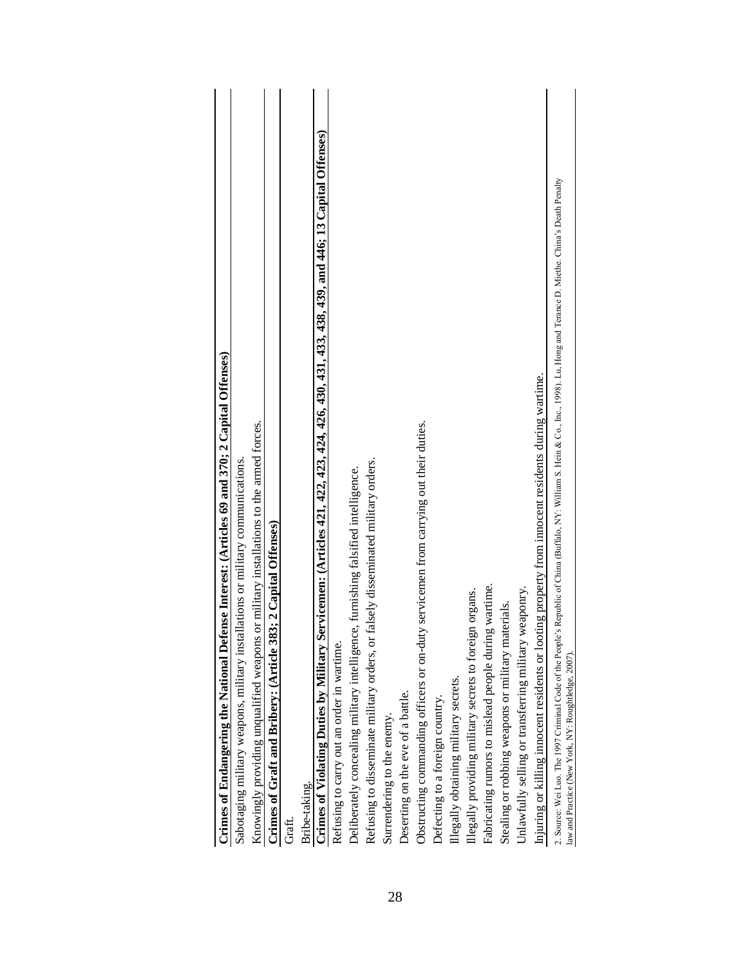| Crimes of Endangering the National Defense Interest: (Articles 69 and 370; 2 Capital Offenses)                                                                                                                                                 |
|------------------------------------------------------------------------------------------------------------------------------------------------------------------------------------------------------------------------------------------------|
| Sabotaging military weapons, military installations or military communications                                                                                                                                                                 |
| Knowingly providing unqualified weapons or military installations to the armed forces.                                                                                                                                                         |
| Crimes of Graft and Bribery: (Article 383; 2 Capital Offenses)                                                                                                                                                                                 |
| Graft.                                                                                                                                                                                                                                         |
| Bribe-taking.                                                                                                                                                                                                                                  |
| Crimes of Violating Duties by Military Servicemen: (Articles 421, 422, 423, 424, 426, 431, 433, 438, 439, and 446; 13 Capital Offenses)                                                                                                        |
| Refusing to carry out an order in wartime.                                                                                                                                                                                                     |
| Deliberately concealing military intelligence, furnishing falsified intelligence.                                                                                                                                                              |
| Refusing to disseminate military orders, or falsely disseminated military orders.                                                                                                                                                              |
| Surrendering to the enemy.                                                                                                                                                                                                                     |
| Deserting on the eve of a battle.                                                                                                                                                                                                              |
| servicemen from carrying out their duties.<br>Obstructing commanding officers or on-duty                                                                                                                                                       |
| Defecting to a foreign country.                                                                                                                                                                                                                |
| Illegally obtaining military secrets.                                                                                                                                                                                                          |
| Illegally providing military secrets to foreign organs.                                                                                                                                                                                        |
| wartime.<br>Fabricating rumors to mislead people during                                                                                                                                                                                        |
| Stealing or robbing weapons or military materials.                                                                                                                                                                                             |
| Unlawfully selling or transferring military weaponry.                                                                                                                                                                                          |
| Injuring or killing innocent residents or looting property from innocent residents during wartime.                                                                                                                                             |
| Republic of China (Buffalo, NY: William S. Hein & Co., Inc., 1998). Lu, Hong and Terance D. Miethe. China's Death Penalty<br>2. Source: Wei Luo. The 1997 Criminal Code of the People's<br>law and Practice (New York, NY: Roughtledge, 2007). |
|                                                                                                                                                                                                                                                |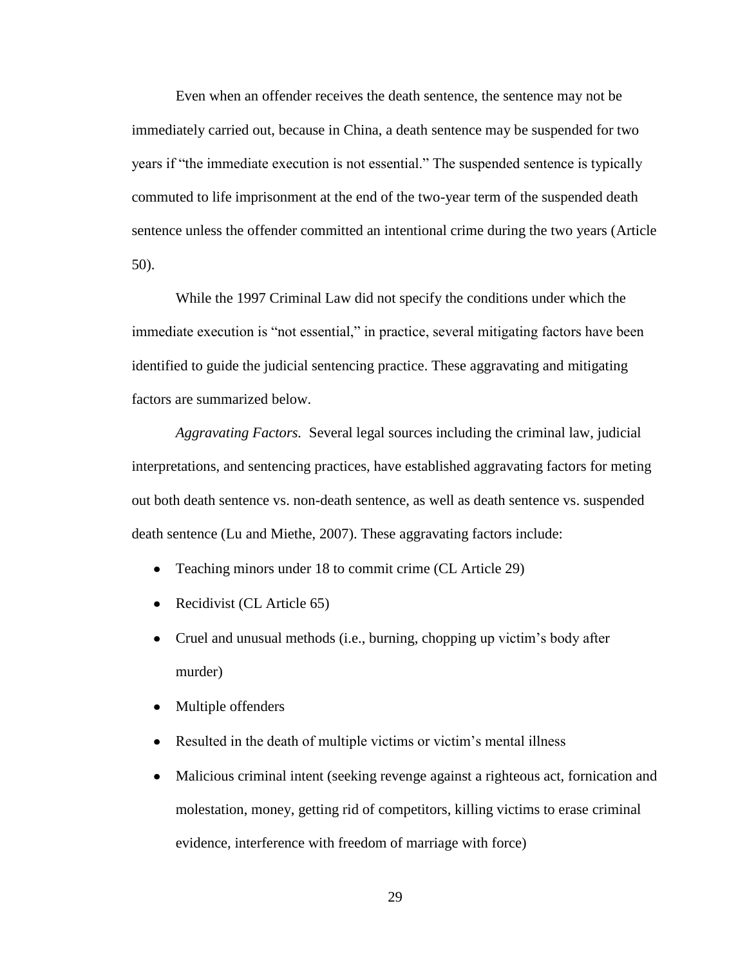Even when an offender receives the death sentence, the sentence may not be immediately carried out, because in China, a death sentence may be suspended for two years if "the immediate execution is not essential." The suspended sentence is typically commuted to life imprisonment at the end of the two-year term of the suspended death sentence unless the offender committed an intentional crime during the two years (Article 50).

While the 1997 Criminal Law did not specify the conditions under which the immediate execution is "not essential," in practice, several mitigating factors have been identified to guide the judicial sentencing practice. These aggravating and mitigating factors are summarized below.

*Aggravating Factors.* Several legal sources including the criminal law, judicial interpretations, and sentencing practices, have established aggravating factors for meting out both death sentence vs. non-death sentence, as well as death sentence vs. suspended death sentence (Lu and Miethe, 2007). These aggravating factors include:

- $\bullet$ Teaching minors under 18 to commit crime (CL Article 29)
- Recidivist (CL Article 65)
- Cruel and unusual methods (i.e., burning, chopping up victim's body after  $\bullet$ murder)
- Multiple offenders  $\bullet$
- $\bullet$ Resulted in the death of multiple victims or victim's mental illness
- Malicious criminal intent (seeking revenge against a righteous act, fornication and  $\bullet$ molestation, money, getting rid of competitors, killing victims to erase criminal evidence, interference with freedom of marriage with force)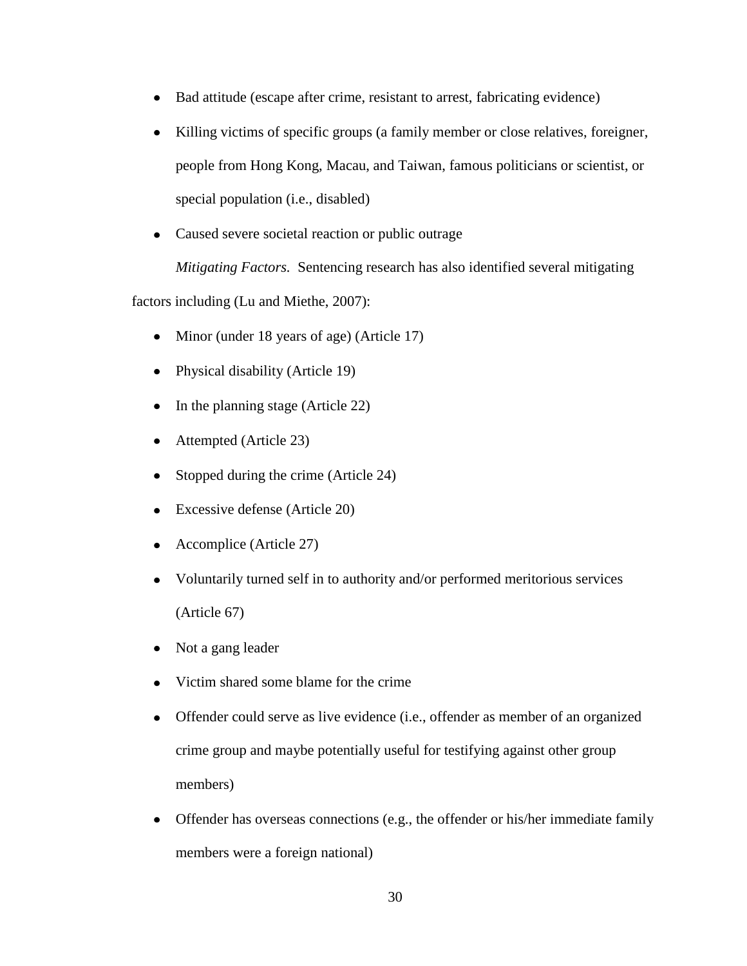- Bad attitude (escape after crime, resistant to arrest, fabricating evidence)  $\bullet$
- Killing victims of specific groups (a family member or close relatives, foreigner,  $\bullet$ people from Hong Kong, Macau, and Taiwan, famous politicians or scientist, or special population (i.e., disabled)
- Caused severe societal reaction or public outrage

*Mitigating Factors.* Sentencing research has also identified several mitigating

factors including (Lu and Miethe, 2007):

- Minor (under 18 years of age) (Article 17)  $\bullet$
- Physical disability (Article 19)
- In the planning stage (Article 22)  $\bullet$
- Attempted (Article 23)  $\bullet$
- Stopped during the crime (Article 24)  $\bullet$
- Excessive defense (Article 20)  $\bullet$
- Accomplice (Article 27)  $\bullet$
- Voluntarily turned self in to authority and/or performed meritorious services  $\bullet$ (Article 67)
- Not a gang leader  $\bullet$
- Victim shared some blame for the crime
- $\bullet$ Offender could serve as live evidence (i.e., offender as member of an organized crime group and maybe potentially useful for testifying against other group members)
- Offender has overseas connections (e.g., the offender or his/her immediate family members were a foreign national)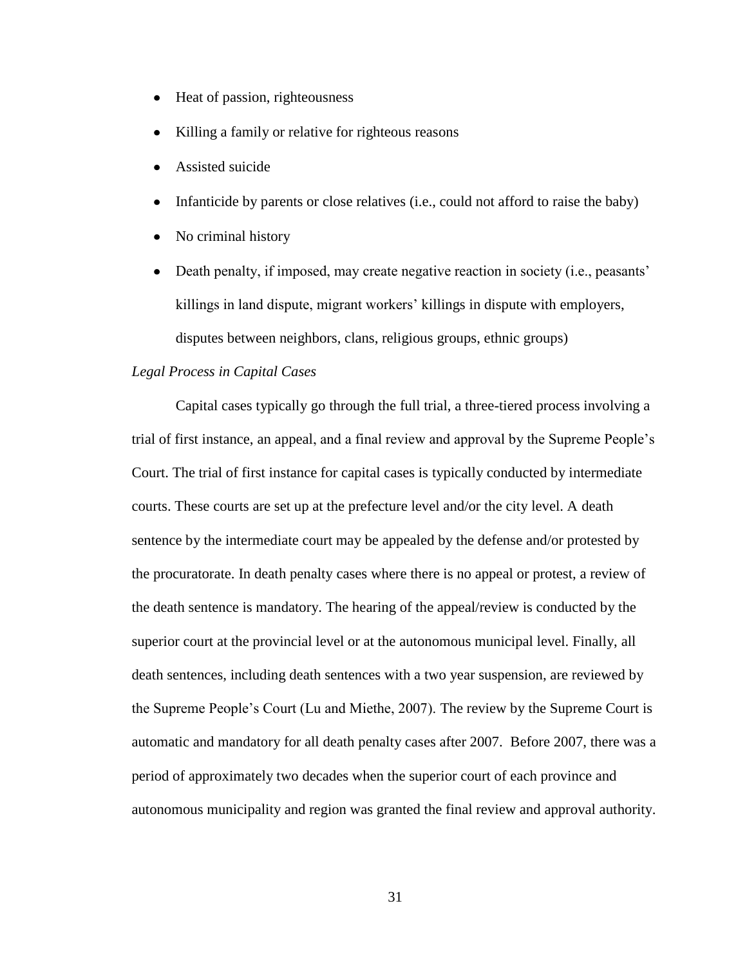- Heat of passion, righteousness  $\bullet$
- Killing a family or relative for righteous reasons
- Assisted suicide
- Infanticide by parents or close relatives (i.e., could not afford to raise the baby)
- No criminal history  $\bullet$
- Death penalty, if imposed, may create negative reaction in society (i.e., peasants'  $\bullet$ killings in land dispute, migrant workers' killings in dispute with employers, disputes between neighbors, clans, religious groups, ethnic groups)

#### *Legal Process in Capital Cases*

Capital cases typically go through the full trial, a three-tiered process involving a trial of first instance, an appeal, and a final review and approval by the Supreme People's Court. The trial of first instance for capital cases is typically conducted by intermediate courts. These courts are set up at the prefecture level and/or the city level. A death sentence by the intermediate court may be appealed by the defense and/or protested by the procuratorate. In death penalty cases where there is no appeal or protest, a review of the death sentence is mandatory. The hearing of the appeal/review is conducted by the superior court at the provincial level or at the autonomous municipal level. Finally, all death sentences, including death sentences with a two year suspension, are reviewed by the Supreme People's Court (Lu and Miethe, 2007). The review by the Supreme Court is automatic and mandatory for all death penalty cases after 2007. Before 2007, there was a period of approximately two decades when the superior court of each province and autonomous municipality and region was granted the final review and approval authority.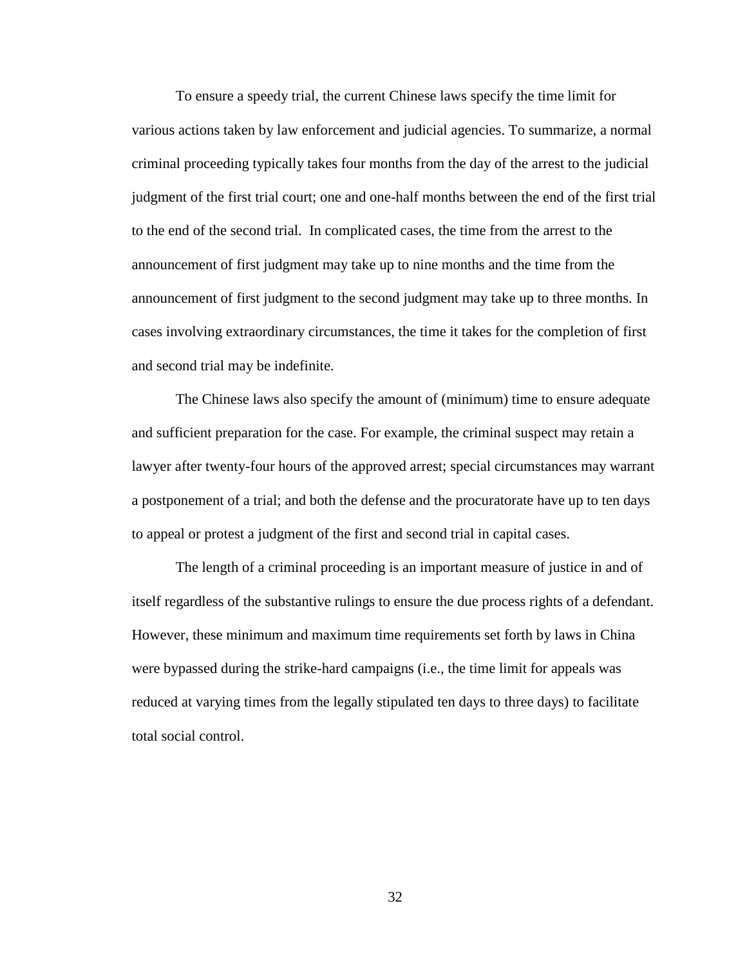To ensure a speedy trial, the current Chinese laws specify the time limit for various actions taken by law enforcement and judicial agencies. To summarize, a normal criminal proceeding typically takes four months from the day of the arrest to the judicial judgment of the first trial court; one and one-half months between the end of the first trial to the end of the second trial. In complicated cases, the time from the arrest to the announcement of first judgment may take up to nine months and the time from the announcement of first judgment to the second judgment may take up to three months. In cases involving extraordinary circumstances, the time it takes for the completion of first and second trial may be indefinite.

The Chinese laws also specify the amount of (minimum) time to ensure adequate and sufficient preparation for the case. For example, the criminal suspect may retain a lawyer after twenty-four hours of the approved arrest; special circumstances may warrant a postponement of a trial; and both the defense and the procuratorate have up to ten days to appeal or protest a judgment of the first and second trial in capital cases.

The length of a criminal proceeding is an important measure of justice in and of itself regardless of the substantive rulings to ensure the due process rights of a defendant. However, these minimum and maximum time requirements set forth by laws in China were bypassed during the strike-hard campaigns (i.e., the time limit for appeals was reduced at varying times from the legally stipulated ten days to three days) to facilitate total social control.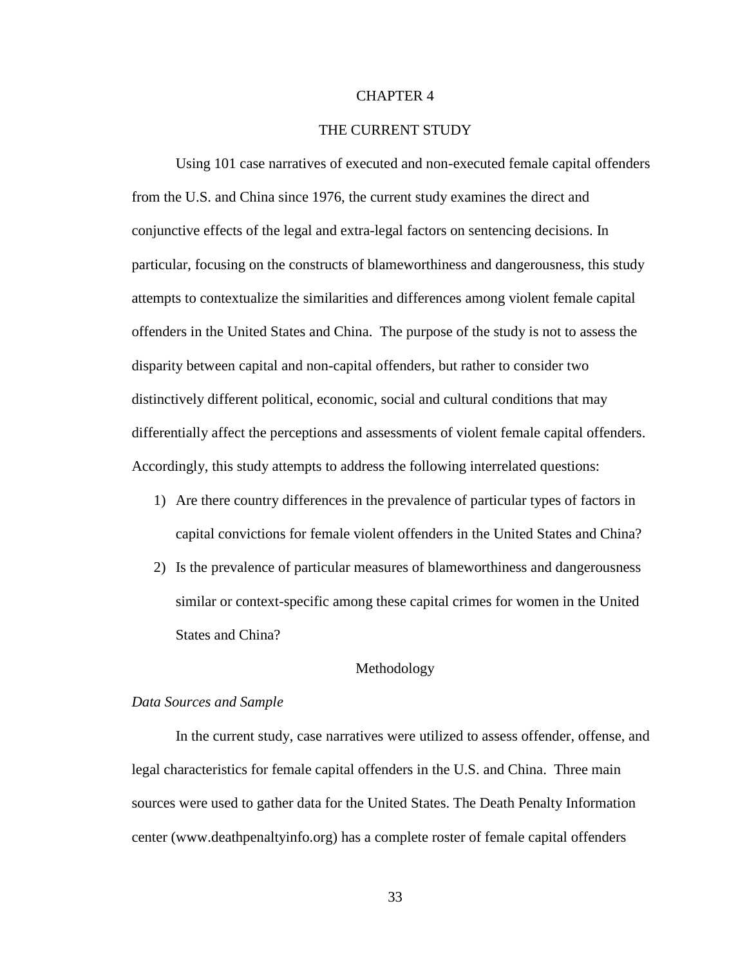#### CHAPTER 4

#### THE CURRENT STUDY

Using 101 case narratives of executed and non-executed female capital offenders from the U.S. and China since 1976, the current study examines the direct and conjunctive effects of the legal and extra-legal factors on sentencing decisions. In particular, focusing on the constructs of blameworthiness and dangerousness, this study attempts to contextualize the similarities and differences among violent female capital offenders in the United States and China. The purpose of the study is not to assess the disparity between capital and non-capital offenders, but rather to consider two distinctively different political, economic, social and cultural conditions that may differentially affect the perceptions and assessments of violent female capital offenders. Accordingly, this study attempts to address the following interrelated questions:

- 1) Are there country differences in the prevalence of particular types of factors in capital convictions for female violent offenders in the United States and China?
- 2) Is the prevalence of particular measures of blameworthiness and dangerousness similar or context-specific among these capital crimes for women in the United States and China?

#### Methodology

#### *Data Sources and Sample*

In the current study, case narratives were utilized to assess offender, offense, and legal characteristics for female capital offenders in the U.S. and China. Three main sources were used to gather data for the United States. The Death Penalty Information center (www.deathpenaltyinfo.org) has a complete roster of female capital offenders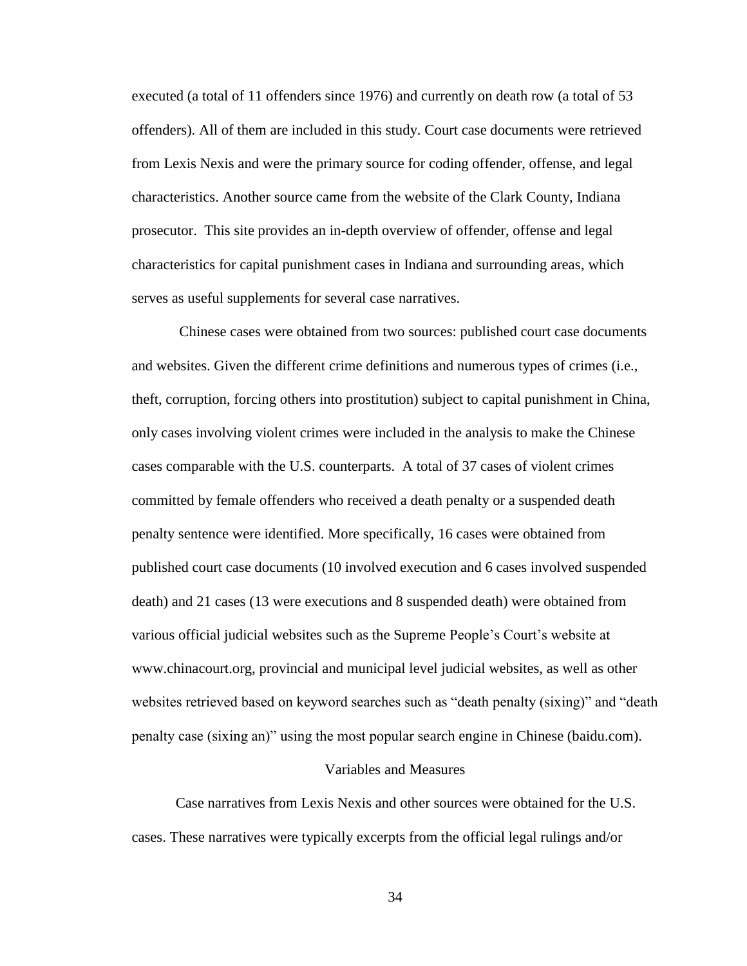executed (a total of 11 offenders since 1976) and currently on death row (a total of 53 offenders). All of them are included in this study. Court case documents were retrieved from Lexis Nexis and were the primary source for coding offender, offense, and legal characteristics. Another source came from the website of the Clark County, Indiana prosecutor. This site provides an in-depth overview of offender, offense and legal characteristics for capital punishment cases in Indiana and surrounding areas, which serves as useful supplements for several case narratives.

Chinese cases were obtained from two sources: published court case documents and websites. Given the different crime definitions and numerous types of crimes (i.e., theft, corruption, forcing others into prostitution) subject to capital punishment in China, only cases involving violent crimes were included in the analysis to make the Chinese cases comparable with the U.S. counterparts. A total of 37 cases of violent crimes committed by female offenders who received a death penalty or a suspended death penalty sentence were identified. More specifically, 16 cases were obtained from published court case documents (10 involved execution and 6 cases involved suspended death) and 21 cases (13 were executions and 8 suspended death) were obtained from various official judicial websites such as the Supreme People's Court's website at www.chinacourt.org, provincial and municipal level judicial websites, as well as other websites retrieved based on keyword searches such as "death penalty (sixing)" and "death penalty case (sixing an)" using the most popular search engine in Chinese (baidu.com).

#### Variables and Measures

Case narratives from Lexis Nexis and other sources were obtained for the U.S. cases. These narratives were typically excerpts from the official legal rulings and/or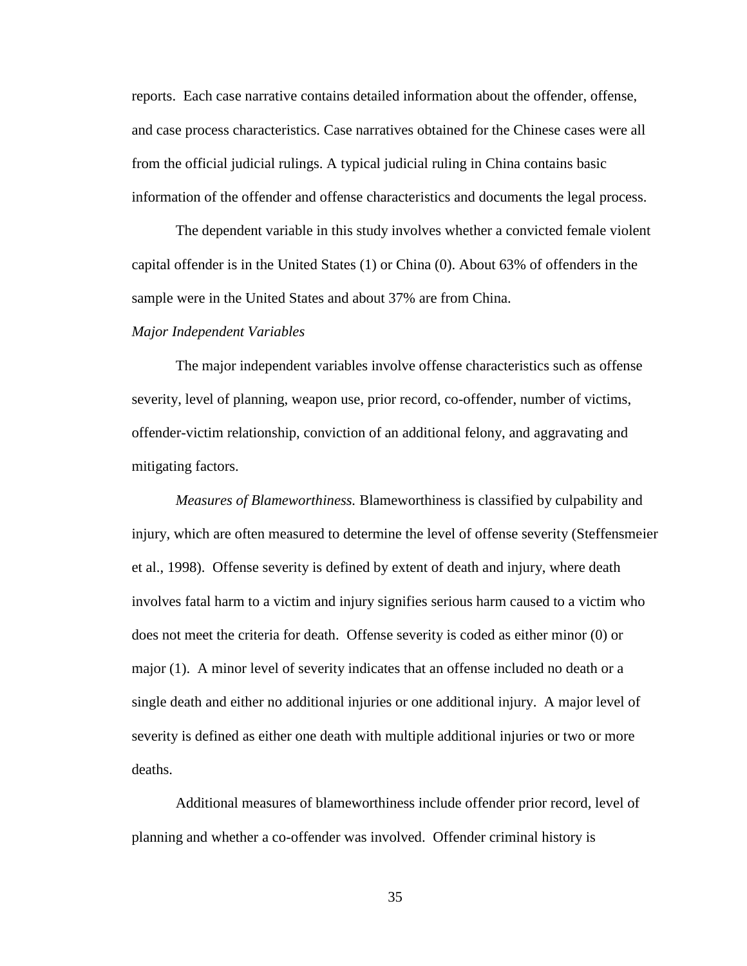reports. Each case narrative contains detailed information about the offender, offense, and case process characteristics. Case narratives obtained for the Chinese cases were all from the official judicial rulings. A typical judicial ruling in China contains basic information of the offender and offense characteristics and documents the legal process.

The dependent variable in this study involves whether a convicted female violent capital offender is in the United States (1) or China (0). About 63% of offenders in the sample were in the United States and about 37% are from China.

#### *Major Independent Variables*

The major independent variables involve offense characteristics such as offense severity, level of planning, weapon use, prior record, co-offender, number of victims, offender-victim relationship, conviction of an additional felony, and aggravating and mitigating factors.

*Measures of Blameworthiness.* Blameworthiness is classified by culpability and injury, which are often measured to determine the level of offense severity (Steffensmeier et al., 1998). Offense severity is defined by extent of death and injury, where death involves fatal harm to a victim and injury signifies serious harm caused to a victim who does not meet the criteria for death. Offense severity is coded as either minor (0) or major (1). A minor level of severity indicates that an offense included no death or a single death and either no additional injuries or one additional injury. A major level of severity is defined as either one death with multiple additional injuries or two or more deaths.

Additional measures of blameworthiness include offender prior record, level of planning and whether a co-offender was involved. Offender criminal history is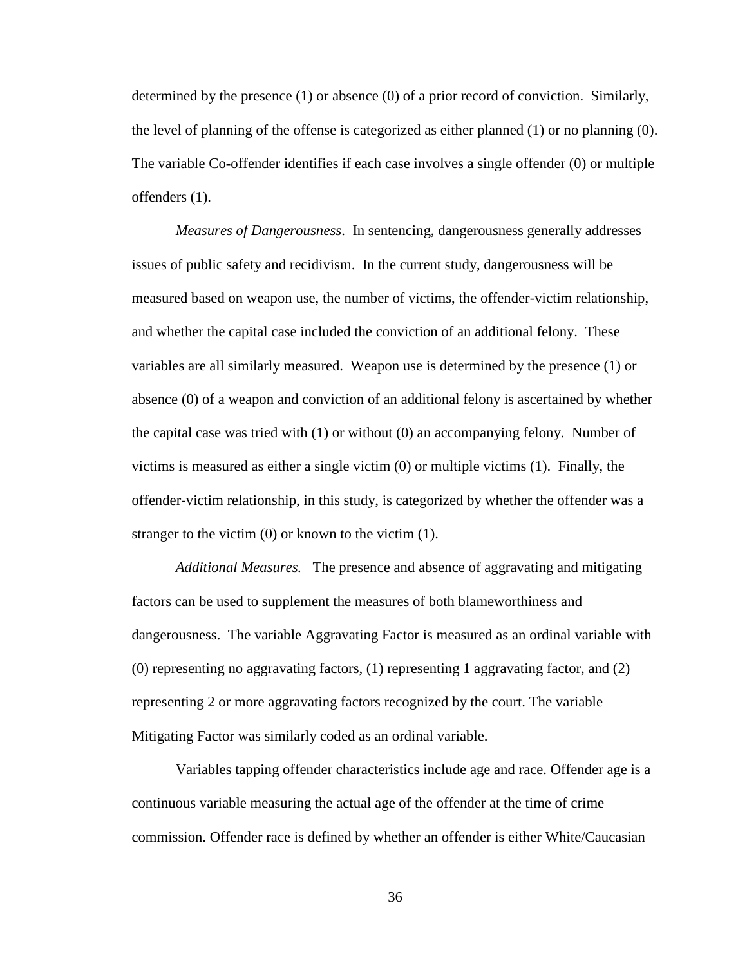determined by the presence  $(1)$  or absence  $(0)$  of a prior record of conviction. Similarly, the level of planning of the offense is categorized as either planned (1) or no planning (0). The variable Co-offender identifies if each case involves a single offender (0) or multiple offenders (1).

*Measures of Dangerousness*. In sentencing, dangerousness generally addresses issues of public safety and recidivism. In the current study, dangerousness will be measured based on weapon use, the number of victims, the offender-victim relationship, and whether the capital case included the conviction of an additional felony. These variables are all similarly measured. Weapon use is determined by the presence (1) or absence (0) of a weapon and conviction of an additional felony is ascertained by whether the capital case was tried with (1) or without (0) an accompanying felony. Number of victims is measured as either a single victim (0) or multiple victims (1). Finally, the offender-victim relationship, in this study, is categorized by whether the offender was a stranger to the victim  $(0)$  or known to the victim  $(1)$ .

*Additional Measures.* The presence and absence of aggravating and mitigating factors can be used to supplement the measures of both blameworthiness and dangerousness. The variable Aggravating Factor is measured as an ordinal variable with (0) representing no aggravating factors, (1) representing 1 aggravating factor, and (2) representing 2 or more aggravating factors recognized by the court. The variable Mitigating Factor was similarly coded as an ordinal variable.

Variables tapping offender characteristics include age and race. Offender age is a continuous variable measuring the actual age of the offender at the time of crime commission. Offender race is defined by whether an offender is either White/Caucasian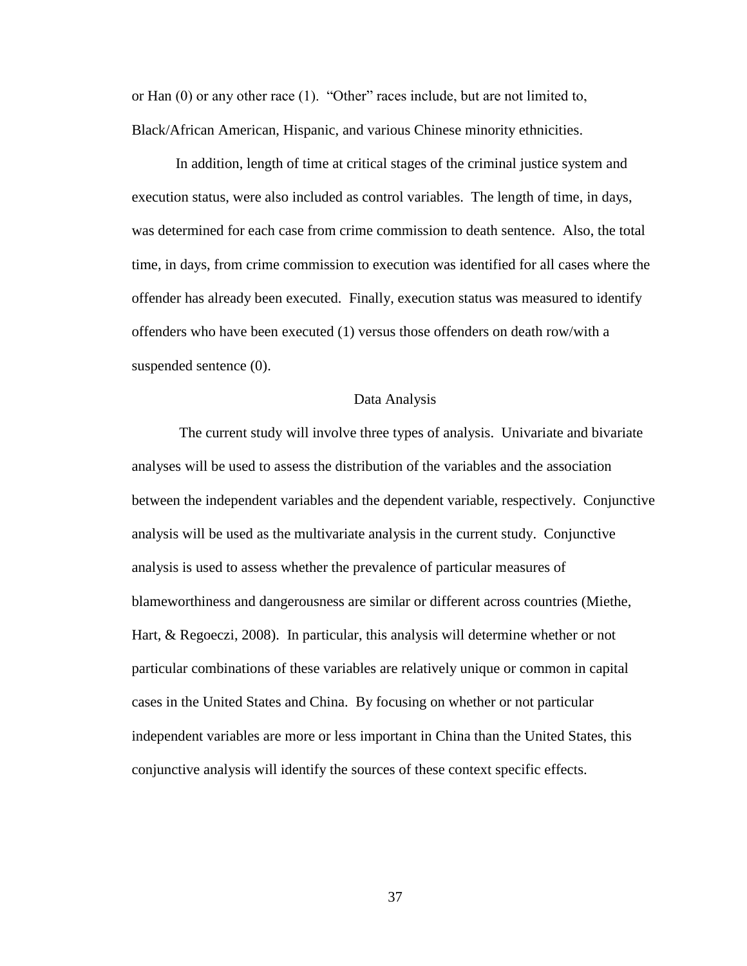or Han (0) or any other race (1). "Other" races include, but are not limited to, Black/African American, Hispanic, and various Chinese minority ethnicities.

In addition, length of time at critical stages of the criminal justice system and execution status, were also included as control variables. The length of time, in days, was determined for each case from crime commission to death sentence. Also, the total time, in days, from crime commission to execution was identified for all cases where the offender has already been executed. Finally, execution status was measured to identify offenders who have been executed (1) versus those offenders on death row/with a suspended sentence  $(0)$ .

#### Data Analysis

The current study will involve three types of analysis. Univariate and bivariate analyses will be used to assess the distribution of the variables and the association between the independent variables and the dependent variable, respectively. Conjunctive analysis will be used as the multivariate analysis in the current study. Conjunctive analysis is used to assess whether the prevalence of particular measures of blameworthiness and dangerousness are similar or different across countries (Miethe, Hart, & Regoeczi, 2008). In particular, this analysis will determine whether or not particular combinations of these variables are relatively unique or common in capital cases in the United States and China. By focusing on whether or not particular independent variables are more or less important in China than the United States, this conjunctive analysis will identify the sources of these context specific effects.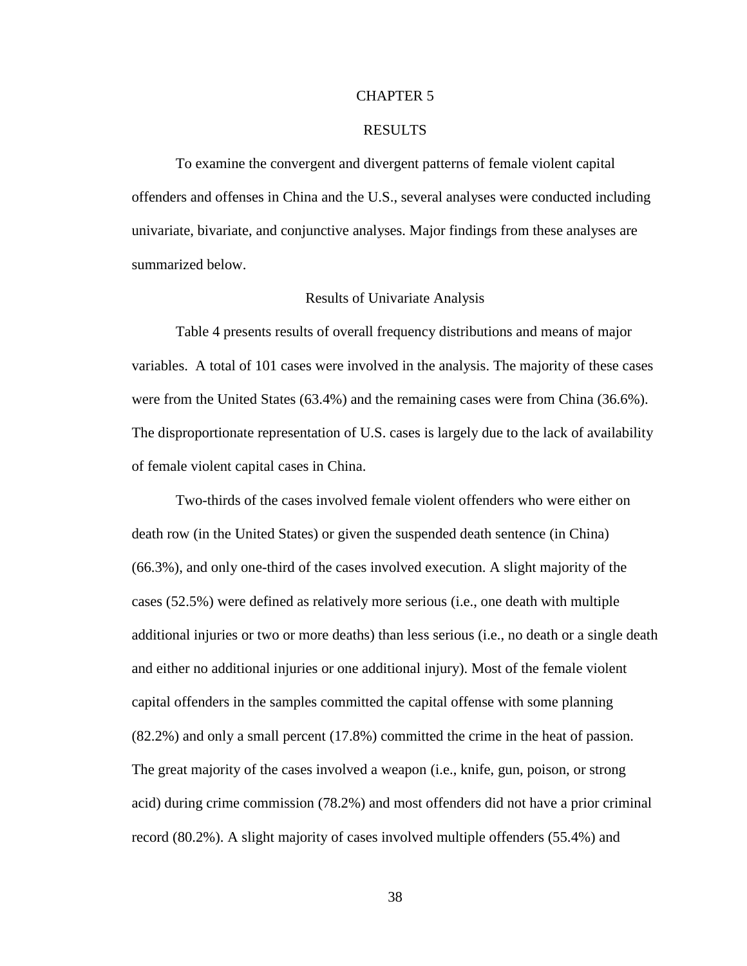#### CHAPTER 5

#### RESULTS

To examine the convergent and divergent patterns of female violent capital offenders and offenses in China and the U.S., several analyses were conducted including univariate, bivariate, and conjunctive analyses. Major findings from these analyses are summarized below.

#### Results of Univariate Analysis

Table 4 presents results of overall frequency distributions and means of major variables. A total of 101 cases were involved in the analysis. The majority of these cases were from the United States (63.4%) and the remaining cases were from China (36.6%). The disproportionate representation of U.S. cases is largely due to the lack of availability of female violent capital cases in China.

Two-thirds of the cases involved female violent offenders who were either on death row (in the United States) or given the suspended death sentence (in China) (66.3%), and only one-third of the cases involved execution. A slight majority of the cases (52.5%) were defined as relatively more serious (i.e., one death with multiple additional injuries or two or more deaths) than less serious (i.e., no death or a single death and either no additional injuries or one additional injury). Most of the female violent capital offenders in the samples committed the capital offense with some planning (82.2%) and only a small percent (17.8%) committed the crime in the heat of passion. The great majority of the cases involved a weapon (i.e., knife, gun, poison, or strong acid) during crime commission (78.2%) and most offenders did not have a prior criminal record (80.2%). A slight majority of cases involved multiple offenders (55.4%) and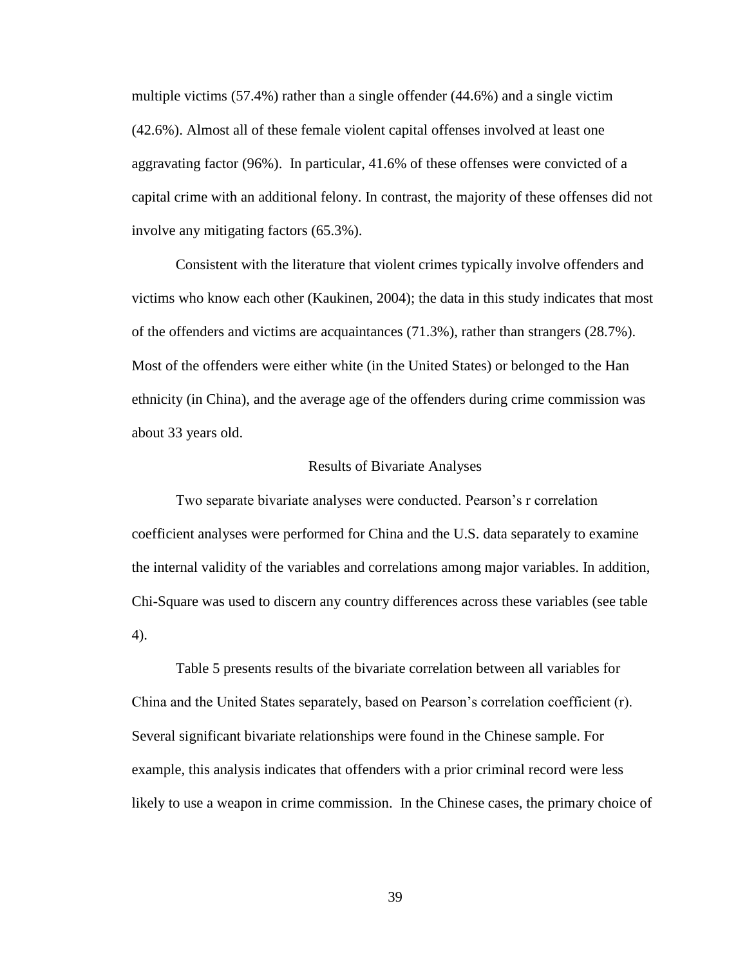multiple victims (57.4%) rather than a single offender (44.6%) and a single victim (42.6%). Almost all of these female violent capital offenses involved at least one aggravating factor (96%). In particular, 41.6% of these offenses were convicted of a capital crime with an additional felony. In contrast, the majority of these offenses did not involve any mitigating factors (65.3%).

Consistent with the literature that violent crimes typically involve offenders and victims who know each other (Kaukinen, 2004); the data in this study indicates that most of the offenders and victims are acquaintances (71.3%), rather than strangers (28.7%). Most of the offenders were either white (in the United States) or belonged to the Han ethnicity (in China), and the average age of the offenders during crime commission was about 33 years old.

#### Results of Bivariate Analyses

Two separate bivariate analyses were conducted. Pearson's r correlation coefficient analyses were performed for China and the U.S. data separately to examine the internal validity of the variables and correlations among major variables. In addition, Chi-Square was used to discern any country differences across these variables (see table 4).

Table 5 presents results of the bivariate correlation between all variables for China and the United States separately, based on Pearson's correlation coefficient (r). Several significant bivariate relationships were found in the Chinese sample. For example, this analysis indicates that offenders with a prior criminal record were less likely to use a weapon in crime commission. In the Chinese cases, the primary choice of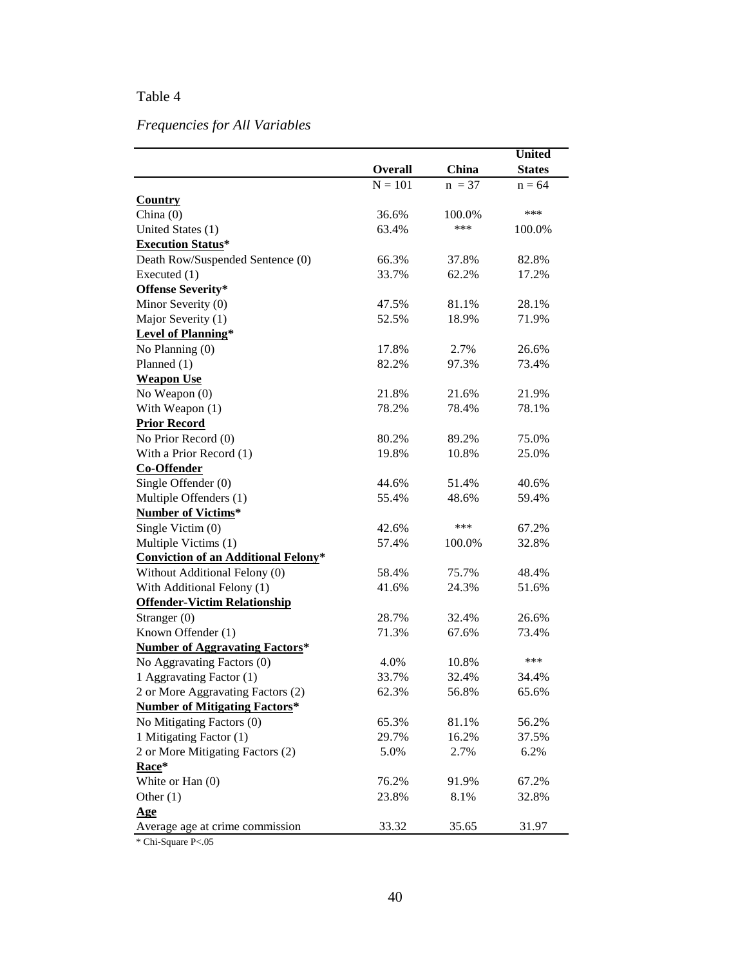# Table 4

# *Frequencies for All Variables*

|                                            |           |          | <b>United</b> |
|--------------------------------------------|-----------|----------|---------------|
|                                            | Overall   | China    | <b>States</b> |
|                                            | $N = 101$ | $n = 37$ | $n = 64$      |
| <b>Country</b>                             |           |          |               |
| China (0)                                  | 36.6%     | 100.0%   | ***           |
| United States (1)                          | 63.4%     | ***      | 100.0%        |
| <b>Execution Status*</b>                   |           |          |               |
| Death Row/Suspended Sentence (0)           | 66.3%     | 37.8%    | 82.8%         |
| Executed (1)                               | 33.7%     | 62.2%    | 17.2%         |
| <b>Offense Severity*</b>                   |           |          |               |
| Minor Severity (0)                         | 47.5%     | 81.1%    | 28.1%         |
| Major Severity (1)                         | 52.5%     | 18.9%    | 71.9%         |
| <b>Level of Planning*</b>                  |           |          |               |
| No Planning (0)                            | 17.8%     | 2.7%     | 26.6%         |
| Planned $(1)$                              | 82.2%     | 97.3%    | 73.4%         |
| <b>Weapon Use</b>                          |           |          |               |
| No Weapon $(0)$                            | 21.8%     | 21.6%    | 21.9%         |
| With Weapon (1)                            | 78.2%     | 78.4%    | 78.1%         |
| <b>Prior Record</b>                        |           |          |               |
| No Prior Record (0)                        | 80.2%     | 89.2%    | 75.0%         |
| With a Prior Record (1)                    | 19.8%     | 10.8%    | 25.0%         |
| <b>Co-Offender</b>                         |           |          |               |
| Single Offender (0)                        | 44.6%     | 51.4%    | 40.6%         |
| Multiple Offenders (1)                     | 55.4%     | 48.6%    | 59.4%         |
| <b>Number of Victims*</b>                  |           |          |               |
| Single Victim (0)                          | 42.6%     | ***      | 67.2%         |
| Multiple Victims (1)                       | 57.4%     | 100.0%   | 32.8%         |
| <b>Conviction of an Additional Felony*</b> |           |          |               |
| Without Additional Felony (0)              | 58.4%     | 75.7%    | 48.4%         |
| With Additional Felony (1)                 | 41.6%     | 24.3%    | 51.6%         |
| <b>Offender-Victim Relationship</b>        |           |          |               |
| Stranger (0)                               | 28.7%     | 32.4%    | 26.6%         |
| Known Offender (1)                         | 71.3%     | 67.6%    | 73.4%         |
| <b>Number of Aggravating Factors*</b>      |           |          |               |
| No Aggravating Factors (0)                 | 4.0%      | 10.8%    | ***           |
| 1 Aggravating Factor (1)                   | 33.7%     | 32.4%    | 34.4%         |
| 2 or More Aggravating Factors (2)          | 62.3%     | 56.8%    | 65.6%         |
| <b>Number of Mitigating Factors*</b>       |           |          |               |
| No Mitigating Factors (0)                  | 65.3%     | 81.1%    | 56.2%         |
| 1 Mitigating Factor (1)                    | 29.7%     | 16.2%    | 37.5%         |
| 2 or More Mitigating Factors (2)           | 5.0%      | 2.7%     | 6.2%          |
| Race*                                      |           |          |               |
| White or Han $(0)$                         | 76.2%     | 91.9%    | 67.2%         |
| Other $(1)$                                | 23.8%     | 8.1%     | 32.8%         |
| Age                                        |           |          |               |
| Average age at crime commission            | 33.32     | 35.65    | 31.97         |
|                                            |           |          |               |

\* Chi-Square P<.05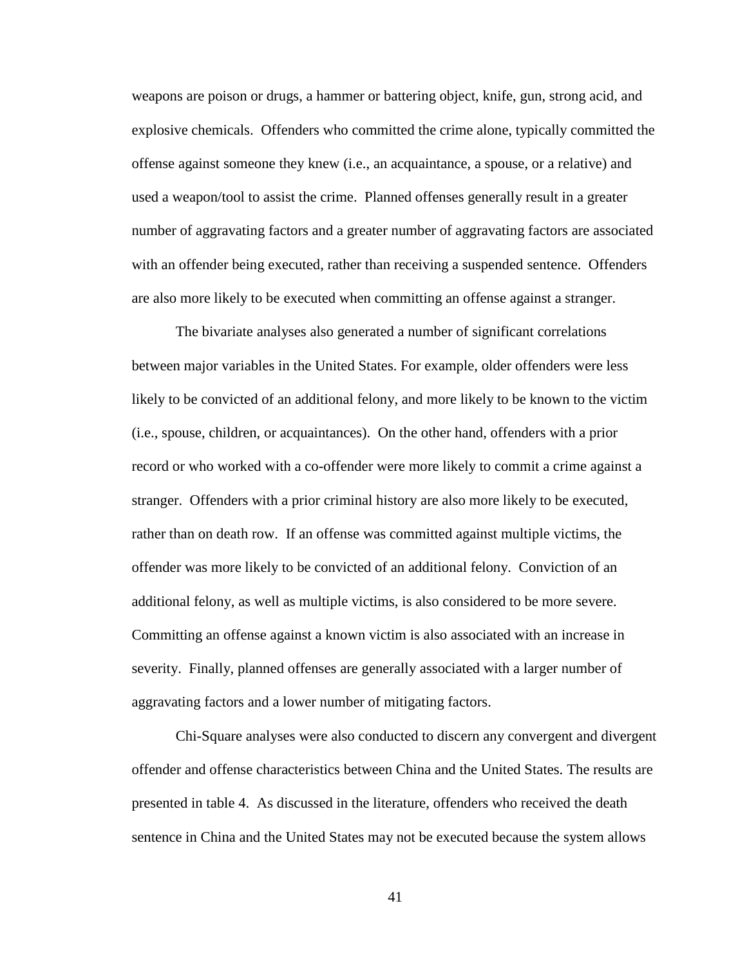weapons are poison or drugs, a hammer or battering object, knife, gun, strong acid, and explosive chemicals. Offenders who committed the crime alone, typically committed the offense against someone they knew (i.e., an acquaintance, a spouse, or a relative) and used a weapon/tool to assist the crime. Planned offenses generally result in a greater number of aggravating factors and a greater number of aggravating factors are associated with an offender being executed, rather than receiving a suspended sentence. Offenders are also more likely to be executed when committing an offense against a stranger.

The bivariate analyses also generated a number of significant correlations between major variables in the United States. For example, older offenders were less likely to be convicted of an additional felony, and more likely to be known to the victim (i.e., spouse, children, or acquaintances). On the other hand, offenders with a prior record or who worked with a co-offender were more likely to commit a crime against a stranger. Offenders with a prior criminal history are also more likely to be executed, rather than on death row. If an offense was committed against multiple victims, the offender was more likely to be convicted of an additional felony. Conviction of an additional felony, as well as multiple victims, is also considered to be more severe. Committing an offense against a known victim is also associated with an increase in severity. Finally, planned offenses are generally associated with a larger number of aggravating factors and a lower number of mitigating factors.

Chi-Square analyses were also conducted to discern any convergent and divergent offender and offense characteristics between China and the United States. The results are presented in table 4. As discussed in the literature, offenders who received the death sentence in China and the United States may not be executed because the system allows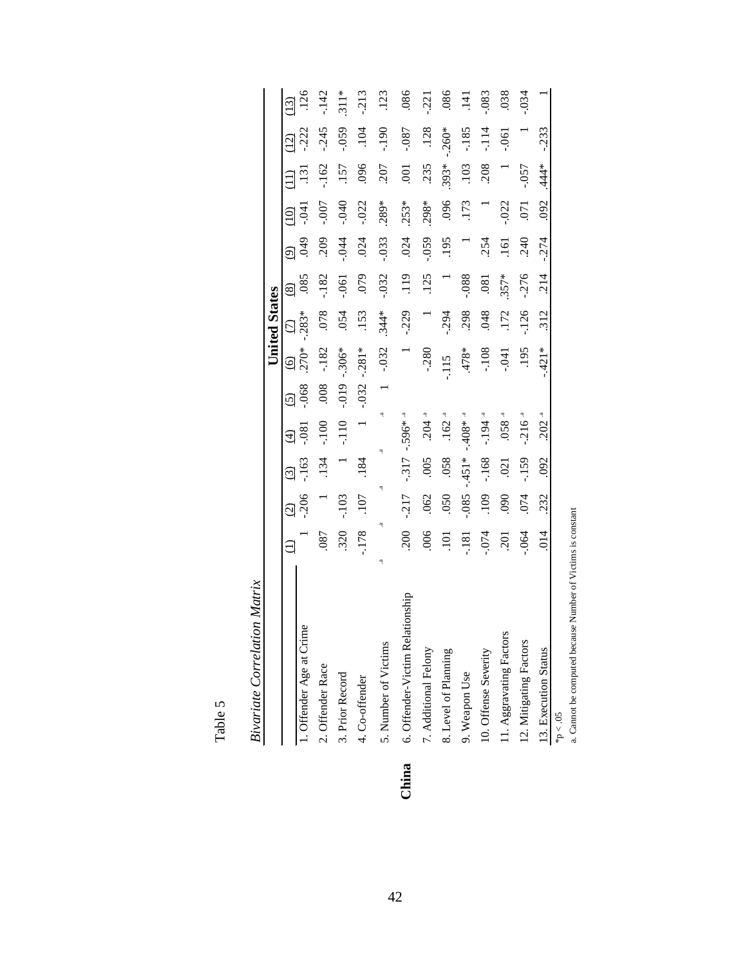| n<br>ر  |  |
|---------|--|
| ನಿ<br>⊢ |  |

|       |                                 |            |               |         |                      |          |         | <b>United States</b>    |                           |            |                |                 |                   |                |
|-------|---------------------------------|------------|---------------|---------|----------------------|----------|---------|-------------------------|---------------------------|------------|----------------|-----------------|-------------------|----------------|
|       |                                 |            | $\widehat{c}$ | ධ       | $\widehat{E}$        | ⊙َ       | ତ୍ର     | $\overline{\mathrm{C}}$ | $\overline{\textbf{(8)}}$ | ම          |                |                 | $\widetilde{\Xi}$ | $\widehat{13}$ |
|       | 1. Offender Age at Crime        |            | $-206$        | $-163$  | $-0.81$              | $-068$   | 270*    | $-283*$                 | .085                      | <b>949</b> | $-0.4$         | $\overline{13}$ | $-222$            | <sup>126</sup> |
|       | 2. Offender Race                | .087       |               | 134     | $-100$               | 008      | $-182$  | .078                    | $-182$                    | 209        | $-007$         | $-162$          | $-245$            | .142           |
|       | 3. Prior Record                 | 320        | $-103$        |         | $-110$               | $-0.019$ | $-306*$ | .054                    | $-0.061$                  | $-0.44$    | $0+0.1$        | <b>157</b>      | $-0.59$           | $311*$         |
|       | 4. Co-offender                  | $-178$     | 107           | 184     |                      | $-032$   | $-281*$ | .153                    | 079                       | 024        | $-022$         | 096             | 104               | $-213$         |
|       | 5. Number of Victims            | ą<br>ä.    |               | ą       | ٩<br>ą               |          | $-.032$ | $.344*$                 | $-0.32$                   | $-0.033$   | 289*           | 207             | $061 -$           | 123            |
| China | 6. Offender-Victim Relationship | <b>200</b> | $-217$        | $-317$  | $-.596*$             |          |         | $-0.229$                | 119                       | 024        | $.253*$        | $\overline{00}$ | $-0.87$           | .086           |
|       | 7. Additional Felony            | .006       | .062          | 005     | $.204 -$             |          | $-280$  |                         | .125                      | $-0.59$    | .298*          | 235             | .128              | $-221$         |
|       | 8. Level of Planning            | 101        | 050           | .058    | .162                 |          | $-115$  | $-294$                  |                           | 195        | .096           | $.393*$         | $-260*$           | .086           |
|       | 9. Weapon Use                   | $-181$     | $-0.085$      | $-451*$ | $-408$ * $-4$        |          | *878.   | 298                     | $880 -$                   |            | .173           | .103            | $-185$            | .141           |
|       | 10. Offense Severity            | .074       | .109          | $-168$  | $-194$ <sup>-4</sup> |          | $-108$  | 048                     | .081                      | 254        |                | <b>208</b>      | $-114$            | $-0.083$       |
|       | 11. Aggravating Factors         | .201       | 060           | .021    | $0.88$ .             |          | $-0.41$ | .172                    | $357*$                    | 161        | $-022$         |                 | $-0.061$          | .038           |
|       | 12. Mitigating Factors          | .064       | 074           | $-159$  | $-216^{a}$           |          | 195     | $-126$                  | $-276$                    | 240        | $\overline{C}$ | $-0.57$         |                   | .034           |
|       | 13. Execution Status            | 014        | 232           | 092     | $.202$ <sup>a</sup>  |          | $421*$  | 312                     | 214                       | $-274$     | 092            | 444*            | $-233$            |                |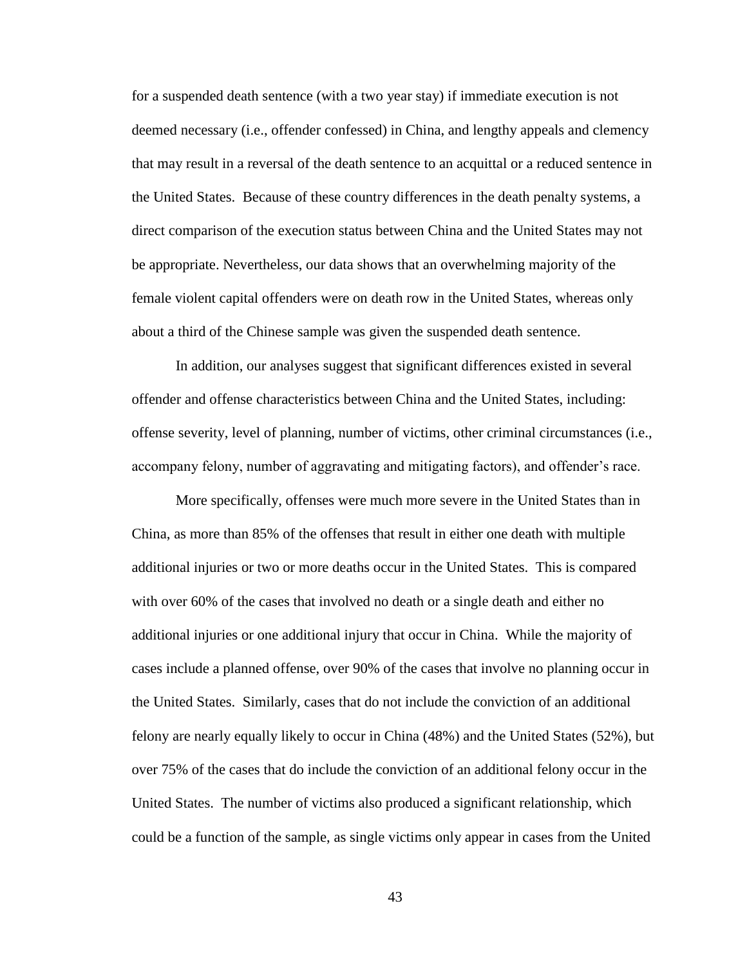for a suspended death sentence (with a two year stay) if immediate execution is not deemed necessary (i.e., offender confessed) in China, and lengthy appeals and clemency that may result in a reversal of the death sentence to an acquittal or a reduced sentence in the United States. Because of these country differences in the death penalty systems, a direct comparison of the execution status between China and the United States may not be appropriate. Nevertheless, our data shows that an overwhelming majority of the female violent capital offenders were on death row in the United States, whereas only about a third of the Chinese sample was given the suspended death sentence.

In addition, our analyses suggest that significant differences existed in several offender and offense characteristics between China and the United States, including: offense severity, level of planning, number of victims, other criminal circumstances (i.e., accompany felony, number of aggravating and mitigating factors), and offender's race.

More specifically, offenses were much more severe in the United States than in China, as more than 85% of the offenses that result in either one death with multiple additional injuries or two or more deaths occur in the United States. This is compared with over 60% of the cases that involved no death or a single death and either no additional injuries or one additional injury that occur in China. While the majority of cases include a planned offense, over 90% of the cases that involve no planning occur in the United States. Similarly, cases that do not include the conviction of an additional felony are nearly equally likely to occur in China (48%) and the United States (52%), but over 75% of the cases that do include the conviction of an additional felony occur in the United States. The number of victims also produced a significant relationship, which could be a function of the sample, as single victims only appear in cases from the United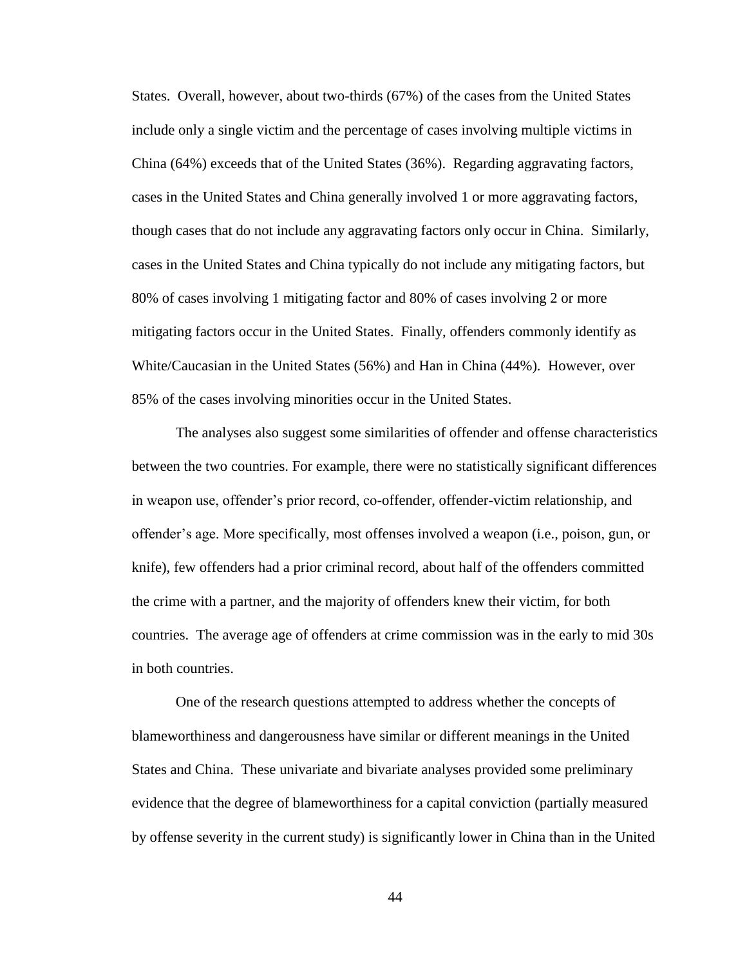States. Overall, however, about two-thirds (67%) of the cases from the United States include only a single victim and the percentage of cases involving multiple victims in China (64%) exceeds that of the United States (36%). Regarding aggravating factors, cases in the United States and China generally involved 1 or more aggravating factors, though cases that do not include any aggravating factors only occur in China. Similarly, cases in the United States and China typically do not include any mitigating factors, but 80% of cases involving 1 mitigating factor and 80% of cases involving 2 or more mitigating factors occur in the United States. Finally, offenders commonly identify as White/Caucasian in the United States (56%) and Han in China (44%). However, over 85% of the cases involving minorities occur in the United States.

The analyses also suggest some similarities of offender and offense characteristics between the two countries. For example, there were no statistically significant differences in weapon use, offender's prior record, co-offender, offender-victim relationship, and offender's age. More specifically, most offenses involved a weapon (i.e., poison, gun, or knife), few offenders had a prior criminal record, about half of the offenders committed the crime with a partner, and the majority of offenders knew their victim, for both countries. The average age of offenders at crime commission was in the early to mid 30s in both countries.

One of the research questions attempted to address whether the concepts of blameworthiness and dangerousness have similar or different meanings in the United States and China. These univariate and bivariate analyses provided some preliminary evidence that the degree of blameworthiness for a capital conviction (partially measured by offense severity in the current study) is significantly lower in China than in the United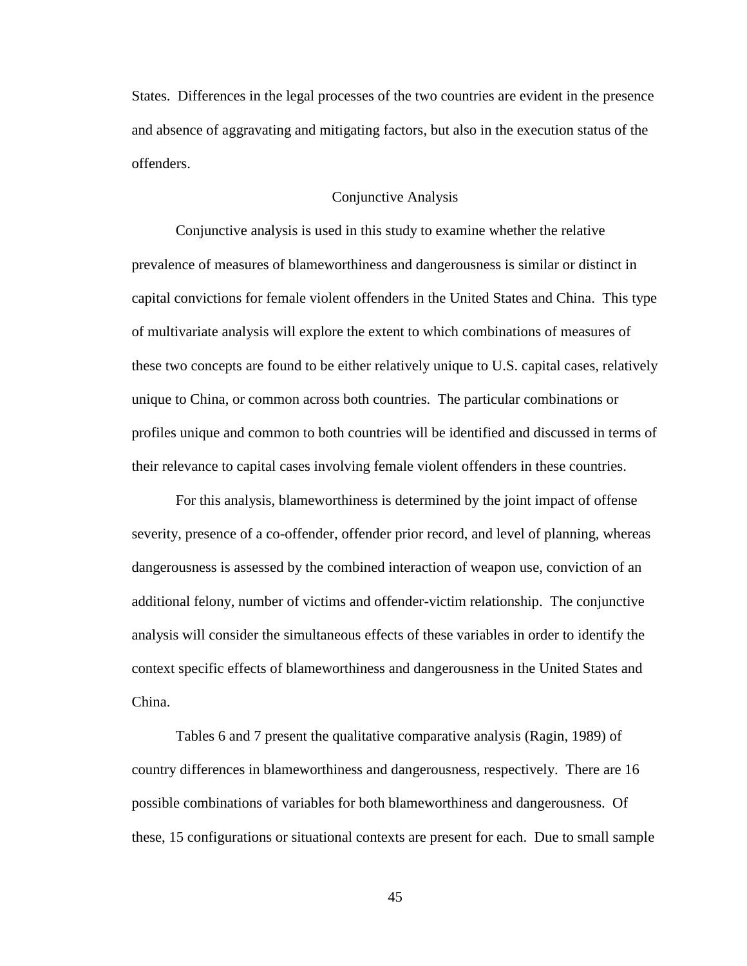States. Differences in the legal processes of the two countries are evident in the presence and absence of aggravating and mitigating factors, but also in the execution status of the offenders.

#### Conjunctive Analysis

Conjunctive analysis is used in this study to examine whether the relative prevalence of measures of blameworthiness and dangerousness is similar or distinct in capital convictions for female violent offenders in the United States and China. This type of multivariate analysis will explore the extent to which combinations of measures of these two concepts are found to be either relatively unique to U.S. capital cases, relatively unique to China, or common across both countries. The particular combinations or profiles unique and common to both countries will be identified and discussed in terms of their relevance to capital cases involving female violent offenders in these countries.

For this analysis, blameworthiness is determined by the joint impact of offense severity, presence of a co-offender, offender prior record, and level of planning, whereas dangerousness is assessed by the combined interaction of weapon use, conviction of an additional felony, number of victims and offender-victim relationship. The conjunctive analysis will consider the simultaneous effects of these variables in order to identify the context specific effects of blameworthiness and dangerousness in the United States and China.

Tables 6 and 7 present the qualitative comparative analysis (Ragin, 1989) of country differences in blameworthiness and dangerousness, respectively. There are 16 possible combinations of variables for both blameworthiness and dangerousness. Of these, 15 configurations or situational contexts are present for each. Due to small sample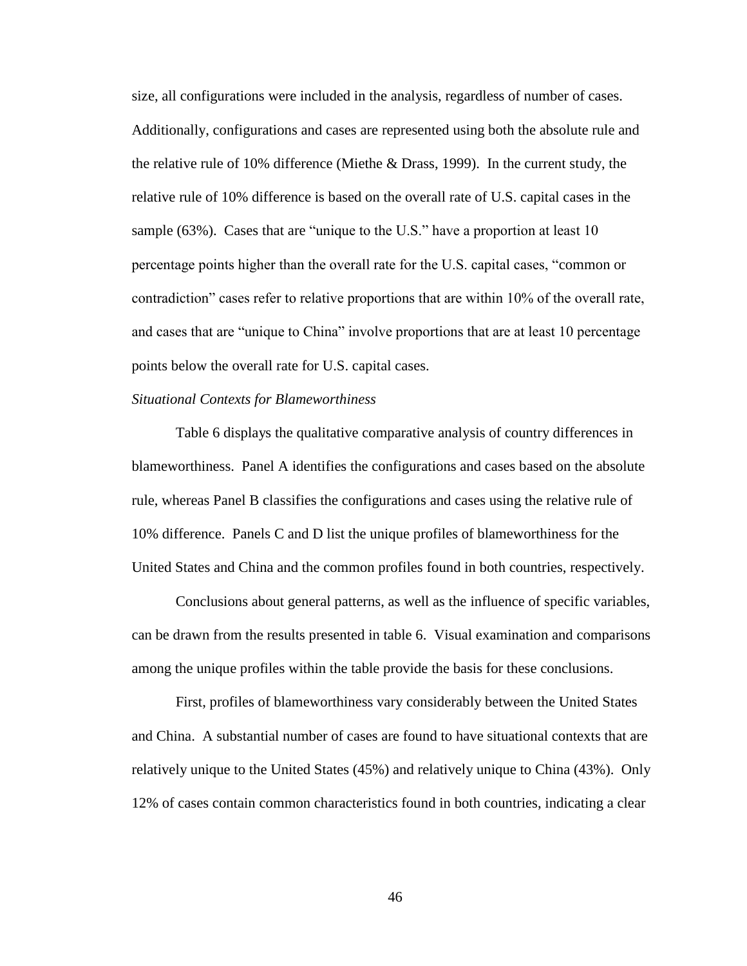size, all configurations were included in the analysis, regardless of number of cases. Additionally, configurations and cases are represented using both the absolute rule and the relative rule of 10% difference (Miethe & Drass, 1999). In the current study, the relative rule of 10% difference is based on the overall rate of U.S. capital cases in the sample (63%). Cases that are "unique to the U.S." have a proportion at least 10 percentage points higher than the overall rate for the U.S. capital cases, "common or contradiction" cases refer to relative proportions that are within 10% of the overall rate, and cases that are "unique to China" involve proportions that are at least 10 percentage points below the overall rate for U.S. capital cases.

## *Situational Contexts for Blameworthiness*

Table 6 displays the qualitative comparative analysis of country differences in blameworthiness. Panel A identifies the configurations and cases based on the absolute rule, whereas Panel B classifies the configurations and cases using the relative rule of 10% difference. Panels C and D list the unique profiles of blameworthiness for the United States and China and the common profiles found in both countries, respectively.

Conclusions about general patterns, as well as the influence of specific variables, can be drawn from the results presented in table 6. Visual examination and comparisons among the unique profiles within the table provide the basis for these conclusions.

First, profiles of blameworthiness vary considerably between the United States and China. A substantial number of cases are found to have situational contexts that are relatively unique to the United States (45%) and relatively unique to China (43%). Only 12% of cases contain common characteristics found in both countries, indicating a clear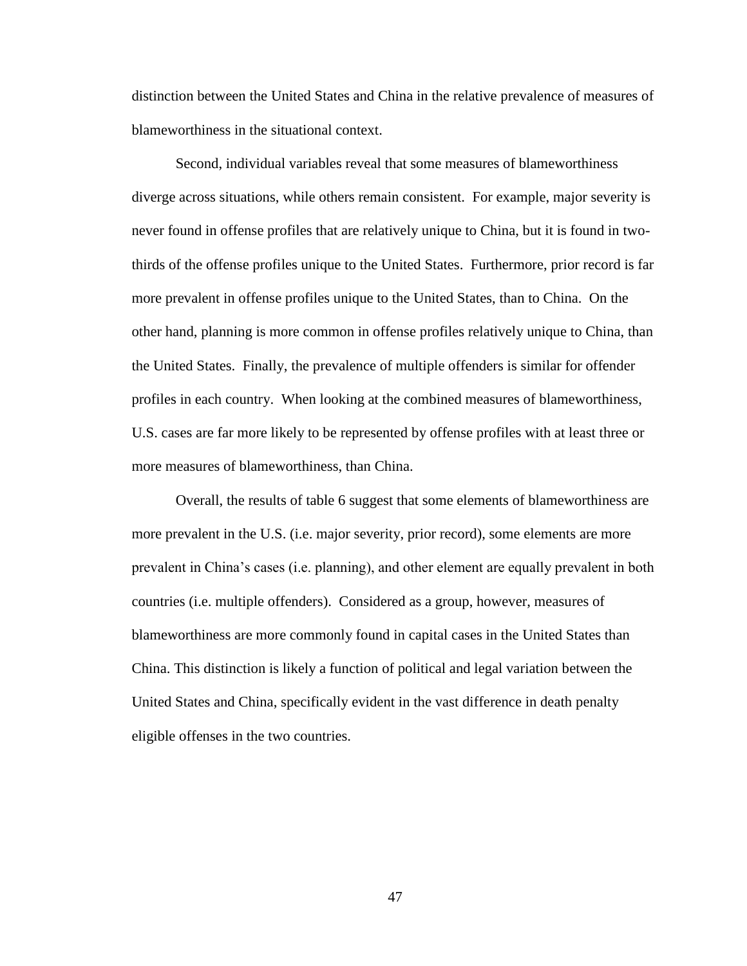distinction between the United States and China in the relative prevalence of measures of blameworthiness in the situational context.

Second, individual variables reveal that some measures of blameworthiness diverge across situations, while others remain consistent. For example, major severity is never found in offense profiles that are relatively unique to China, but it is found in twothirds of the offense profiles unique to the United States. Furthermore, prior record is far more prevalent in offense profiles unique to the United States, than to China. On the other hand, planning is more common in offense profiles relatively unique to China, than the United States. Finally, the prevalence of multiple offenders is similar for offender profiles in each country. When looking at the combined measures of blameworthiness, U.S. cases are far more likely to be represented by offense profiles with at least three or more measures of blameworthiness, than China.

Overall, the results of table 6 suggest that some elements of blameworthiness are more prevalent in the U.S. (i.e. major severity, prior record), some elements are more prevalent in China's cases (i.e. planning), and other element are equally prevalent in both countries (i.e. multiple offenders). Considered as a group, however, measures of blameworthiness are more commonly found in capital cases in the United States than China. This distinction is likely a function of political and legal variation between the United States and China, specifically evident in the vast difference in death penalty eligible offenses in the two countries.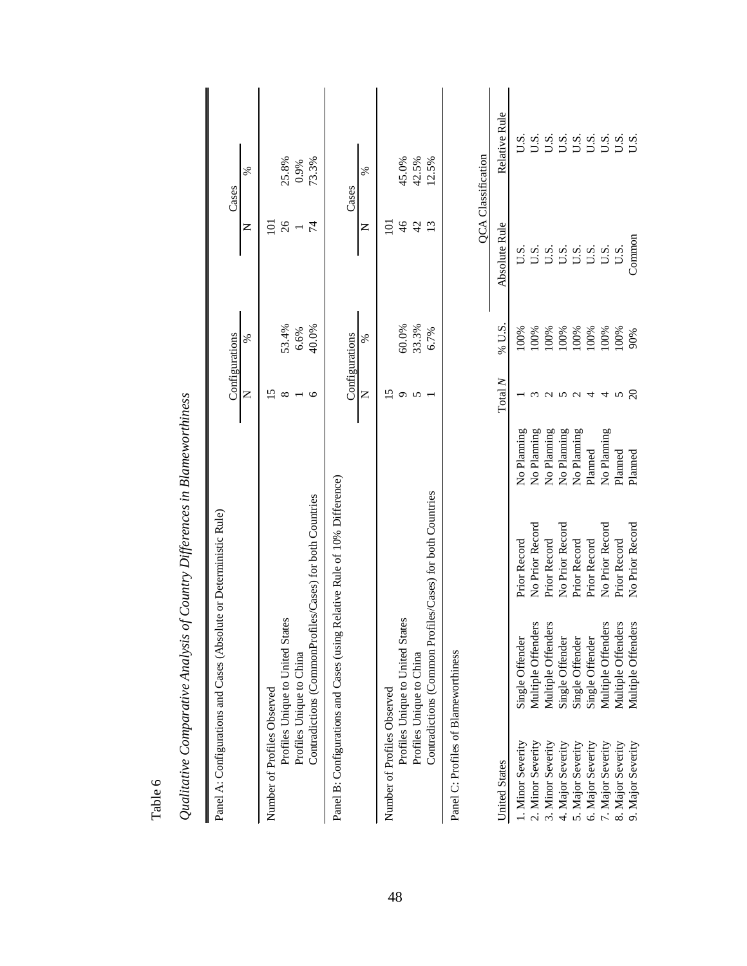| Qualitative Comparative Analysis of Country Differences in Biameworuniness |                                  |                                                           |             |                          |        |               |                           |
|----------------------------------------------------------------------------|----------------------------------|-----------------------------------------------------------|-------------|--------------------------|--------|---------------|---------------------------|
| Panel A: Configurations and Cases (Absolute or Deterministic Rule)         |                                  |                                                           |             | Configurations           |        |               | Cases                     |
|                                                                            |                                  |                                                           |             | Z                        | ℅      | Z             | ℅                         |
| Number of Profiles Observed                                                |                                  |                                                           |             | 51                       |        | $\Xi$         |                           |
|                                                                            | Profiles Unique to United States |                                                           |             | $^{\circ}$               | 53.4%  | 26            | 25.8%                     |
| Profiles Unique to China                                                   |                                  |                                                           |             |                          | 6.6%   |               | 0.9%                      |
|                                                                            |                                  | Contradictions (CommonProfiles/Cases) for both Countries  |             | $\circ$                  | 40.0%  | $\sharp$      | 73.3%                     |
| Panel B: Configurations and Cases (using                                   |                                  | Relative Rule of 10% Difference)                          |             |                          |        |               |                           |
|                                                                            |                                  |                                                           |             | Configurations           |        |               | Cases                     |
|                                                                            |                                  |                                                           |             | Z                        | ℅      | Z             | %                         |
| Number of Profiles Observed                                                |                                  |                                                           |             | $\overline{15}$          |        | $\Xi$         |                           |
|                                                                            | Profiles Unique to United States |                                                           |             | $\sigma$                 | 60.0%  | $\frac{4}{6}$ | 45.0%                     |
| Profiles Unique to China                                                   |                                  |                                                           |             | 5                        | 33.3%  | 42            | 42.5%                     |
|                                                                            |                                  | Contradictions (Common Profiles/Cases) for both Countries |             |                          | 6.7%   | 13            | 12.5%                     |
| Panel C: Profiles of Blameworthiness                                       |                                  |                                                           |             |                          |        |               |                           |
|                                                                            |                                  |                                                           |             |                          |        |               | <b>QCA</b> Classification |
| <b>United States</b>                                                       |                                  |                                                           |             | Total $N$                | % U.S. | Absolute Rule | Relative Rule             |
| 1. Minor Severity                                                          | Single Offender                  | Prior Record                                              | No Planning |                          | 100%   | U.S.          | U.S.                      |
| 2. Minor Severity                                                          | Multiple Offenders               | No Prior Record                                           | No Planning | ξ                        | 100%   | $\frac{0}{1}$ | U.S.                      |
| 3. Minor Severity                                                          | Multiple Offenders               | Prior Record                                              | No Planning |                          | 100%   |               | U.S.                      |
| 4. Major Severity                                                          | Single Offender                  | No Prior Record                                           | No Planning |                          | 100%   | U.S.          | U.S.                      |
| 5. Major Severity                                                          | Single Offender                  | Prior Record                                              | No Planning | $U$ $U$ $U$ $U$          | 100%   | U.S.<br>U.S.  | U.S.                      |
| 6. Major Severity                                                          | Single Offender                  | Prior Record                                              | Planned     |                          | 100%   |               |                           |
| 7. Major Severity                                                          | Multiple Offenders               | No Prior Record                                           | No Planning | 4                        | 100%   | U.S.          |                           |
| 8. Major Severity                                                          | Multiple Offenders               | Prior Record                                              | Planned     | $\boldsymbol{\varsigma}$ | 100%   | U.S.          | $3.500$<br>$5.500$        |
| 9. Major Severity                                                          | Multiple Offenders               | No Prior Record                                           | Planned     | $\Omega$                 | 90%    | Common        |                           |

*Qualitative Comparative Analysis of Country Differences in Blameworthiness*   $\overline{a}$  $\mathbf{D}$  $\zeta$  $O$ ualitative  $C$ o

Table 6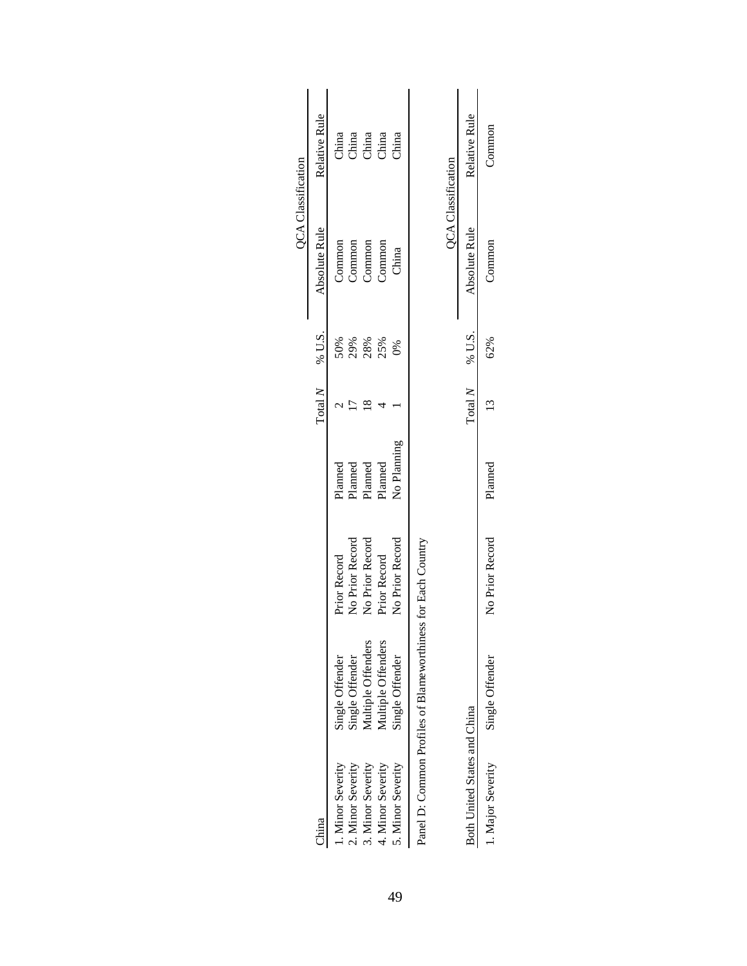|                              |                                                              |                 |             |         |              | <b>QCA</b> Classification |                                                                                    |
|------------------------------|--------------------------------------------------------------|-----------------|-------------|---------|--------------|---------------------------|------------------------------------------------------------------------------------|
| China                        |                                                              |                 |             | Total N | % U.S.       | Absolute Rule             | Relative Rule                                                                      |
| 1. Minor Severity            | Single Offender                                              | Prior Record    | Planned     |         | 50%          | Common                    | China                                                                              |
| 2. Minor Severity            | Single Offender                                              | No Prior Record | Planned     |         | 29%          | Common                    |                                                                                    |
| 3. Minor Severity            | Multiple Offenders                                           | No Prior Record | Planned     |         | 28%          | Common                    | $\begin{tabular}{c} \bf diag \\ \bf diag \\ \bf diag \\ \bf diag \\ \end{tabular}$ |
| 4. Minor Severity            | Multiple Offenders                                           | Prior Record    | Planned     |         | 25%          | Common                    |                                                                                    |
| 5. Minor Severity            | Single Offender                                              | No Prior Record | No Planning |         | $80^{\circ}$ | China                     | China                                                                              |
|                              | Panel D: Common Profiles of Blameworthiness for Each Country |                 |             |         |              |                           |                                                                                    |
|                              |                                                              |                 |             |         |              | <b>QCA</b> Classification |                                                                                    |
| Both United States and China |                                                              |                 |             | Total N | % U.S.       | Absolute Rule             | Relative Rule                                                                      |
| 1. Major Severity            | Single Offender                                              | No Prior Record | Planned     |         | 62%          | Common                    | Common                                                                             |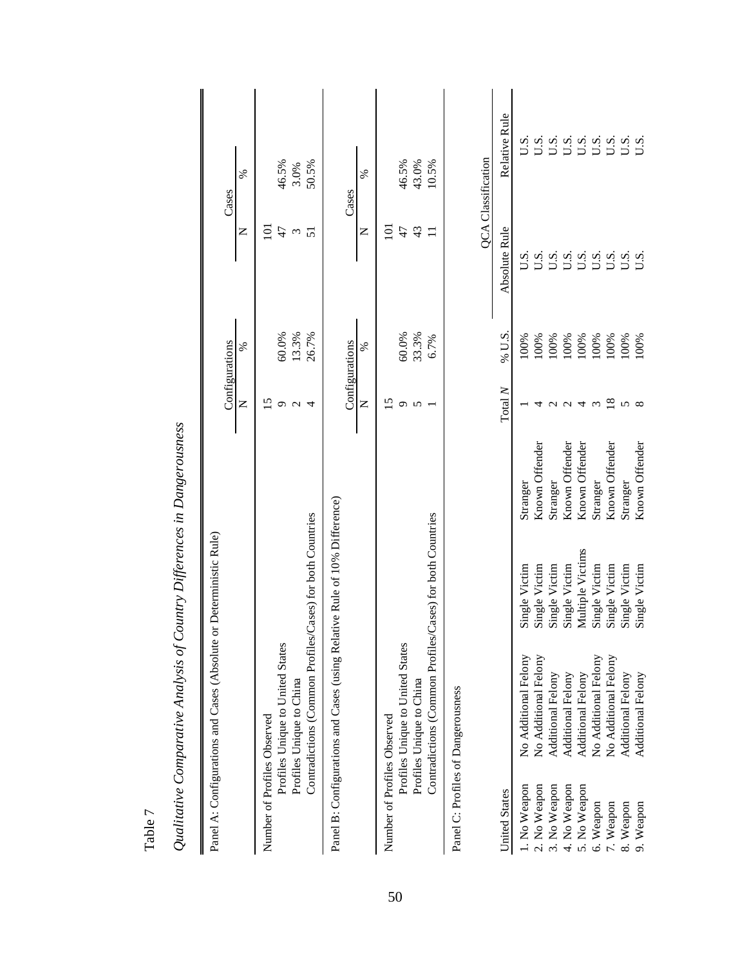|                             | Panel A: Configurations and Cases (Absolute or Deterministic Rule)        |                  |                |                 |                |                  |                           |
|-----------------------------|---------------------------------------------------------------------------|------------------|----------------|-----------------|----------------|------------------|---------------------------|
|                             |                                                                           |                  |                | Configurations  |                |                  | Cases                     |
|                             |                                                                           |                  |                | Z               | ℅              | z                | %                         |
| Number of Profiles Observed |                                                                           |                  |                | 51              |                | $\Xi$            |                           |
|                             | Profiles Unique to United States                                          |                  |                | $\sigma$        | 60.0%          | 47               | 46.5%                     |
|                             | Profiles Unique to China                                                  |                  |                | $\sim$          | 13.3%          | $\epsilon$       | 3.0%                      |
|                             | Contradictions (Common Profiles/Cases) for both Countries                 |                  |                | 4               | 26.7%          | 51               | 50.5%                     |
|                             | Panel B: Configurations and Cases (using Relative Rule of 10% Difference) |                  |                |                 | Configurations |                  | Cases                     |
|                             |                                                                           |                  |                | Z               | ℅              | Z                | %                         |
| Number of Profiles Observed |                                                                           |                  |                | 15              |                | $\overline{101}$ |                           |
|                             | Profiles Unique to United States                                          |                  |                | $\circ$         | 60.0%          | 47               | 46.5%                     |
|                             | Profiles Unique to China                                                  |                  |                | $\sigma$        | 33.3%          | 43               | 43.0%                     |
|                             | Contradictions (Common Profiles/Cases) for both Countries                 |                  |                |                 | 6.7%           | $\Box$           | 10.5%                     |
|                             | Panel C: Profiles of Dangerousness                                        |                  |                |                 |                |                  |                           |
|                             |                                                                           |                  |                |                 |                |                  | <b>QCA</b> Classification |
| <b>United States</b>        |                                                                           |                  |                | Total $N$       | % U.S.         | Absolute Rule    | Relative Rule             |
| 1. No Weapon                | No Additional Felony                                                      | Single Victim    | Stranger       |                 | 100%           | U.S.             | U.S.                      |
| 2. No Weapon                | No Additional Felony                                                      | Single Victim    | Known Offender | 4               | 100%           | U.S.             | U.S.                      |
| 3. No Weapon                | Additional Felony                                                         | Single Victim    | Stranger       |                 | 100%           | U.S.             | U.S.                      |
| 4. No Weapon                | Additional Felony                                                         | Single Victim    | Known Offender | $\sim$ $\sim$   | 100%           | U.S.             | U.S.                      |
| 5. No Weapon                | <b>Additional Felony</b>                                                  | Multiple Victims | Known Offender | 4               | 100%<br>100%   | U.S.             | U.S.                      |
| 6. Weapon                   | No Additional Felony                                                      | Single Victim    | Stranger       | $\sim$          |                | U.S.             | U.S.                      |
| 7. Weapon                   | No Additional Felony                                                      | Single Victim    | Known Offender | $\overline{18}$ | 100%           | U.S.             | U.S.                      |
| 8. Weapon                   | Additional Felony                                                         | Single Victim    | Stranger       | 5               | 100%           | U.S.             | $S_{\text{U}}$            |
| 9. Weapon                   | Additional Felony                                                         | Single Victim    | Known Offender | $\infty$        | 100%           | $\overline{S}$   | U.S                       |
|                             |                                                                           |                  |                |                 |                |                  |                           |

Qualitative Comparative Analysis of Country Differences in Dangerousness *Qualitative Comparative Analysis of Country Differences in Dangerousness*

Table 7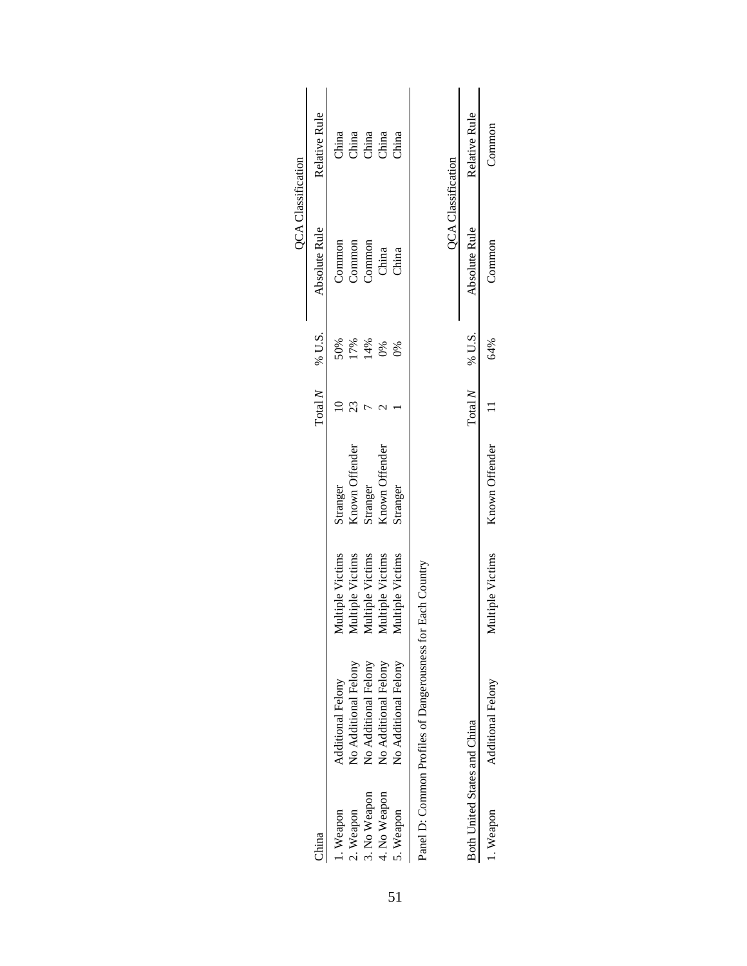|                                               |                      |                         |                |         |               | <b>QCA</b> Classification |                |
|-----------------------------------------------|----------------------|-------------------------|----------------|---------|---------------|---------------------------|----------------|
| China                                         |                      |                         |                | Total N | % U.S.        | Absolute Rule             | Relative Rule  |
| Weapon                                        | Additional Felony    | Aultiple Victims        | Stranger       |         | 50%           | Common                    | China          |
| 2. Weapon                                     | No Additional Felony | Aultiple Victims        | Known Offender |         | 17%           | Common                    | China<br>China |
| 3. No Weapon                                  | No Additional Felony | <b>Aultiple Victims</b> | Stranger       |         | 14%           | Common                    |                |
| 4. No Weapon                                  | No Additional Felony | Aultiple Victims        | Known Offender |         | 0%            | China                     | China          |
| 5. Weapon                                     | No Additional Felony | <b>Aultiple Victims</b> | Stranger       |         | $\frac{8}{6}$ | China                     | China          |
| Panel D: Common Profiles of Dangerousness for |                      | Each Country            |                |         |               |                           |                |
|                                               |                      |                         |                |         |               | <b>QCA</b> Classification |                |
| Both United States and China                  |                      |                         |                | Total N | % U.S.        | Absolute Rule             | Relative Rule  |
| 1. Weapon                                     | Additional Felony    | Multiple Victims        | Known Offender |         | 64%           | Common                    | Common         |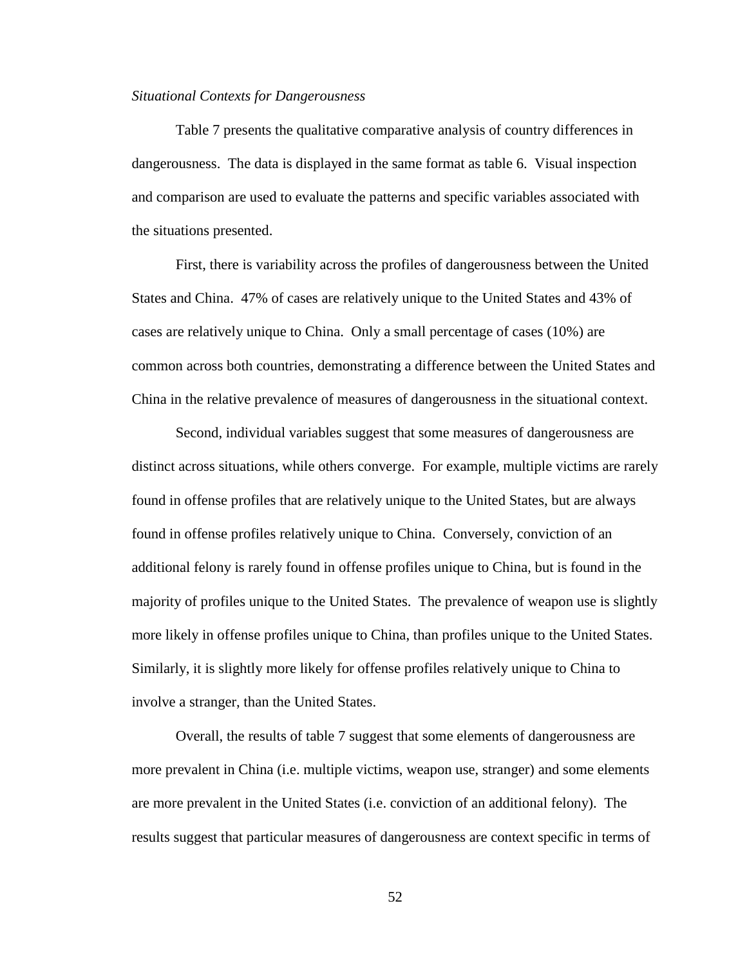#### *Situational Contexts for Dangerousness*

Table 7 presents the qualitative comparative analysis of country differences in dangerousness. The data is displayed in the same format as table 6. Visual inspection and comparison are used to evaluate the patterns and specific variables associated with the situations presented.

First, there is variability across the profiles of dangerousness between the United States and China. 47% of cases are relatively unique to the United States and 43% of cases are relatively unique to China. Only a small percentage of cases (10%) are common across both countries, demonstrating a difference between the United States and China in the relative prevalence of measures of dangerousness in the situational context.

Second, individual variables suggest that some measures of dangerousness are distinct across situations, while others converge. For example, multiple victims are rarely found in offense profiles that are relatively unique to the United States, but are always found in offense profiles relatively unique to China. Conversely, conviction of an additional felony is rarely found in offense profiles unique to China, but is found in the majority of profiles unique to the United States. The prevalence of weapon use is slightly more likely in offense profiles unique to China, than profiles unique to the United States. Similarly, it is slightly more likely for offense profiles relatively unique to China to involve a stranger, than the United States.

Overall, the results of table 7 suggest that some elements of dangerousness are more prevalent in China (i.e. multiple victims, weapon use, stranger) and some elements are more prevalent in the United States (i.e. conviction of an additional felony). The results suggest that particular measures of dangerousness are context specific in terms of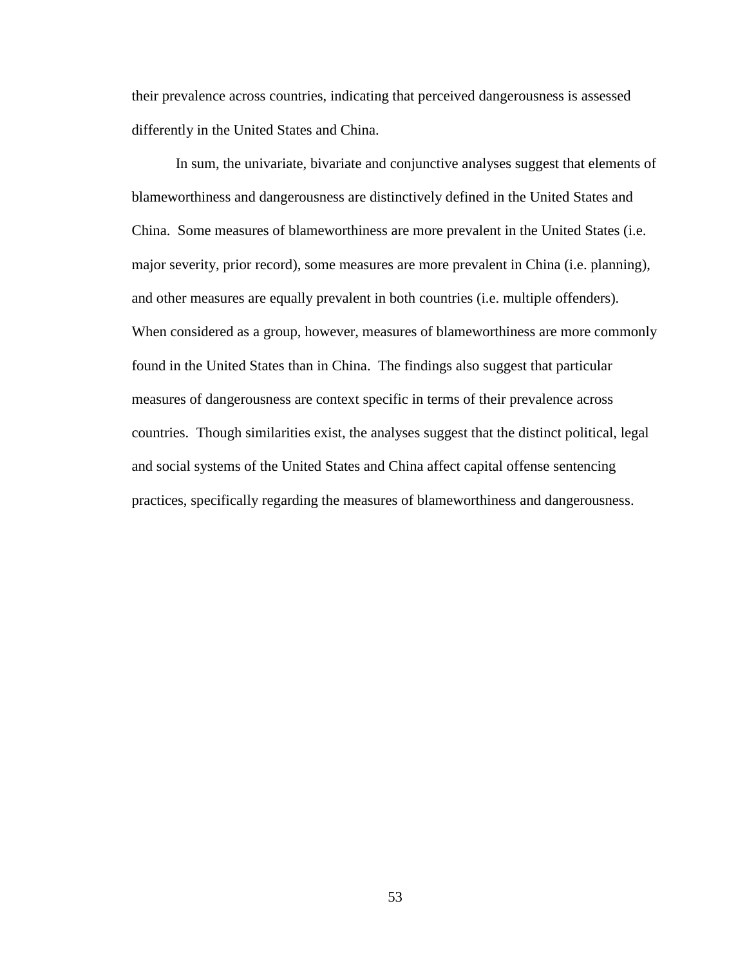their prevalence across countries, indicating that perceived dangerousness is assessed differently in the United States and China.

In sum, the univariate, bivariate and conjunctive analyses suggest that elements of blameworthiness and dangerousness are distinctively defined in the United States and China. Some measures of blameworthiness are more prevalent in the United States (i.e. major severity, prior record), some measures are more prevalent in China (i.e. planning), and other measures are equally prevalent in both countries (i.e. multiple offenders). When considered as a group, however, measures of blameworthiness are more commonly found in the United States than in China. The findings also suggest that particular measures of dangerousness are context specific in terms of their prevalence across countries. Though similarities exist, the analyses suggest that the distinct political, legal and social systems of the United States and China affect capital offense sentencing practices, specifically regarding the measures of blameworthiness and dangerousness.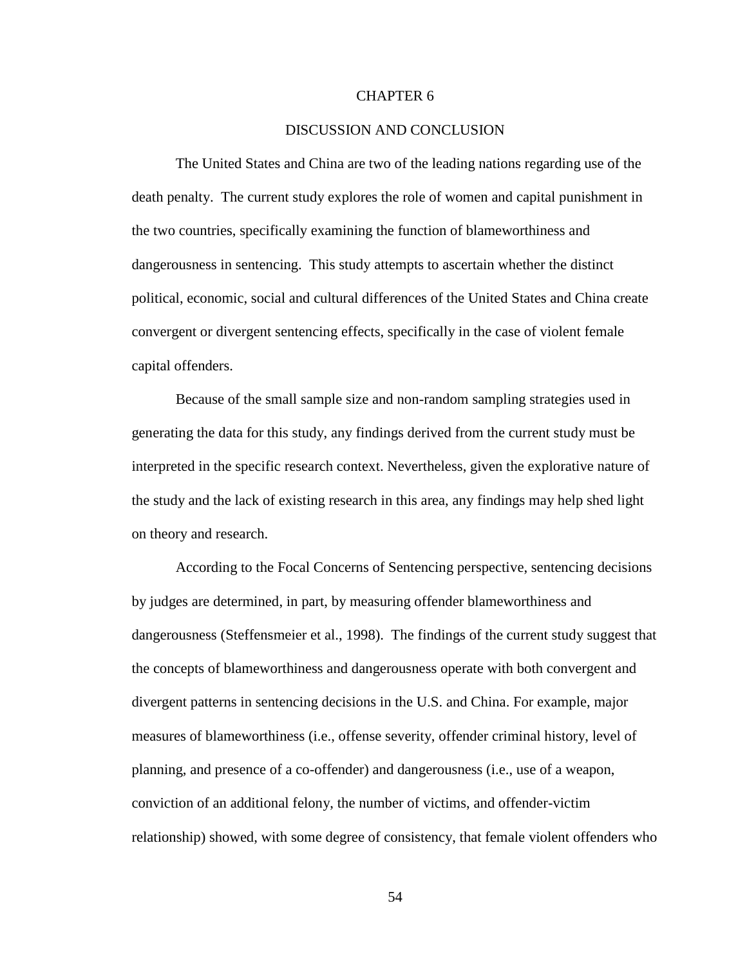# CHAPTER 6

#### DISCUSSION AND CONCLUSION

The United States and China are two of the leading nations regarding use of the death penalty. The current study explores the role of women and capital punishment in the two countries, specifically examining the function of blameworthiness and dangerousness in sentencing. This study attempts to ascertain whether the distinct political, economic, social and cultural differences of the United States and China create convergent or divergent sentencing effects, specifically in the case of violent female capital offenders.

Because of the small sample size and non-random sampling strategies used in generating the data for this study, any findings derived from the current study must be interpreted in the specific research context. Nevertheless, given the explorative nature of the study and the lack of existing research in this area, any findings may help shed light on theory and research.

According to the Focal Concerns of Sentencing perspective, sentencing decisions by judges are determined, in part, by measuring offender blameworthiness and dangerousness (Steffensmeier et al., 1998). The findings of the current study suggest that the concepts of blameworthiness and dangerousness operate with both convergent and divergent patterns in sentencing decisions in the U.S. and China. For example, major measures of blameworthiness (i.e., offense severity, offender criminal history, level of planning, and presence of a co-offender) and dangerousness (i.e., use of a weapon, conviction of an additional felony, the number of victims, and offender-victim relationship) showed, with some degree of consistency, that female violent offenders who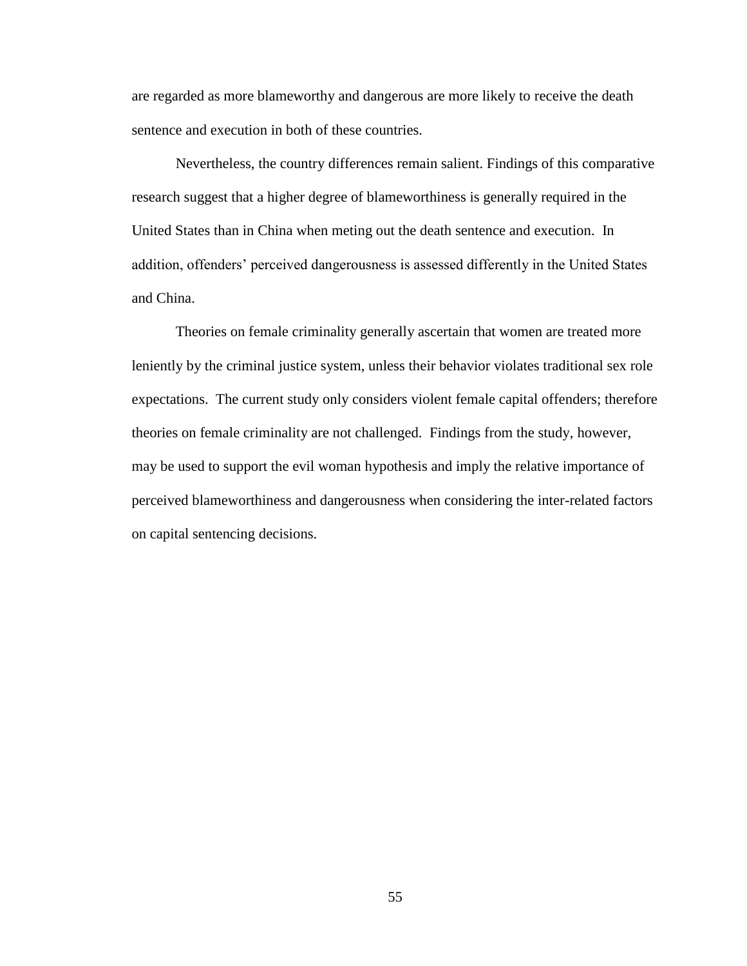are regarded as more blameworthy and dangerous are more likely to receive the death sentence and execution in both of these countries.

Nevertheless, the country differences remain salient. Findings of this comparative research suggest that a higher degree of blameworthiness is generally required in the United States than in China when meting out the death sentence and execution. In addition, offenders' perceived dangerousness is assessed differently in the United States and China.

Theories on female criminality generally ascertain that women are treated more leniently by the criminal justice system, unless their behavior violates traditional sex role expectations. The current study only considers violent female capital offenders; therefore theories on female criminality are not challenged. Findings from the study, however, may be used to support the evil woman hypothesis and imply the relative importance of perceived blameworthiness and dangerousness when considering the inter-related factors on capital sentencing decisions.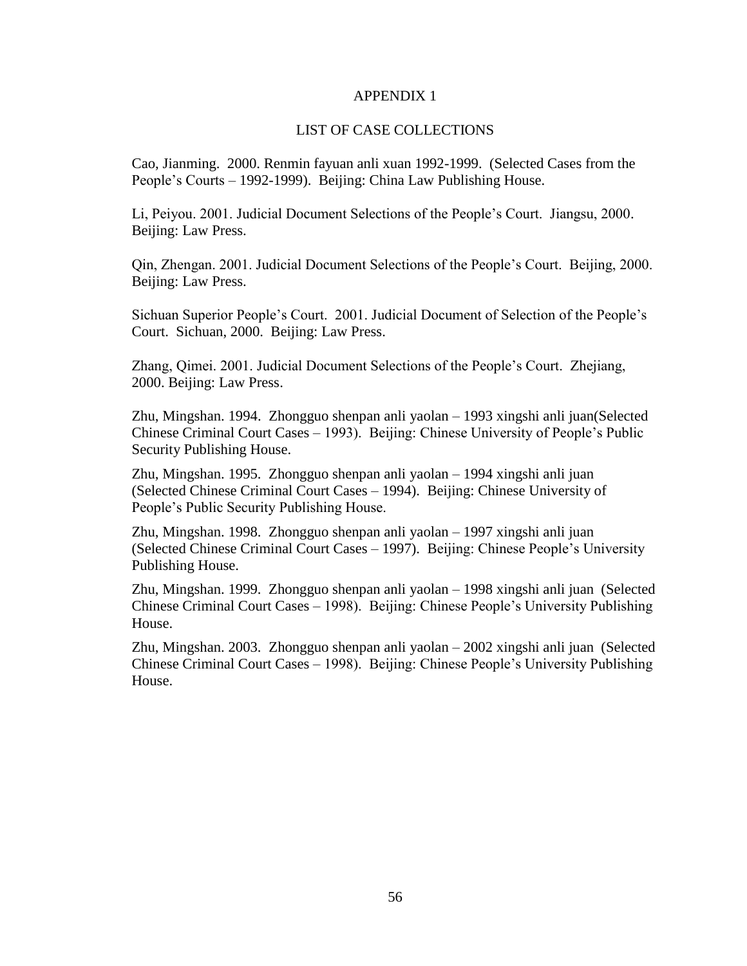## APPENDIX 1

## LIST OF CASE COLLECTIONS

Cao, Jianming. 2000. Renmin fayuan anli xuan 1992-1999. (Selected Cases from the People's Courts – 1992-1999). Beijing: China Law Publishing House.

Li, Peiyou. 2001. Judicial Document Selections of the People's Court. Jiangsu, 2000. Beijing: Law Press.

Qin, Zhengan. 2001. Judicial Document Selections of the People's Court. Beijing, 2000. Beijing: Law Press.

Sichuan Superior People's Court. 2001. Judicial Document of Selection of the People's Court. Sichuan, 2000. Beijing: Law Press.

Zhang, Qimei. 2001. Judicial Document Selections of the People's Court. Zhejiang, 2000. Beijing: Law Press.

Zhu, Mingshan. 1994. Zhongguo shenpan anli yaolan – 1993 xingshi anli juan(Selected Chinese Criminal Court Cases – 1993). Beijing: Chinese University of People's Public Security Publishing House.

Zhu, Mingshan. 1995. Zhongguo shenpan anli yaolan – 1994 xingshi anli juan (Selected Chinese Criminal Court Cases – 1994). Beijing: Chinese University of People's Public Security Publishing House.

Zhu, Mingshan. 1998. Zhongguo shenpan anli yaolan – 1997 xingshi anli juan (Selected Chinese Criminal Court Cases – 1997). Beijing: Chinese People's University Publishing House.

Zhu, Mingshan. 1999. Zhongguo shenpan anli yaolan – 1998 xingshi anli juan (Selected Chinese Criminal Court Cases – 1998). Beijing: Chinese People's University Publishing House.

Zhu, Mingshan. 2003. Zhongguo shenpan anli yaolan – 2002 xingshi anli juan (Selected Chinese Criminal Court Cases – 1998). Beijing: Chinese People's University Publishing House.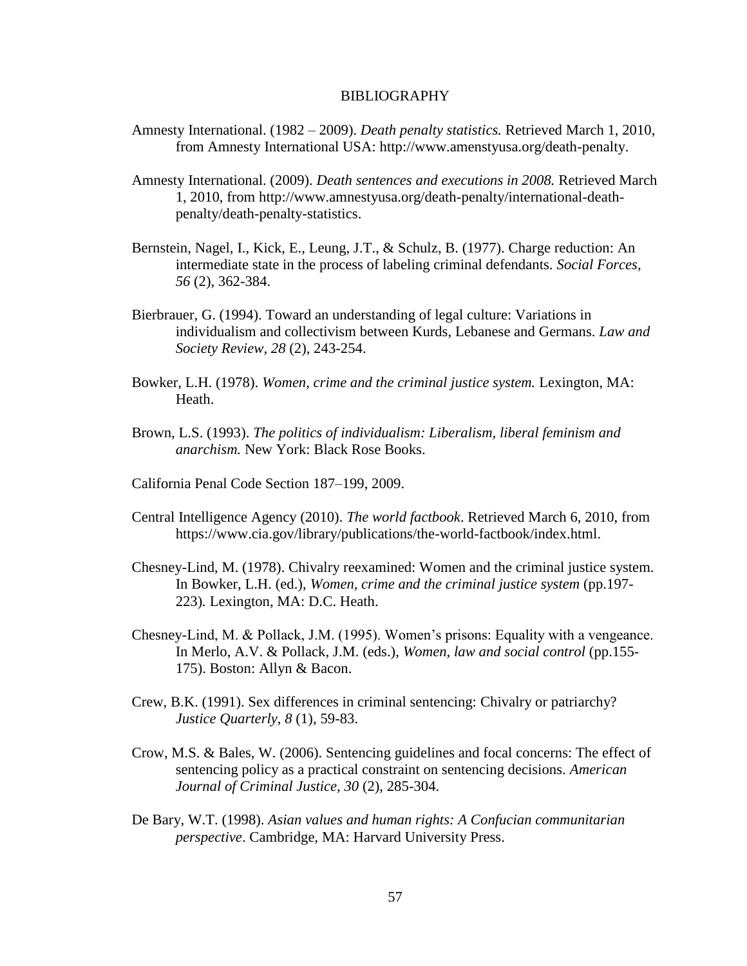#### BIBLIOGRAPHY

- Amnesty International. (1982 2009). *Death penalty statistics.* Retrieved March 1, 2010, from Amnesty International USA: [http://www.amenstyusa.org/death-penalty.](http://www.amenstyusa.org/death-penalty)
- Amnesty International. (2009). *Death sentences and executions in 2008.* Retrieved March 1, 2010, from [http://www.amnestyusa.org/death-penalty/international-death](http://www.amnestyusa.org/death-penalty/international-death-penalty/death-penalty-statistics)[penalty/death-penalty-statistics.](http://www.amnestyusa.org/death-penalty/international-death-penalty/death-penalty-statistics)
- Bernstein, Nagel, I., Kick, E., Leung, J.T., & Schulz, B. (1977). Charge reduction: An intermediate state in the process of labeling criminal defendants. *Social Forces, 56* (2), 362-384.
- Bierbrauer, G. (1994). Toward an understanding of legal culture: Variations in individualism and collectivism between Kurds, Lebanese and Germans. *Law and Society Review, 28* (2), 243-254.
- Bowker, L.H. (1978). *Women, crime and the criminal justice system.* Lexington, MA: Heath.
- Brown, L.S. (1993). *The politics of individualism: Liberalism, liberal feminism and anarchism.* New York: Black Rose Books.
- California Penal Code Section 187–199, 2009.
- Central Intelligence Agency (2010). *The world factbook*. Retrieved March 6, 2010, from [https://www.cia.gov/library/publications/the-world-factbook/index.html.](https://www.cia.gov/library/publications/the-world-factbook/index.html)
- Chesney-Lind, M. (1978). Chivalry reexamined: Women and the criminal justice system. In Bowker, L.H. (ed.), *Women, crime and the criminal justice system* (pp.197-223)*.* Lexington, MA: D.C. Heath.
- Chesney-Lind, M. & Pollack, J.M. (1995). Women's prisons: Equality with a vengeance. In Merlo, A.V. & Pollack, J.M. (eds.), *Women, law and social control* (pp.155- 175). Boston: Allyn & Bacon.
- Crew, B.K. (1991). Sex differences in criminal sentencing: Chivalry or patriarchy? *Justice Quarterly, 8* (1), 59-83.
- Crow, M.S. & Bales, W. (2006). Sentencing guidelines and focal concerns: The effect of sentencing policy as a practical constraint on sentencing decisions. *American Journal of Criminal Justice, 30* (2), 285-304.
- De Bary, W.T. (1998). *Asian values and human rights: A Confucian communitarian perspective*. Cambridge, MA: Harvard University Press.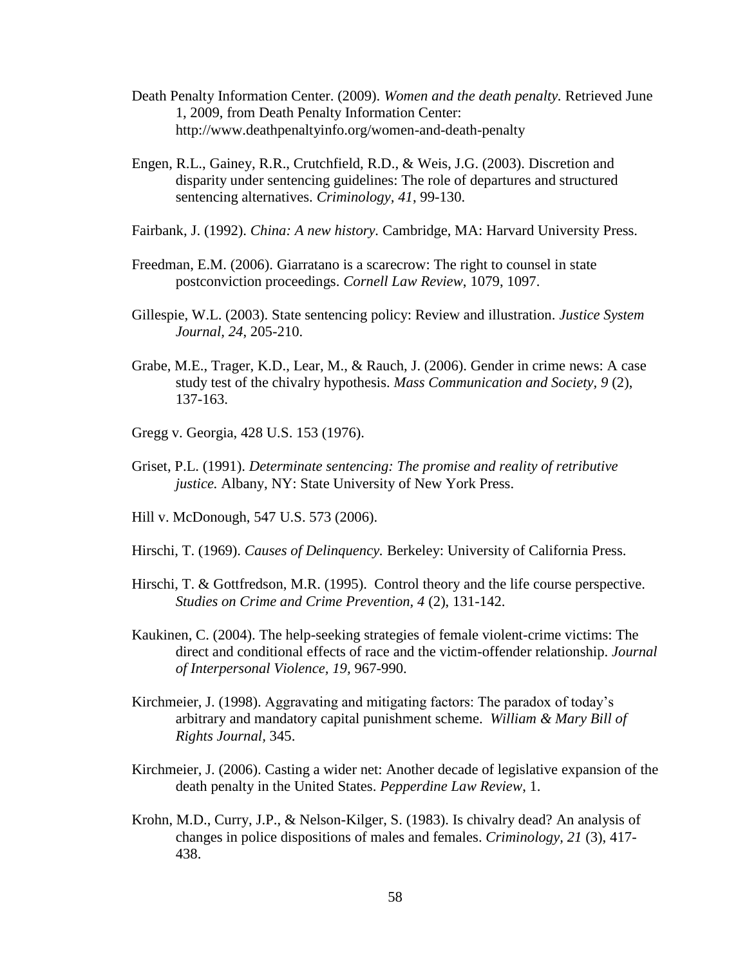- Death Penalty Information Center. (2009). *Women and the death penalty.* Retrieved June 1, 2009, from Death Penalty Information Center: <http://www.deathpenaltyinfo.org/women-and-death-penalty>
- Engen, R.L., Gainey, R.R., Crutchfield, R.D., & Weis, J.G. (2003). Discretion and disparity under sentencing guidelines: The role of departures and structured sentencing alternatives. *Criminology, 41*, 99-130.
- Fairbank, J. (1992). *China: A new history.* Cambridge, MA: Harvard University Press.
- Freedman, E.M. (2006). Giarratano is a scarecrow: The right to counsel in state postconviction proceedings. *Cornell Law Review*, 1079, 1097.
- Gillespie, W.L. (2003). State sentencing policy: Review and illustration. *Justice System Journal, 24*, 205-210.
- Grabe, M.E., Trager, K.D., Lear, M., & Rauch, J. (2006). Gender in crime news: A case study test of the chivalry hypothesis. *Mass Communication and Society, 9* (2), 137-163.
- Gregg v. Georgia, 428 U.S. 153 (1976).
- Griset, P.L. (1991). *Determinate sentencing: The promise and reality of retributive justice.* Albany, NY: State University of New York Press.
- Hill v. McDonough, 547 U.S. 573 (2006).
- Hirschi, T. (1969). *Causes of Delinquency.* Berkeley: University of California Press.
- Hirschi, T. & Gottfredson, M.R. (1995). Control theory and the life course perspective. *Studies on Crime and Crime Prevention, 4* (2), 131-142.
- Kaukinen, C. (2004). The help-seeking strategies of female violent-crime victims: The direct and conditional effects of race and the victim-offender relationship. *Journal of Interpersonal Violence, 19,* 967-990.
- Kirchmeier, J. (1998). Aggravating and mitigating factors: The paradox of today's arbitrary and mandatory capital punishment scheme. *William & Mary Bill of Rights Journal,* 345.
- Kirchmeier, J. (2006). Casting a wider net: Another decade of legislative expansion of the death penalty in the United States. *Pepperdine Law Review*, 1.
- Krohn, M.D., Curry, J.P., & Nelson-Kilger, S. (1983). Is chivalry dead? An analysis of changes in police dispositions of males and females. *Criminology, 21* (3), 417- 438.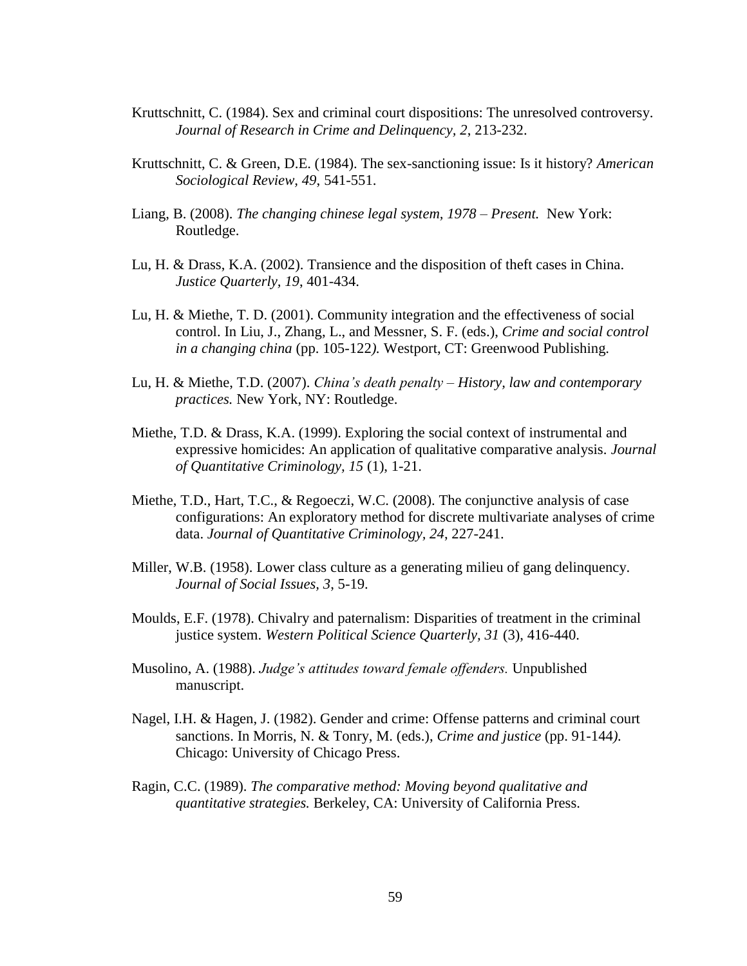- Kruttschnitt, C. (1984). Sex and criminal court dispositions: The unresolved controversy. *Journal of Research in Crime and Delinquency, 2*, 213-232.
- Kruttschnitt, C. & Green, D.E. (1984). The sex-sanctioning issue: Is it history? *American Sociological Review, 49*, 541-551.
- Liang, B. (2008). *The changing chinese legal system, 1978 – Present.* New York: Routledge.
- Lu, H. & Drass, K.A. (2002). Transience and the disposition of theft cases in China. *Justice Quarterly, 19*, 401-434.
- Lu, H. & Miethe, T. D. (2001). Community integration and the effectiveness of social control. In Liu, J., Zhang, L., and Messner, S. F. (eds.), *Crime and social control in a changing china* (pp. 105-122*).* Westport, CT: Greenwood Publishing.
- Lu, H. & Miethe, T.D. (2007). *China's death penalty – History, law and contemporary practices.* New York, NY: Routledge.
- Miethe, T.D. & Drass, K.A. (1999). Exploring the social context of instrumental and expressive homicides: An application of qualitative comparative analysis. *Journal of Quantitative Criminology, 15* (1), 1-21.
- Miethe, T.D., Hart, T.C., & Regoeczi, W.C. (2008). The conjunctive analysis of case configurations: An exploratory method for discrete multivariate analyses of crime data. *Journal of Quantitative Criminology, 24*, 227-241.
- Miller, W.B. (1958). Lower class culture as a generating milieu of gang delinquency. *Journal of Social Issues, 3*, 5-19.
- Moulds, E.F. (1978). Chivalry and paternalism: Disparities of treatment in the criminal justice system. *Western Political Science Quarterly, 31* (3), 416-440.
- Musolino, A. (1988). *Judge's attitudes toward female offenders.* Unpublished manuscript.
- Nagel, I.H. & Hagen, J. (1982). Gender and crime: Offense patterns and criminal court sanctions. In Morris, N. & Tonry, M. (eds.), *Crime and justice* (pp. 91-144*).* Chicago: University of Chicago Press.
- Ragin, C.C. (1989). *The comparative method: Moving beyond qualitative and quantitative strategies.* Berkeley, CA: University of California Press.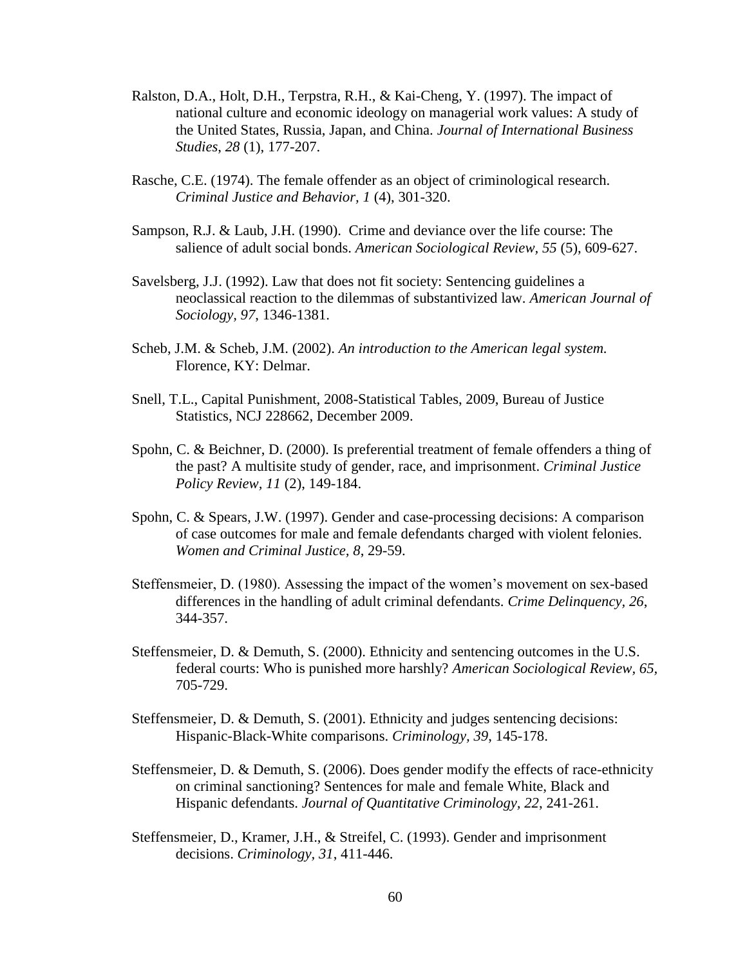- Ralston, D.A., Holt, D.H., Terpstra, R.H., & Kai-Cheng, Y. (1997). The impact of national culture and economic ideology on managerial work values: A study of the United States, Russia, Japan, and China. *Journal of International Business Studies*, *28* (1), 177-207.
- Rasche, C.E. (1974). The female offender as an object of criminological research. *Criminal Justice and Behavior, 1* (4), 301-320.
- Sampson, R.J. & Laub, J.H. (1990). Crime and deviance over the life course: The salience of adult social bonds. *American Sociological Review, 55* (5), 609-627.
- Savelsberg, J.J. (1992). Law that does not fit society: Sentencing guidelines a neoclassical reaction to the dilemmas of substantivized law. *American Journal of Sociology, 97*, 1346-1381.
- Scheb, J.M. & Scheb, J.M. (2002). *An introduction to the American legal system.* Florence, KY: Delmar.
- Snell, T.L., Capital Punishment, 2008-Statistical Tables, 2009, Bureau of Justice Statistics, NCJ 228662, December 2009.
- Spohn, C. & Beichner, D. (2000). Is preferential treatment of female offenders a thing of the past? A multisite study of gender, race, and imprisonment. *Criminal Justice Policy Review, 11* (2), 149-184.
- Spohn, C. & Spears, J.W. (1997). Gender and case-processing decisions: A comparison of case outcomes for male and female defendants charged with violent felonies. *Women and Criminal Justice, 8*, 29-59.
- Steffensmeier, D. (1980). Assessing the impact of the women's movement on sex-based differences in the handling of adult criminal defendants. *Crime Delinquency, 26*, 344-357.
- Steffensmeier, D. & Demuth, S. (2000). Ethnicity and sentencing outcomes in the U.S. federal courts: Who is punished more harshly? *American Sociological Review, 65,* 705-729.
- Steffensmeier, D. & Demuth, S. (2001). Ethnicity and judges sentencing decisions: Hispanic-Black-White comparisons. *Criminology, 39*, 145-178.
- Steffensmeier, D. & Demuth, S. (2006). Does gender modify the effects of race-ethnicity on criminal sanctioning? Sentences for male and female White, Black and Hispanic defendants. *Journal of Quantitative Criminology, 22*, 241-261.
- Steffensmeier, D., Kramer, J.H., & Streifel, C. (1993). Gender and imprisonment decisions. *Criminology, 31*, 411-446.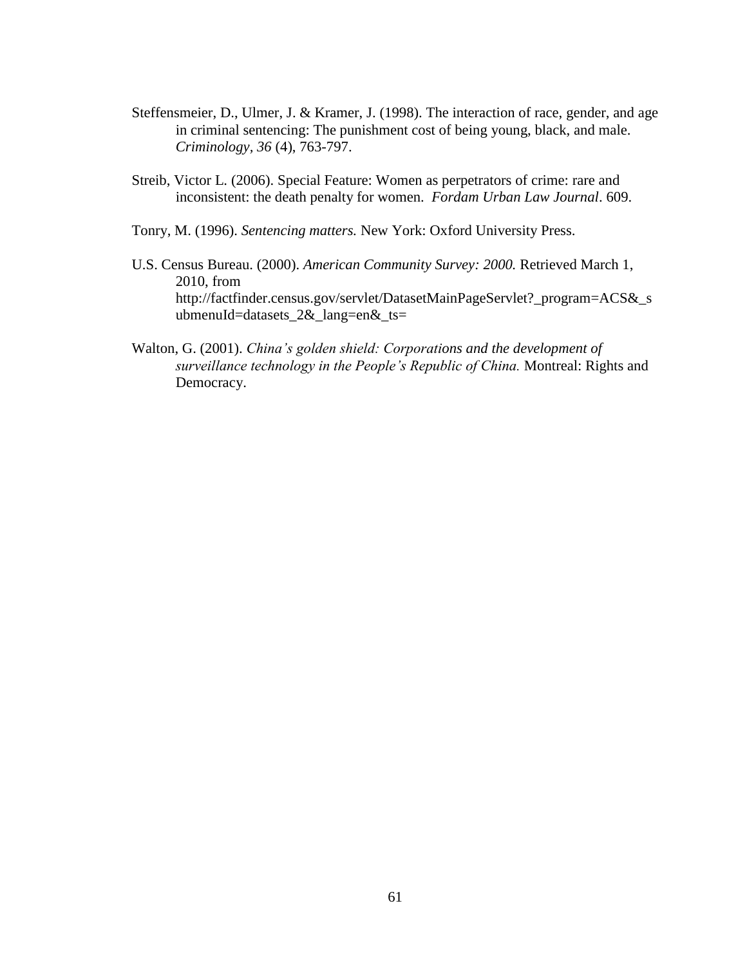- Steffensmeier, D., Ulmer, J. & Kramer, J. (1998). The interaction of race, gender, and age in criminal sentencing: The punishment cost of being young, black, and male. *Criminology, 36* (4), 763-797.
- Streib, Victor L. (2006). Special Feature: Women as perpetrators of crime: rare and inconsistent: the death penalty for women. *Fordam Urban Law Journal*. 609.
- Tonry, M. (1996). *Sentencing matters.* New York: Oxford University Press.
- U.S. Census Bureau. (2000). *American Community Survey: 2000.* Retrieved March 1, 2010, from [http://factfinder.census.gov/servlet/DatasetMainPageServlet?\\_program=ACS&\\_s](http://factfinder.census.gov/servlet/DatasetMainPageServlet?_program=ACS&_submenuId=datasets_2&_lang=en&_ts) [ubmenuId=datasets\\_2&\\_lang=en&\\_ts=](http://factfinder.census.gov/servlet/DatasetMainPageServlet?_program=ACS&_submenuId=datasets_2&_lang=en&_ts)
- Walton, G. (2001). *China's golden shield: Corporations and the development of surveillance technology in the People's Republic of China.* Montreal: Rights and Democracy.